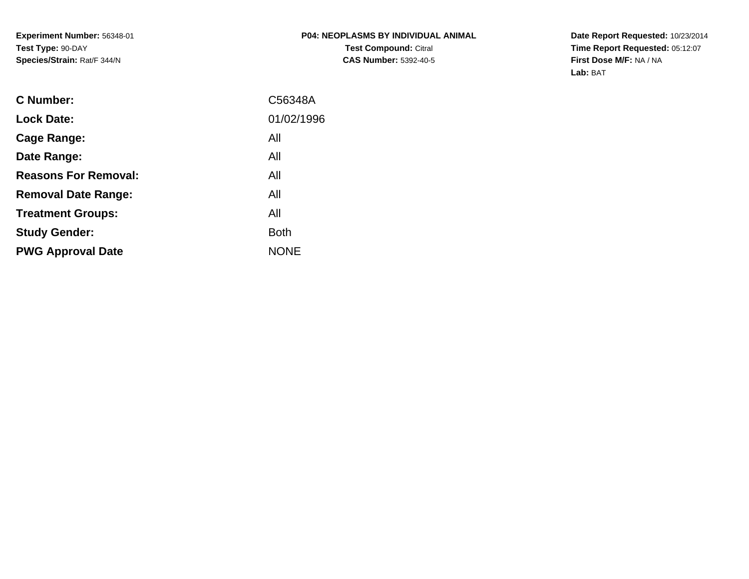**Date Report Requested:** 10/23/2014 **Time Report Requested:** 05:12:07**First Dose M/F:** NA / NA**Lab:** BAT

| <b>C</b> Number:            | C56348A     |
|-----------------------------|-------------|
| <b>Lock Date:</b>           | 01/02/1996  |
| Cage Range:                 | All         |
| Date Range:                 | All         |
| <b>Reasons For Removal:</b> | All         |
| <b>Removal Date Range:</b>  | All         |
| <b>Treatment Groups:</b>    | All         |
| <b>Study Gender:</b>        | <b>Both</b> |
| <b>PWG Approval Date</b>    | <b>NONE</b> |
|                             |             |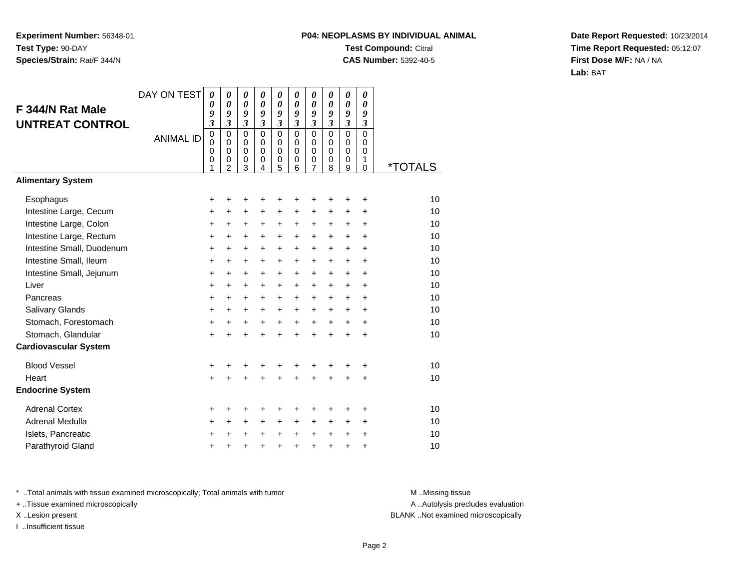## **P04: NEOPLASMS BY INDIVIDUAL ANIMALTest Compound:** Citral **CAS Number:** 5392-40-5

**Date Report Requested:** 10/23/2014**Time Report Requested:** 05:12:07**First Dose M/F:** NA / NA**Lab:** BAT

| F 344/N Rat Male<br><b>UNTREAT CONTROL</b> | DAY ON TEST      | 0<br>0<br>9<br>$\overline{\mathbf{3}}$    | 0<br>$\boldsymbol{\theta}$<br>9<br>$\mathfrak{z}$                       | 0<br>$\boldsymbol{\theta}$<br>9<br>$\boldsymbol{\mathfrak{z}}$ | 0<br>0<br>9<br>$\mathfrak{z}$                            | 0<br>0<br>9<br>$\mathfrak{z}$                     | 0<br>$\boldsymbol{\theta}$<br>9<br>$\mathfrak{z}$       | 0<br>$\boldsymbol{\theta}$<br>9<br>3                          | 0<br>0<br>9<br>$\overline{\mathbf{3}}$                     | 0<br>0<br>9<br>$\overline{\mathbf{3}}$       | 0<br>0<br>9<br>$\boldsymbol{\mathfrak{z}}$       |                       |
|--------------------------------------------|------------------|-------------------------------------------|-------------------------------------------------------------------------|----------------------------------------------------------------|----------------------------------------------------------|---------------------------------------------------|---------------------------------------------------------|---------------------------------------------------------------|------------------------------------------------------------|----------------------------------------------|--------------------------------------------------|-----------------------|
|                                            | <b>ANIMAL ID</b> | $\mathbf 0$<br>$\mathbf 0$<br>0<br>0<br>1 | $\mathbf 0$<br>$\Omega$<br>$\mathbf 0$<br>$\mathbf 0$<br>$\overline{2}$ | $\mathbf 0$<br>0<br>$\pmb{0}$<br>$\mathbf 0$<br>3              | $\mathbf 0$<br>$\Omega$<br>$\mathbf 0$<br>$\pmb{0}$<br>4 | $\mathbf 0$<br>$\mathbf 0$<br>$\pmb{0}$<br>0<br>5 | $\Omega$<br>$\Omega$<br>$\mathbf 0$<br>$\mathbf 0$<br>6 | $\mathbf 0$<br>$\mathbf 0$<br>$\mathbf 0$<br>$\mathbf 0$<br>7 | $\mathbf 0$<br>$\Omega$<br>$\mathbf 0$<br>$\mathbf 0$<br>8 | $\overline{0}$<br>0<br>$\mathbf 0$<br>0<br>9 | $\mathbf 0$<br>$\Omega$<br>$\mathbf 0$<br>1<br>0 | <i><b>*TOTALS</b></i> |
| <b>Alimentary System</b>                   |                  |                                           |                                                                         |                                                                |                                                          |                                                   |                                                         |                                                               |                                                            |                                              |                                                  |                       |
| Esophagus                                  |                  | +                                         | +                                                                       | +                                                              | +                                                        | +                                                 | +                                                       | +                                                             |                                                            | +                                            | +                                                | 10                    |
| Intestine Large, Cecum                     |                  | +                                         | +                                                                       | $\ddot{}$                                                      | +                                                        | +                                                 | +                                                       | +                                                             | +                                                          | +                                            | +                                                | 10                    |
| Intestine Large, Colon                     |                  | +                                         | +                                                                       | +                                                              | +                                                        | +                                                 | +                                                       | +                                                             | +                                                          | +                                            | +                                                | 10                    |
| Intestine Large, Rectum                    |                  | $\ddot{}$                                 | $\ddot{}$                                                               | $\ddot{}$                                                      | $\ddot{}$                                                | $\ddot{}$                                         | $\ddot{}$                                               | $\ddot{}$                                                     | $\ddot{}$                                                  | $\ddot{}$                                    | $\ddot{}$                                        | 10                    |
| Intestine Small, Duodenum                  |                  | $\ddot{}$                                 | $\ddot{}$                                                               | $\ddot{}$                                                      | $\ddot{}$                                                | $\ddot{}$                                         | $\ddot{}$                                               | $\ddot{}$                                                     | $\ddot{}$                                                  | $\ddot{}$                                    | $\ddot{}$                                        | 10                    |
| Intestine Small, Ileum                     |                  | $\ddot{}$                                 | $\ddot{}$                                                               | $\ddot{}$                                                      | $\ddot{}$                                                | $\ddot{}$                                         | +                                                       | $\ddot{}$                                                     | $\ddot{}$                                                  | $\ddot{}$                                    | $\ddot{}$                                        | 10                    |
| Intestine Small, Jejunum                   |                  | +                                         | $\ddot{}$                                                               | $\ddot{}$                                                      | +                                                        | +                                                 | +                                                       | +                                                             | +                                                          | +                                            | $\ddot{}$                                        | 10                    |
| Liver                                      |                  | $\ddot{}$                                 | $\ddot{}$                                                               | $\ddot{}$                                                      | $\ddot{}$                                                | $\ddot{}$                                         | $\ddot{}$                                               | $\ddot{}$                                                     | $\ddot{}$                                                  | $\ddot{}$                                    | $\ddot{}$                                        | 10                    |
| Pancreas                                   |                  | +                                         | $\ddot{}$                                                               | $\ddot{}$                                                      | +                                                        | +                                                 | +                                                       | +                                                             | +                                                          | $\ddot{}$                                    | +                                                | 10                    |
| <b>Salivary Glands</b>                     |                  | +                                         | +                                                                       | +                                                              | +                                                        | +                                                 | +                                                       | $\ddot{}$                                                     | $\ddot{}$                                                  | $\ddot{}$                                    | $\ddot{}$                                        | 10                    |
| Stomach, Forestomach                       |                  | $\ddot{}$                                 | $\ddot{}$                                                               | $\ddot{}$                                                      | $\ddot{}$                                                | $\ddot{}$                                         | $\ddot{}$                                               | $\ddot{}$                                                     | $\ddot{}$                                                  | $\ddot{}$                                    | $\ddot{}$                                        | 10                    |
| Stomach, Glandular                         |                  | $\ddot{}$                                 | $\ddot{}$                                                               | $\ddot{}$                                                      | $\ddot{}$                                                | $\ddot{}$                                         | $\ddot{}$                                               | $\ddot{}$                                                     | $\ddot{}$                                                  | $\ddot{}$                                    | $\ddot{}$                                        | 10                    |
| <b>Cardiovascular System</b>               |                  |                                           |                                                                         |                                                                |                                                          |                                                   |                                                         |                                                               |                                                            |                                              |                                                  |                       |
| <b>Blood Vessel</b>                        |                  | +                                         | +                                                                       | +                                                              | +                                                        | +                                                 | +                                                       | +                                                             |                                                            | +                                            | +                                                | 10                    |
| Heart                                      |                  | $\ddot{}$                                 | +                                                                       | $\ddot{}$                                                      | $\ddot{}$                                                | $\ddot{}$                                         | $\ddot{}$                                               | $\ddot{}$                                                     | $\ddot{}$                                                  | +                                            | +                                                | 10                    |
| <b>Endocrine System</b>                    |                  |                                           |                                                                         |                                                                |                                                          |                                                   |                                                         |                                                               |                                                            |                                              |                                                  |                       |
| <b>Adrenal Cortex</b>                      |                  | +                                         | +                                                                       |                                                                |                                                          | ٠                                                 | +                                                       | +                                                             |                                                            | +                                            | +                                                | 10                    |
| Adrenal Medulla                            |                  | +                                         | $\ddot{}$                                                               | $\ddot{}$                                                      | $\ddot{}$                                                | $\ddot{}$                                         | $\ddot{}$                                               | $\ddot{}$                                                     | $\ddot{}$                                                  | $\pm$                                        | +                                                | 10                    |
| Islets, Pancreatic                         |                  | +                                         | ÷                                                                       |                                                                |                                                          | $\ddot{}$                                         | $\ddot{}$                                               | $\ddot{}$                                                     | $\ddot{}$                                                  | $\pm$                                        | +                                                | 10                    |
| Parathyroid Gland                          |                  | +                                         | +                                                                       | +                                                              | +                                                        | +                                                 | $\ddot{}$                                               | $\ddot{}$                                                     | $\ddot{}$                                                  | +                                            | +                                                | 10                    |

\* ..Total animals with tissue examined microscopically; Total animals with tumor **M** . Missing tissue M ..Missing tissue

+ ..Tissue examined microscopically

I ..Insufficient tissue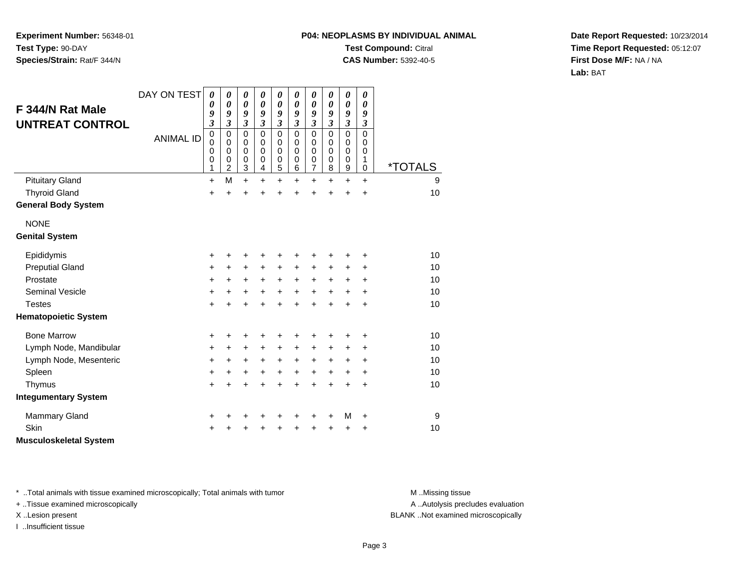## **P04: NEOPLASMS BY INDIVIDUAL ANIMALTest Compound:** Citral

**CAS Number:** 5392-40-5

**Date Report Requested:** 10/23/2014**Time Report Requested:** 05:12:07**First Dose M/F:** NA / NA**Lab:** BAT

| F 344/N Rat Male<br><b>UNTREAT CONTROL</b> | DAY ON TEST<br><b>ANIMAL ID</b> | $\boldsymbol{\theta}$<br>$\boldsymbol{\theta}$<br>9<br>$\overline{\mathbf{3}}$<br>$\mathbf 0$<br>$\mathbf 0$<br>$\mathbf 0$ | 0<br>0<br>9<br>$\overline{\mathbf{3}}$<br>$\mathbf 0$<br>$\Omega$<br>0 | $\boldsymbol{\theta}$<br>$\boldsymbol{\theta}$<br>9<br>$\mathfrak{z}$<br>$\mathbf 0$<br>0<br>0 | $\pmb{\theta}$<br>0<br>9<br>$\mathfrak{z}$<br>$\Omega$<br>$\Omega$<br>$\mathbf 0$ | $\boldsymbol{\theta}$<br>0<br>9<br>$\mathfrak{z}$<br>$\mathbf 0$<br>0<br>0 | 0<br>$\boldsymbol{\theta}$<br>9<br>$\mathfrak{z}$<br>$\Omega$<br>$\Omega$<br>$\mathbf 0$ | $\boldsymbol{\theta}$<br>0<br>9<br>$\mathfrak{z}$<br>$\mathbf 0$<br>0<br>0 | $\pmb{\theta}$<br>0<br>9<br>$\mathfrak{z}$<br>$\mathbf 0$<br>$\Omega$<br>0 | $\boldsymbol{\theta}$<br>$\boldsymbol{\theta}$<br>9<br>$\overline{\mathbf{3}}$<br>$\mathbf 0$<br>0<br>0 | $\pmb{\theta}$<br>0<br>9<br>3<br>$\mathbf 0$<br>0<br>0 |                       |
|--------------------------------------------|---------------------------------|-----------------------------------------------------------------------------------------------------------------------------|------------------------------------------------------------------------|------------------------------------------------------------------------------------------------|-----------------------------------------------------------------------------------|----------------------------------------------------------------------------|------------------------------------------------------------------------------------------|----------------------------------------------------------------------------|----------------------------------------------------------------------------|---------------------------------------------------------------------------------------------------------|--------------------------------------------------------|-----------------------|
|                                            |                                 | $\mathbf 0$<br>1                                                                                                            | $\mathbf 0$<br>2                                                       | 0<br>3                                                                                         | $\pmb{0}$<br>$\overline{\mathbf{4}}$                                              | $\mathbf 0$<br>5                                                           | 0<br>6                                                                                   | 0<br>$\overline{7}$                                                        | 0<br>8                                                                     | 0<br>9                                                                                                  | 1<br>0                                                 | <i><b>*TOTALS</b></i> |
| <b>Pituitary Gland</b>                     |                                 | $\ddot{}$                                                                                                                   | M                                                                      | $\ddot{}$                                                                                      | $\ddot{}$                                                                         | $\ddot{}$                                                                  | +                                                                                        | +                                                                          | $\ddot{}$                                                                  | $\ddot{}$                                                                                               | $\ddot{}$                                              | 9                     |
| <b>Thyroid Gland</b>                       |                                 | +                                                                                                                           | $\ddot{}$                                                              | $\ddot{}$                                                                                      |                                                                                   | $\ddot{}$                                                                  | Ŧ.                                                                                       | $\ddot{}$                                                                  | $\ddot{}$                                                                  | $\ddot{}$                                                                                               | $\ddot{}$                                              | 10                    |
| <b>General Body System</b>                 |                                 |                                                                                                                             |                                                                        |                                                                                                |                                                                                   |                                                                            |                                                                                          |                                                                            |                                                                            |                                                                                                         |                                                        |                       |
| <b>NONE</b>                                |                                 |                                                                                                                             |                                                                        |                                                                                                |                                                                                   |                                                                            |                                                                                          |                                                                            |                                                                            |                                                                                                         |                                                        |                       |
| <b>Genital System</b>                      |                                 |                                                                                                                             |                                                                        |                                                                                                |                                                                                   |                                                                            |                                                                                          |                                                                            |                                                                            |                                                                                                         |                                                        |                       |
| Epididymis                                 |                                 | +                                                                                                                           |                                                                        | +                                                                                              |                                                                                   | +                                                                          | +                                                                                        | +                                                                          |                                                                            |                                                                                                         | ٠                                                      | 10                    |
| <b>Preputial Gland</b>                     |                                 | +                                                                                                                           | +                                                                      | +                                                                                              | +                                                                                 | $\ddot{}$                                                                  | $\ddot{}$                                                                                | +                                                                          | $\ddot{}$                                                                  | +                                                                                                       | +                                                      | 10                    |
| Prostate                                   |                                 | +                                                                                                                           | $\ddot{}$                                                              | +                                                                                              | $\ddot{}$                                                                         | $\ddot{}$                                                                  | $\ddot{}$                                                                                | $\ddot{}$                                                                  | $+$                                                                        | +                                                                                                       | +                                                      | 10                    |
| <b>Seminal Vesicle</b>                     |                                 | +                                                                                                                           | $\ddot{}$                                                              | $\ddot{}$                                                                                      | +                                                                                 | $\ddot{}$                                                                  | $\ddot{}$                                                                                | $\ddot{}$                                                                  | $\ddot{}$                                                                  | $\ddot{}$                                                                                               | $\ddot{}$                                              | 10                    |
| <b>Testes</b>                              |                                 | $\ddot{}$                                                                                                                   | +                                                                      | $\ddot{}$                                                                                      | $\ddot{}$                                                                         | $\ddot{}$                                                                  | $\ddot{}$                                                                                | $\ddot{}$                                                                  | $\ddot{}$                                                                  | $\ddot{}$                                                                                               | +                                                      | 10                    |
| <b>Hematopoietic System</b>                |                                 |                                                                                                                             |                                                                        |                                                                                                |                                                                                   |                                                                            |                                                                                          |                                                                            |                                                                            |                                                                                                         |                                                        |                       |
| <b>Bone Marrow</b>                         |                                 | +                                                                                                                           | +                                                                      | +                                                                                              |                                                                                   | +                                                                          | +                                                                                        | +                                                                          |                                                                            | +                                                                                                       | +                                                      | 10                    |
| Lymph Node, Mandibular                     |                                 | +                                                                                                                           | +                                                                      | +                                                                                              | $\ddot{}$                                                                         | +                                                                          | $\ddot{}$                                                                                | +                                                                          | $\ddot{}$                                                                  | ÷                                                                                                       | ٠                                                      | 10                    |
| Lymph Node, Mesenteric                     |                                 | $\ddot{}$                                                                                                                   | $\ddot{}$                                                              | $\ddot{}$                                                                                      | $\ddot{}$                                                                         | $\ddot{}$                                                                  | $+$                                                                                      | $\ddot{}$                                                                  | $\ddot{}$                                                                  | $\ddot{}$                                                                                               | +                                                      | 10                    |
| Spleen                                     |                                 | +                                                                                                                           | +                                                                      | +                                                                                              | +                                                                                 | $\ddot{}$                                                                  | $\ddot{}$                                                                                | $\ddot{}$                                                                  | $\ddot{}$                                                                  | $\ddot{}$                                                                                               | $\ddot{}$                                              | 10                    |
| Thymus                                     |                                 | $\ddot{}$                                                                                                                   |                                                                        | +                                                                                              |                                                                                   | $\ddot{}$                                                                  | $\ddot{}$                                                                                | $\ddot{}$                                                                  | $\ddot{}$                                                                  | $\ddot{}$                                                                                               | $\ddot{}$                                              | 10                    |
| <b>Integumentary System</b>                |                                 |                                                                                                                             |                                                                        |                                                                                                |                                                                                   |                                                                            |                                                                                          |                                                                            |                                                                            |                                                                                                         |                                                        |                       |
| <b>Mammary Gland</b>                       |                                 | +                                                                                                                           |                                                                        | +                                                                                              | ٠                                                                                 | +                                                                          | +                                                                                        | +                                                                          | ٠                                                                          | M                                                                                                       | +                                                      | 9                     |
| Skin                                       |                                 | ٠                                                                                                                           |                                                                        |                                                                                                |                                                                                   | +                                                                          | +                                                                                        | +                                                                          |                                                                            | +                                                                                                       | +                                                      | 10                    |
| <b>Musculoskeletal System</b>              |                                 |                                                                                                                             |                                                                        |                                                                                                |                                                                                   |                                                                            |                                                                                          |                                                                            |                                                                            |                                                                                                         |                                                        |                       |

\* ..Total animals with tissue examined microscopically; Total animals with tumor **M** . Missing tissue M ..Missing tissue

+ ..Tissue examined microscopically

I ..Insufficient tissue

A ..Autolysis precludes evaluation

X ..Lesion present BLANK ..Not examined microscopically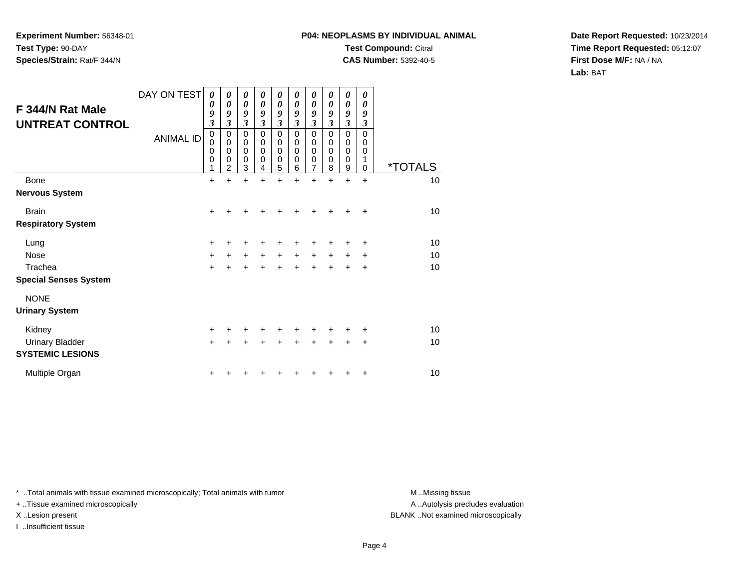## **P04: NEOPLASMS BY INDIVIDUAL ANIMALTest Compound:** Citral

**CAS Number:** 5392-40-5

**Date Report Requested:** 10/23/2014**Time Report Requested:** 05:12:07**First Dose M/F:** NA / NA**Lab:** BAT

| F 344/N Rat Male<br><b>UNTREAT CONTROL</b> | DAY ON TEST<br><b>ANIMAL ID</b> | 0<br>$\boldsymbol{\theta}$<br>9<br>3<br>$\mathbf 0$<br>$\mathbf 0$<br>$\mathbf 0$<br>0<br>1 | 0<br>$\boldsymbol{\theta}$<br>9<br>3<br>0<br>$\mathbf 0$<br>$\mathbf 0$<br>0<br>$\overline{2}$ | 0<br>$\boldsymbol{\theta}$<br>9<br>$\mathfrak{z}$<br>$\pmb{0}$<br>$\mathbf 0$<br>$\mathbf 0$<br>$\mathbf 0$<br>3 | 0<br>0<br>9<br>$\overline{\mathbf{3}}$<br>$\mathbf 0$<br>$\mathbf 0$<br>$\mathbf 0$<br>0<br>4 | 0<br>$\boldsymbol{\theta}$<br>9<br>$\mathfrak{z}$<br>$\pmb{0}$<br>$\pmb{0}$<br>$\pmb{0}$<br>$\pmb{0}$<br>$\overline{5}$ | 0<br>0<br>9<br>3<br>$\Omega$<br>$\mathbf 0$<br>$\mathbf 0$<br>0<br>6 | $\boldsymbol{\theta}$<br>$\boldsymbol{\theta}$<br>9<br>$\mathfrak{z}$<br>$\mathbf 0$<br>$\mathbf 0$<br>$\mathbf 0$<br>0<br>$\overline{7}$ | 0<br>0<br>9<br>3<br>$\Omega$<br>$\Omega$<br>$\Omega$<br>0<br>8 | 0<br>$\boldsymbol{\theta}$<br>9<br>$\mathfrak{z}$<br>$\mathbf 0$<br>$\mathbf 0$<br>$\mathbf 0$<br>0<br>9 | 0<br>0<br>9<br>3<br>$\Omega$<br>$\Omega$<br>0<br>1<br>$\Omega$ | <i><b>*TOTALS</b></i> |
|--------------------------------------------|---------------------------------|---------------------------------------------------------------------------------------------|------------------------------------------------------------------------------------------------|------------------------------------------------------------------------------------------------------------------|-----------------------------------------------------------------------------------------------|-------------------------------------------------------------------------------------------------------------------------|----------------------------------------------------------------------|-------------------------------------------------------------------------------------------------------------------------------------------|----------------------------------------------------------------|----------------------------------------------------------------------------------------------------------|----------------------------------------------------------------|-----------------------|
| Bone                                       |                                 | $\ddot{}$                                                                                   | $\ddot{}$                                                                                      | $\ddot{}$                                                                                                        | ÷                                                                                             | $\ddot{}$                                                                                                               | ÷                                                                    | $\ddot{}$                                                                                                                                 | $\ddot{}$                                                      | $\ddot{}$                                                                                                | $\ddot{}$                                                      | 10                    |
| <b>Nervous System</b>                      |                                 |                                                                                             |                                                                                                |                                                                                                                  |                                                                                               |                                                                                                                         |                                                                      |                                                                                                                                           |                                                                |                                                                                                          |                                                                |                       |
| <b>Brain</b>                               |                                 | $\ddot{}$                                                                                   |                                                                                                |                                                                                                                  |                                                                                               |                                                                                                                         |                                                                      |                                                                                                                                           |                                                                |                                                                                                          | $\div$                                                         | 10                    |
| <b>Respiratory System</b>                  |                                 |                                                                                             |                                                                                                |                                                                                                                  |                                                                                               |                                                                                                                         |                                                                      |                                                                                                                                           |                                                                |                                                                                                          |                                                                |                       |
| Lung                                       |                                 | $\ddot{}$                                                                                   |                                                                                                |                                                                                                                  |                                                                                               |                                                                                                                         |                                                                      |                                                                                                                                           |                                                                | +                                                                                                        | $\div$                                                         | 10                    |
| <b>Nose</b>                                |                                 | $\ddot{}$                                                                                   | $\ddot{}$                                                                                      | $\ddot{}$                                                                                                        | $+$                                                                                           | $\ddot{}$                                                                                                               | $\ddot{}$                                                            | +                                                                                                                                         | +                                                              | +                                                                                                        | $\ddot{}$                                                      | 10                    |
| Trachea                                    |                                 | $\ddot{}$                                                                                   |                                                                                                |                                                                                                                  |                                                                                               |                                                                                                                         |                                                                      | $\ddot{}$                                                                                                                                 | $\ddot{}$                                                      | $\ddot{}$                                                                                                | $\ddot{}$                                                      | 10                    |
| <b>Special Senses System</b>               |                                 |                                                                                             |                                                                                                |                                                                                                                  |                                                                                               |                                                                                                                         |                                                                      |                                                                                                                                           |                                                                |                                                                                                          |                                                                |                       |
| <b>NONE</b>                                |                                 |                                                                                             |                                                                                                |                                                                                                                  |                                                                                               |                                                                                                                         |                                                                      |                                                                                                                                           |                                                                |                                                                                                          |                                                                |                       |
| <b>Urinary System</b>                      |                                 |                                                                                             |                                                                                                |                                                                                                                  |                                                                                               |                                                                                                                         |                                                                      |                                                                                                                                           |                                                                |                                                                                                          |                                                                |                       |
| Kidney                                     |                                 | $\ddot{}$                                                                                   |                                                                                                |                                                                                                                  |                                                                                               |                                                                                                                         |                                                                      |                                                                                                                                           |                                                                |                                                                                                          | ٠                                                              | 10                    |
| <b>Urinary Bladder</b>                     |                                 | $\ddot{}$                                                                                   |                                                                                                |                                                                                                                  |                                                                                               |                                                                                                                         |                                                                      | +                                                                                                                                         | +                                                              | +                                                                                                        | $\ddot{}$                                                      | 10                    |
| <b>SYSTEMIC LESIONS</b>                    |                                 |                                                                                             |                                                                                                |                                                                                                                  |                                                                                               |                                                                                                                         |                                                                      |                                                                                                                                           |                                                                |                                                                                                          |                                                                |                       |
| Multiple Organ                             |                                 | +                                                                                           |                                                                                                |                                                                                                                  |                                                                                               |                                                                                                                         |                                                                      |                                                                                                                                           |                                                                |                                                                                                          | ٠                                                              | 10                    |

\* ..Total animals with tissue examined microscopically; Total animals with tumor **M** . Missing tissue M ..Missing tissue

+ ..Tissue examined microscopically

I ..Insufficient tissue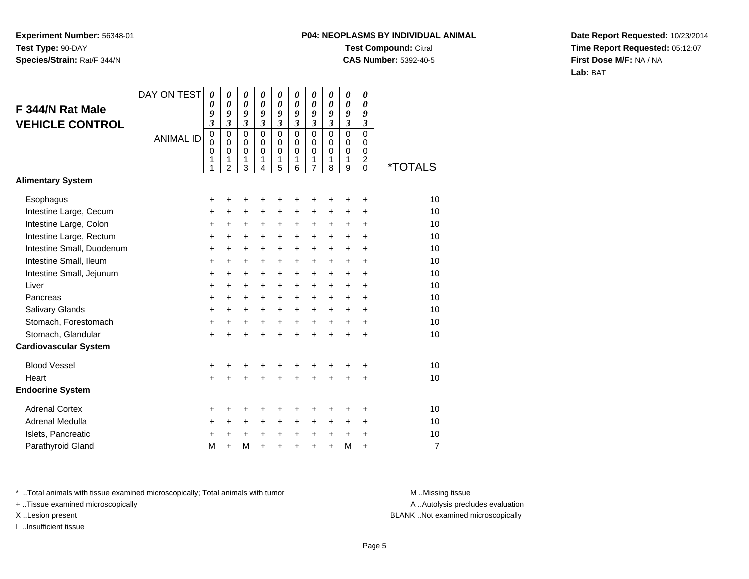## **P04: NEOPLASMS BY INDIVIDUAL ANIMALTest Compound:** Citral **CAS Number:** 5392-40-5

**Date Report Requested:** 10/23/2014**Time Report Requested:** 05:12:07**First Dose M/F:** NA / NA**Lab:** BAT

| F 344/N Rat Male<br><b>VEHICLE CONTROL</b><br><b>Alimentary System</b> | DAY ON TEST<br><b>ANIMAL ID</b> | 0<br>0<br>9<br>3<br>0<br>$\mathbf 0$<br>0<br>1<br>1 | $\boldsymbol{\theta}$<br>$\boldsymbol{\theta}$<br>9<br>3<br>$\mathbf 0$<br>$\mathbf 0$<br>$\mathbf 0$<br>1<br>$\overline{2}$ | $\boldsymbol{\theta}$<br>$\boldsymbol{\theta}$<br>9<br>$\overline{\mathbf{3}}$<br>$\mathbf 0$<br>$\pmb{0}$<br>$\mathbf 0$<br>1<br>3 | 0<br>0<br>9<br>$\overline{\mathbf{3}}$<br>$\mathbf 0$<br>$\mathbf 0$<br>$\mathbf 0$<br>1<br>4 | 0<br>0<br>9<br>$\mathfrak{z}$<br>$\mathbf 0$<br>$\mathbf 0$<br>$\mathbf 0$<br>1<br>5 | 0<br>$\boldsymbol{\theta}$<br>9<br>$\mathfrak{z}$<br>$\Omega$<br>$\Omega$<br>$\mathbf 0$<br>1<br>6 | 0<br>$\boldsymbol{\theta}$<br>9<br>$\overline{\mathbf{3}}$<br>$\mathbf 0$<br>$\mathbf 0$<br>$\mathbf 0$<br>1<br>7 | 0<br>0<br>9<br>$\overline{\mathbf{3}}$<br>$\mathbf 0$<br>$\mathbf 0$<br>$\mathbf 0$<br>1<br>8 | 0<br>$\boldsymbol{\theta}$<br>9<br>$\overline{\mathbf{3}}$<br>$\mathbf 0$<br>$\mathbf 0$<br>$\mathbf 0$<br>1<br>9 | 0<br>0<br>9<br>$\mathfrak{z}$<br>$\Omega$<br>$\Omega$<br>$\mathbf 0$<br>$\overline{c}$<br>$\Omega$ | <i><b>*TOTALS</b></i> |
|------------------------------------------------------------------------|---------------------------------|-----------------------------------------------------|------------------------------------------------------------------------------------------------------------------------------|-------------------------------------------------------------------------------------------------------------------------------------|-----------------------------------------------------------------------------------------------|--------------------------------------------------------------------------------------|----------------------------------------------------------------------------------------------------|-------------------------------------------------------------------------------------------------------------------|-----------------------------------------------------------------------------------------------|-------------------------------------------------------------------------------------------------------------------|----------------------------------------------------------------------------------------------------|-----------------------|
|                                                                        |                                 |                                                     |                                                                                                                              |                                                                                                                                     |                                                                                               |                                                                                      |                                                                                                    |                                                                                                                   |                                                                                               |                                                                                                                   |                                                                                                    |                       |
| Esophagus                                                              |                                 | +                                                   | +                                                                                                                            | +                                                                                                                                   | ٠                                                                                             | ٠                                                                                    | +                                                                                                  | +                                                                                                                 | +                                                                                             | +                                                                                                                 | +                                                                                                  | 10                    |
| Intestine Large, Cecum                                                 |                                 | +                                                   | $\ddot{}$                                                                                                                    | $\ddot{}$                                                                                                                           | $\ddot{}$                                                                                     | $\ddot{}$                                                                            | $\ddot{}$                                                                                          | $\ddot{}$                                                                                                         | $\ddot{}$                                                                                     | +                                                                                                                 | +                                                                                                  | 10                    |
| Intestine Large, Colon                                                 |                                 | +                                                   | +                                                                                                                            | +                                                                                                                                   | +                                                                                             | +                                                                                    | +                                                                                                  | +                                                                                                                 | +                                                                                             | +                                                                                                                 | +                                                                                                  | 10                    |
| Intestine Large, Rectum                                                |                                 | +                                                   | +                                                                                                                            | $\ddot{}$                                                                                                                           | $\ddot{}$                                                                                     | +                                                                                    | +                                                                                                  | +                                                                                                                 | $\ddot{}$                                                                                     | $\ddot{}$                                                                                                         | +                                                                                                  | 10                    |
| Intestine Small, Duodenum                                              |                                 | $\ddot{}$                                           | +                                                                                                                            | $\ddot{}$                                                                                                                           | $\ddot{}$                                                                                     | $\ddot{}$                                                                            | $\ddot{}$                                                                                          | $\ddot{}$                                                                                                         | $\ddot{}$                                                                                     | $\ddot{}$                                                                                                         | $\ddot{}$                                                                                          | 10                    |
| Intestine Small, Ileum                                                 |                                 | +                                                   | +                                                                                                                            | $\ddot{}$                                                                                                                           | $\ddot{}$                                                                                     | $\ddot{}$                                                                            | +                                                                                                  | +                                                                                                                 | +                                                                                             | +                                                                                                                 | +                                                                                                  | 10                    |
| Intestine Small, Jejunum                                               |                                 | $\ddot{}$                                           | +                                                                                                                            | $\ddot{}$                                                                                                                           | $\ddot{}$                                                                                     | $\ddot{}$                                                                            | $\ddot{}$                                                                                          | $\ddot{}$                                                                                                         | $\ddot{}$                                                                                     | $\ddot{}$                                                                                                         | $\ddot{}$                                                                                          | 10                    |
| Liver                                                                  |                                 | $\ddot{}$                                           | $\ddot{}$                                                                                                                    | $\ddot{}$                                                                                                                           | $+$                                                                                           | $+$                                                                                  | $\ddot{}$                                                                                          | $\ddot{}$                                                                                                         | $\ddot{}$                                                                                     | $\ddot{}$                                                                                                         | $\ddot{}$                                                                                          | 10                    |
| Pancreas                                                               |                                 | +                                                   | +                                                                                                                            | +                                                                                                                                   | $\ddot{}$                                                                                     | +                                                                                    | +                                                                                                  | +                                                                                                                 | +                                                                                             | +                                                                                                                 | +                                                                                                  | 10                    |
| Salivary Glands                                                        |                                 | +                                                   | $\ddot{}$                                                                                                                    | $\ddot{}$                                                                                                                           | $\ddot{}$                                                                                     | $\ddot{}$                                                                            | $\ddot{}$                                                                                          | $\ddot{}$                                                                                                         | $\ddot{}$                                                                                     | +                                                                                                                 | $\ddot{}$                                                                                          | 10                    |
| Stomach, Forestomach                                                   |                                 | +                                                   | +                                                                                                                            | +                                                                                                                                   | +                                                                                             | $\ddot{}$                                                                            | $\ddot{}$                                                                                          | $\ddot{}$                                                                                                         | $\ddot{}$                                                                                     | +                                                                                                                 | $\ddot{}$                                                                                          | 10                    |
| Stomach, Glandular                                                     |                                 | $\ddot{}$                                           |                                                                                                                              | +                                                                                                                                   |                                                                                               | $\ddot{}$                                                                            | $\ddot{}$                                                                                          | $\ddot{}$                                                                                                         | $\ddot{}$                                                                                     | $\ddot{}$                                                                                                         | $\ddot{}$                                                                                          | 10                    |
| <b>Cardiovascular System</b>                                           |                                 |                                                     |                                                                                                                              |                                                                                                                                     |                                                                                               |                                                                                      |                                                                                                    |                                                                                                                   |                                                                                               |                                                                                                                   |                                                                                                    |                       |
| <b>Blood Vessel</b>                                                    |                                 | +                                                   | +                                                                                                                            | +                                                                                                                                   | +                                                                                             | +                                                                                    | +                                                                                                  | +                                                                                                                 | ٠                                                                                             | +                                                                                                                 | +                                                                                                  | 10                    |
| Heart                                                                  |                                 | $\ddot{}$                                           |                                                                                                                              |                                                                                                                                     |                                                                                               | Ŧ.                                                                                   | Ŧ.                                                                                                 | $\ddot{}$                                                                                                         | $\ddot{}$                                                                                     | $\ddot{}$                                                                                                         | +                                                                                                  | 10                    |
| <b>Endocrine System</b>                                                |                                 |                                                     |                                                                                                                              |                                                                                                                                     |                                                                                               |                                                                                      |                                                                                                    |                                                                                                                   |                                                                                               |                                                                                                                   |                                                                                                    |                       |
| <b>Adrenal Cortex</b>                                                  |                                 | +                                                   | +                                                                                                                            | +                                                                                                                                   | +                                                                                             | +                                                                                    | +                                                                                                  | +                                                                                                                 | +                                                                                             | +                                                                                                                 | +                                                                                                  | 10                    |
| Adrenal Medulla                                                        |                                 | +                                                   | $\ddot{}$                                                                                                                    | $\ddot{}$                                                                                                                           | $\ddot{}$                                                                                     | $\ddot{}$                                                                            | $\ddot{}$                                                                                          | $\ddot{}$                                                                                                         | +                                                                                             | $\pm$                                                                                                             | $\ddot{}$                                                                                          | 10                    |
| Islets, Pancreatic                                                     |                                 | +                                                   | +                                                                                                                            | $\ddot{}$                                                                                                                           | $\ddot{}$                                                                                     | +                                                                                    | +                                                                                                  | +                                                                                                                 | $\ddot{}$                                                                                     | $\ddot{}$                                                                                                         | +                                                                                                  | 10                    |
| Parathyroid Gland                                                      |                                 | M                                                   | $\ddot{}$                                                                                                                    | M                                                                                                                                   | $\ddot{}$                                                                                     | $\ddot{}$                                                                            | +                                                                                                  | $\ddot{}$                                                                                                         | $\ddot{}$                                                                                     | M                                                                                                                 | $\ddot{}$                                                                                          | $\overline{7}$        |

\* ..Total animals with tissue examined microscopically; Total animals with tumor **M** . Missing tissue M ..Missing tissue

+ ..Tissue examined microscopically

I ..Insufficient tissue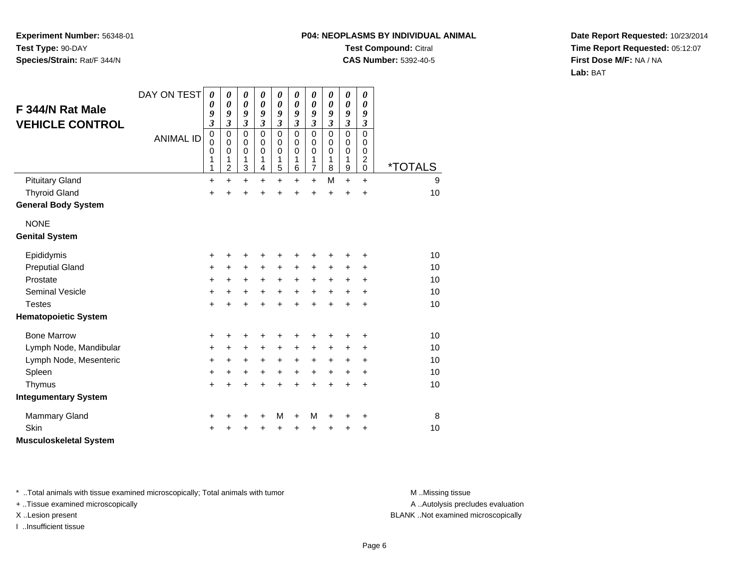# **P04: NEOPLASMS BY INDIVIDUAL ANIMALTest Compound:** Citral

**CAS Number:** 5392-40-5

**Date Report Requested:** 10/23/2014**Time Report Requested:** 05:12:07**First Dose M/F:** NA / NA**Lab:** BAT

| F 344/N Rat Male<br><b>VEHICLE CONTROL</b><br><b>Pituitary Gland</b> | DAY ON TEST<br><b>ANIMAL ID</b> | 0<br>0<br>9<br>3<br>$\mathbf 0$<br>$\mathbf 0$<br>0<br>1<br>1<br>+ | 0<br>0<br>9<br>3<br>0<br>0<br>0<br>1<br>$\overline{c}$<br>$\ddot{}$ | 0<br>$\boldsymbol{\theta}$<br>9<br>$\mathfrak{z}$<br>$\mathbf 0$<br>0<br>$\mathbf 0$<br>1<br>3<br>$\ddot{}$ | $\boldsymbol{\theta}$<br>$\boldsymbol{\theta}$<br>9<br>$\mathfrak{z}$<br>$\Omega$<br>$\Omega$<br>$\mathbf 0$<br>1<br>4<br>$\ddot{}$ | $\boldsymbol{\theta}$<br>$\boldsymbol{\theta}$<br>9<br>$\mathfrak{z}$<br>$\mathbf 0$<br>0<br>$\mathbf 0$<br>1<br>5<br>$\ddot{}$ | 0<br>$\boldsymbol{\theta}$<br>9<br>$\mathfrak{z}$<br>$\Omega$<br>$\Omega$<br>$\mathbf 0$<br>1<br>6<br>+ | $\boldsymbol{\theta}$<br>$\boldsymbol{\theta}$<br>9<br>$\boldsymbol{\mathfrak{z}}$<br>$\mathbf 0$<br>0<br>$\mathbf 0$<br>1<br>$\overline{7}$<br>+ | 0<br>0<br>9<br>$\mathfrak{z}$<br>$\Omega$<br>0<br>$\mathbf 0$<br>1<br>8<br>M | 0<br>$\boldsymbol{\theta}$<br>9<br>$\boldsymbol{\mathfrak{z}}$<br>$\mathbf 0$<br>0<br>$\pmb{0}$<br>1<br>$\boldsymbol{9}$<br>$\ddot{}$ | 0<br>0<br>9<br>$\boldsymbol{\mathfrak{z}}$<br>$\mathbf 0$<br>0<br>$\mathbf 0$<br>$\overline{c}$<br>0<br>$\ddot{}$ | <i><b>*TOTALS</b></i><br>9 |
|----------------------------------------------------------------------|---------------------------------|--------------------------------------------------------------------|---------------------------------------------------------------------|-------------------------------------------------------------------------------------------------------------|-------------------------------------------------------------------------------------------------------------------------------------|---------------------------------------------------------------------------------------------------------------------------------|---------------------------------------------------------------------------------------------------------|---------------------------------------------------------------------------------------------------------------------------------------------------|------------------------------------------------------------------------------|---------------------------------------------------------------------------------------------------------------------------------------|-------------------------------------------------------------------------------------------------------------------|----------------------------|
| <b>Thyroid Gland</b>                                                 |                                 | $\ddot{}$                                                          | ÷                                                                   | $\ddot{}$                                                                                                   | ÷                                                                                                                                   | +                                                                                                                               | $\ddot{}$                                                                                               | $\ddot{}$                                                                                                                                         | ÷                                                                            | $\ddot{}$                                                                                                                             | $\ddot{}$                                                                                                         | 10                         |
| <b>General Body System</b>                                           |                                 |                                                                    |                                                                     |                                                                                                             |                                                                                                                                     |                                                                                                                                 |                                                                                                         |                                                                                                                                                   |                                                                              |                                                                                                                                       |                                                                                                                   |                            |
| <b>NONE</b><br><b>Genital System</b>                                 |                                 |                                                                    |                                                                     |                                                                                                             |                                                                                                                                     |                                                                                                                                 |                                                                                                         |                                                                                                                                                   |                                                                              |                                                                                                                                       |                                                                                                                   |                            |
| Epididymis                                                           |                                 | +                                                                  | +                                                                   | +                                                                                                           | ٠                                                                                                                                   |                                                                                                                                 |                                                                                                         | +                                                                                                                                                 |                                                                              | +                                                                                                                                     | +                                                                                                                 | 10                         |
| <b>Preputial Gland</b>                                               |                                 | $\ddot{}$                                                          | +                                                                   | +                                                                                                           | $\ddot{}$                                                                                                                           | $\ddot{}$                                                                                                                       | +                                                                                                       | +                                                                                                                                                 | +                                                                            | +                                                                                                                                     | +                                                                                                                 | 10                         |
| Prostate                                                             |                                 | +                                                                  | +                                                                   | +                                                                                                           | $\ddot{}$                                                                                                                           | $\ddot{}$                                                                                                                       | $\ddot{}$                                                                                               | $\ddot{}$                                                                                                                                         | $\ddot{}$                                                                    | +                                                                                                                                     | $\ddot{}$                                                                                                         | 10                         |
| <b>Seminal Vesicle</b>                                               |                                 | +                                                                  | +                                                                   | +                                                                                                           | $\ddot{}$                                                                                                                           | $\ddot{}$                                                                                                                       | $\ddot{}$                                                                                               | $\ddot{}$                                                                                                                                         | $\ddot{}$                                                                    | $\ddot{}$                                                                                                                             | $\ddot{}$                                                                                                         | 10                         |
| <b>Testes</b>                                                        |                                 | $\ddot{}$                                                          | $\ddot{}$                                                           | $\ddot{}$                                                                                                   | $\ddot{}$                                                                                                                           | $\ddot{}$                                                                                                                       | ÷                                                                                                       | $\ddot{}$                                                                                                                                         | $\ddot{}$                                                                    | $\ddot{}$                                                                                                                             | $\ddot{}$                                                                                                         | 10                         |
| <b>Hematopoietic System</b>                                          |                                 |                                                                    |                                                                     |                                                                                                             |                                                                                                                                     |                                                                                                                                 |                                                                                                         |                                                                                                                                                   |                                                                              |                                                                                                                                       |                                                                                                                   |                            |
| <b>Bone Marrow</b>                                                   |                                 | +                                                                  | +                                                                   | +                                                                                                           | +                                                                                                                                   | +                                                                                                                               |                                                                                                         | +                                                                                                                                                 |                                                                              | +                                                                                                                                     | +                                                                                                                 | 10                         |
| Lymph Node, Mandibular                                               |                                 | +                                                                  | +                                                                   | +                                                                                                           | $\ddot{}$                                                                                                                           | $\ddot{}$                                                                                                                       | +                                                                                                       | $\ddot{}$                                                                                                                                         | +                                                                            | +                                                                                                                                     | +                                                                                                                 | 10                         |
| Lymph Node, Mesenteric                                               |                                 | +                                                                  | +                                                                   | $\ddot{}$                                                                                                   | $\ddot{}$                                                                                                                           | $\ddot{}$                                                                                                                       | $\ddot{}$                                                                                               | $\ddot{}$                                                                                                                                         | $\ddot{}$                                                                    | $\ddot{}$                                                                                                                             | $\ddot{}$                                                                                                         | 10                         |
| Spleen                                                               |                                 | $\ddot{}$                                                          | +                                                                   | +                                                                                                           | $\ddot{}$                                                                                                                           | $\ddot{}$                                                                                                                       | $\ddot{}$                                                                                               | $\ddot{}$                                                                                                                                         | $\ddot{}$                                                                    | $\ddot{}$                                                                                                                             | $\ddot{}$                                                                                                         | 10                         |
| Thymus                                                               |                                 | +                                                                  | +                                                                   | +                                                                                                           | +                                                                                                                                   | +                                                                                                                               |                                                                                                         | $\ddot{}$                                                                                                                                         | $\ddot{}$                                                                    | $\ddot{}$                                                                                                                             | $\ddot{}$                                                                                                         | 10                         |
| <b>Integumentary System</b>                                          |                                 |                                                                    |                                                                     |                                                                                                             |                                                                                                                                     |                                                                                                                                 |                                                                                                         |                                                                                                                                                   |                                                                              |                                                                                                                                       |                                                                                                                   |                            |
| <b>Mammary Gland</b>                                                 |                                 | +                                                                  | +                                                                   | +                                                                                                           | +                                                                                                                                   | M                                                                                                                               | +                                                                                                       | M                                                                                                                                                 | +                                                                            | +                                                                                                                                     | +                                                                                                                 | 8                          |
| Skin                                                                 |                                 | +                                                                  |                                                                     | +                                                                                                           | +                                                                                                                                   | +                                                                                                                               | +                                                                                                       | +                                                                                                                                                 | +                                                                            | +                                                                                                                                     | +                                                                                                                 | 10                         |
| <b>Musculoskeletal System</b>                                        |                                 |                                                                    |                                                                     |                                                                                                             |                                                                                                                                     |                                                                                                                                 |                                                                                                         |                                                                                                                                                   |                                                                              |                                                                                                                                       |                                                                                                                   |                            |

\* ..Total animals with tissue examined microscopically; Total animals with tumor **M** . Missing tissue M ..Missing tissue

+ ..Tissue examined microscopically

I ..Insufficient tissue

A ..Autolysis precludes evaluation

X ..Lesion present BLANK ..Not examined microscopically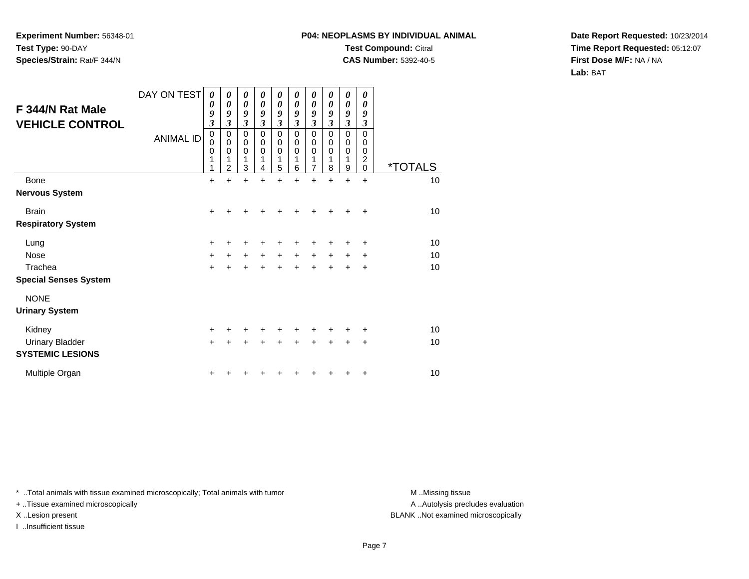## **P04: NEOPLASMS BY INDIVIDUAL ANIMALTest Compound:** Citral

**CAS Number:** 5392-40-5

**Date Report Requested:** 10/23/2014**Time Report Requested:** 05:12:07**First Dose M/F:** NA / NA**Lab:** BAT

| F 344/N Rat Male<br><b>VEHICLE CONTROL</b>        | DAY ON TEST<br><b>ANIMAL ID</b> | 0<br>0<br>9<br>$\overline{\mathbf{3}}$<br>$\pmb{0}$<br>$\mathbf 0$<br>0<br>1<br>1 | 0<br>$\boldsymbol{\theta}$<br>9<br>$\overline{\mathbf{3}}$<br>$\mathbf 0$<br>$\pmb{0}$<br>$\Omega$<br>$\overline{2}$ | $\boldsymbol{\theta}$<br>$\boldsymbol{\theta}$<br>9<br>$\mathfrak{z}$<br>$\mathbf 0$<br>$\pmb{0}$<br>$\Omega$<br>1<br>3 | $\boldsymbol{\theta}$<br>$\boldsymbol{\theta}$<br>9<br>$\boldsymbol{\beta}$<br>$\mathbf 0$<br>$\mathbf 0$<br>$\Omega$<br>4 | 0<br>$\boldsymbol{\theta}$<br>9<br>$\mathfrak{z}$<br>$\mathbf 0$<br>$\pmb{0}$<br>$\mathbf 0$<br>1<br>5 | 0<br>$\boldsymbol{\theta}$<br>9<br>$\mathfrak{z}$<br>$\mathbf 0$<br>0<br>$\Omega$<br>1<br>6 | 0<br>$\boldsymbol{\theta}$<br>9<br>$\mathfrak{z}$<br>$\mathbf 0$<br>$\pmb{0}$<br>$\mathbf 0$<br>1<br>$\overline{7}$ | 0<br>$\theta$<br>9<br>3<br>$\mathbf 0$<br>0<br>$\Omega$<br>8 | 0<br>$\boldsymbol{\theta}$<br>9<br>$\boldsymbol{\mathfrak{z}}$<br>0<br>0<br>$\mathbf 0$<br>1<br>9 | 0<br>$\theta$<br>9<br>3<br>$\Omega$<br>$\Omega$<br>$\Omega$<br>$\overline{c}$<br>$\mathbf 0$ | <i><b>*TOTALS</b></i> |
|---------------------------------------------------|---------------------------------|-----------------------------------------------------------------------------------|----------------------------------------------------------------------------------------------------------------------|-------------------------------------------------------------------------------------------------------------------------|----------------------------------------------------------------------------------------------------------------------------|--------------------------------------------------------------------------------------------------------|---------------------------------------------------------------------------------------------|---------------------------------------------------------------------------------------------------------------------|--------------------------------------------------------------|---------------------------------------------------------------------------------------------------|----------------------------------------------------------------------------------------------|-----------------------|
| Bone                                              |                                 | $\ddot{}$                                                                         | $\ddot{}$                                                                                                            | $\ddot{}$                                                                                                               |                                                                                                                            | ÷                                                                                                      |                                                                                             | $\ddot{}$                                                                                                           | ÷                                                            | $\ddot{}$                                                                                         | $\ddot{}$                                                                                    | 10                    |
| <b>Nervous System</b>                             |                                 |                                                                                   |                                                                                                                      |                                                                                                                         |                                                                                                                            |                                                                                                        |                                                                                             |                                                                                                                     |                                                              |                                                                                                   |                                                                                              |                       |
| <b>Brain</b>                                      |                                 | $\ddot{}$                                                                         |                                                                                                                      |                                                                                                                         |                                                                                                                            |                                                                                                        |                                                                                             |                                                                                                                     |                                                              |                                                                                                   | $\ddot{}$                                                                                    | 10                    |
| <b>Respiratory System</b>                         |                                 |                                                                                   |                                                                                                                      |                                                                                                                         |                                                                                                                            |                                                                                                        |                                                                                             |                                                                                                                     |                                                              |                                                                                                   |                                                                                              |                       |
| Lung                                              |                                 | $\ddot{}$                                                                         |                                                                                                                      |                                                                                                                         |                                                                                                                            |                                                                                                        |                                                                                             | +                                                                                                                   |                                                              | +                                                                                                 | +                                                                                            | 10                    |
| <b>Nose</b>                                       |                                 | $\ddot{}$                                                                         | $\ddot{}$                                                                                                            | $\ddot{}$                                                                                                               | $\ddot{}$                                                                                                                  | $\ddot{}$                                                                                              | $\ddot{}$                                                                                   | $+$                                                                                                                 | $\ddot{}$                                                    | $\ddot{}$                                                                                         | ÷                                                                                            | 10                    |
| Trachea                                           |                                 | $\ddot{}$                                                                         | +                                                                                                                    | $\ddot{}$                                                                                                               | +                                                                                                                          | $\ddot{}$                                                                                              |                                                                                             | +                                                                                                                   |                                                              | +                                                                                                 | $\ddot{}$                                                                                    | 10                    |
| <b>Special Senses System</b>                      |                                 |                                                                                   |                                                                                                                      |                                                                                                                         |                                                                                                                            |                                                                                                        |                                                                                             |                                                                                                                     |                                                              |                                                                                                   |                                                                                              |                       |
| <b>NONE</b><br><b>Urinary System</b>              |                                 |                                                                                   |                                                                                                                      |                                                                                                                         |                                                                                                                            |                                                                                                        |                                                                                             |                                                                                                                     |                                                              |                                                                                                   |                                                                                              |                       |
| Kidney                                            |                                 | +                                                                                 |                                                                                                                      |                                                                                                                         |                                                                                                                            |                                                                                                        |                                                                                             |                                                                                                                     |                                                              |                                                                                                   | +                                                                                            | 10                    |
| <b>Urinary Bladder</b><br><b>SYSTEMIC LESIONS</b> |                                 | $\ddot{}$                                                                         |                                                                                                                      | +                                                                                                                       |                                                                                                                            |                                                                                                        |                                                                                             |                                                                                                                     |                                                              | +                                                                                                 | +                                                                                            | 10                    |
| Multiple Organ                                    |                                 | +                                                                                 |                                                                                                                      |                                                                                                                         |                                                                                                                            |                                                                                                        |                                                                                             |                                                                                                                     |                                                              |                                                                                                   | +                                                                                            | 10                    |

\* ..Total animals with tissue examined microscopically; Total animals with tumor **M** . Missing tissue M ..Missing tissue

+ ..Tissue examined microscopically

I ..Insufficient tissue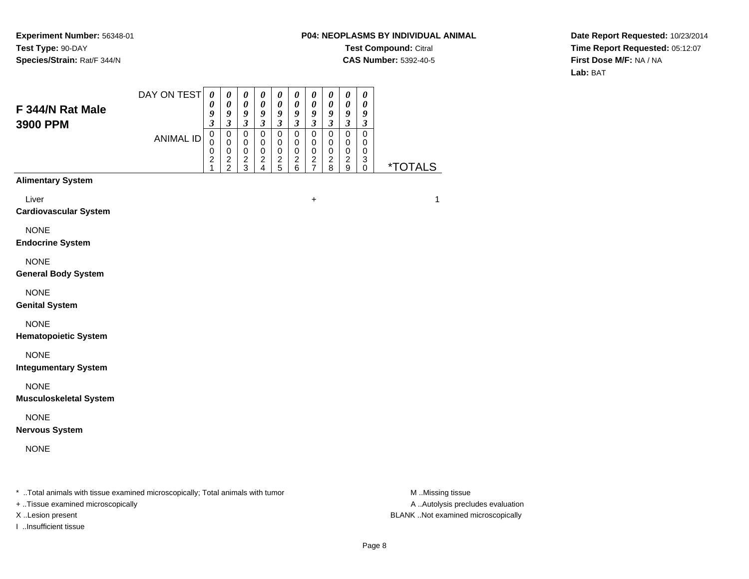## **P04: NEOPLASMS BY INDIVIDUAL ANIMALTest Compound:** Citral **CAS Number:** 5392-40-5

**Date Report Requested:** 10/23/2014**Time Report Requested:** 05:12:07**First Dose M/F:** NA / NA**Lab:** BAT

| F 344/N Rat Male<br>3900 PPM                                                   | DAY ON TEST      | $\boldsymbol{\theta}$<br>0<br>9<br>$\mathfrak{z}$                               | 0<br>$\boldsymbol{\theta}$<br>9<br>$\mathfrak{z}$        | $\boldsymbol{\theta}$<br>$\boldsymbol{\theta}$<br>$\boldsymbol{9}$<br>$\mathfrak{z}$ | $\boldsymbol{\theta}$<br>$\boldsymbol{\theta}$<br>$\boldsymbol{9}$<br>$\mathfrak{z}$ | $\boldsymbol{\theta}$<br>$\boldsymbol{\theta}$<br>9<br>$\mathfrak{z}$ | $\boldsymbol{\theta}$<br>$\boldsymbol{\theta}$<br>$\boldsymbol{g}$<br>$\mathfrak{z}$ | 0<br>$\boldsymbol{\theta}$<br>9<br>$\mathfrak{z}$      | $\boldsymbol{\theta}$<br>$\boldsymbol{\theta}$<br>$\boldsymbol{g}$<br>$\mathfrak{z}$ | $\boldsymbol{\theta}$<br>$\boldsymbol{\theta}$<br>$\boldsymbol{g}$<br>$\mathfrak{z}$ | $\boldsymbol{\theta}$<br>$\boldsymbol{\theta}$<br>9<br>$\boldsymbol{\beta}$ |                       |
|--------------------------------------------------------------------------------|------------------|---------------------------------------------------------------------------------|----------------------------------------------------------|--------------------------------------------------------------------------------------|--------------------------------------------------------------------------------------|-----------------------------------------------------------------------|--------------------------------------------------------------------------------------|--------------------------------------------------------|--------------------------------------------------------------------------------------|--------------------------------------------------------------------------------------|-----------------------------------------------------------------------------|-----------------------|
|                                                                                | <b>ANIMAL ID</b> | $\pmb{0}$<br>$\Omega$<br>$\mathbf 0$<br>$\overline{\mathbf{c}}$<br>$\mathbf{1}$ | $\pmb{0}$<br>$\mathbf 0$<br>$\mathbf 0$<br>$\frac{2}{2}$ | $\pmb{0}$<br>$\mathbf 0$<br>$\mathbf 0$<br>$\frac{2}{3}$                             | $\mathbf 0$<br>$\mathbf 0$<br>$\mathbf 0$<br>$\boldsymbol{2}$<br>4                   | $\pmb{0}$<br>$\mathbf 0$<br>$\mathbf 0$<br>$\frac{2}{5}$              | $\mathbf 0$<br>0<br>$\pmb{0}$<br>$\overline{c}$<br>6                                 | $\mathbf 0$<br>$\pmb{0}$<br>$\pmb{0}$<br>$\frac{2}{7}$ | $\mathbf 0$<br>$\pmb{0}$<br>$\pmb{0}$<br>$\overline{c}$<br>8                         | $\mathbf 0$<br>0<br>$\mathbf 0$<br>$\frac{2}{9}$                                     | $\mathbf 0$<br>$\mathbf 0$<br>$\mathbf 0$<br>$\ensuremath{\mathsf{3}}$<br>0 | <i><b>*TOTALS</b></i> |
| <b>Alimentary System</b>                                                       |                  |                                                                                 |                                                          |                                                                                      |                                                                                      |                                                                       |                                                                                      |                                                        |                                                                                      |                                                                                      |                                                                             |                       |
| Liver<br><b>Cardiovascular System</b>                                          |                  |                                                                                 |                                                          |                                                                                      |                                                                                      |                                                                       |                                                                                      | $\ddot{}$                                              |                                                                                      |                                                                                      |                                                                             | $\mathbf{1}$          |
| <b>NONE</b><br><b>Endocrine System</b>                                         |                  |                                                                                 |                                                          |                                                                                      |                                                                                      |                                                                       |                                                                                      |                                                        |                                                                                      |                                                                                      |                                                                             |                       |
| <b>NONE</b><br><b>General Body System</b>                                      |                  |                                                                                 |                                                          |                                                                                      |                                                                                      |                                                                       |                                                                                      |                                                        |                                                                                      |                                                                                      |                                                                             |                       |
| <b>NONE</b><br><b>Genital System</b>                                           |                  |                                                                                 |                                                          |                                                                                      |                                                                                      |                                                                       |                                                                                      |                                                        |                                                                                      |                                                                                      |                                                                             |                       |
| <b>NONE</b><br><b>Hematopoietic System</b>                                     |                  |                                                                                 |                                                          |                                                                                      |                                                                                      |                                                                       |                                                                                      |                                                        |                                                                                      |                                                                                      |                                                                             |                       |
| <b>NONE</b><br><b>Integumentary System</b>                                     |                  |                                                                                 |                                                          |                                                                                      |                                                                                      |                                                                       |                                                                                      |                                                        |                                                                                      |                                                                                      |                                                                             |                       |
| <b>NONE</b><br><b>Musculoskeletal System</b>                                   |                  |                                                                                 |                                                          |                                                                                      |                                                                                      |                                                                       |                                                                                      |                                                        |                                                                                      |                                                                                      |                                                                             |                       |
| <b>NONE</b><br><b>Nervous System</b>                                           |                  |                                                                                 |                                                          |                                                                                      |                                                                                      |                                                                       |                                                                                      |                                                        |                                                                                      |                                                                                      |                                                                             |                       |
| <b>NONE</b>                                                                    |                  |                                                                                 |                                                          |                                                                                      |                                                                                      |                                                                       |                                                                                      |                                                        |                                                                                      |                                                                                      |                                                                             |                       |
| * Total animals with tissue examined microscopically; Total animals with tumor |                  |                                                                                 |                                                          |                                                                                      |                                                                                      |                                                                       |                                                                                      |                                                        |                                                                                      |                                                                                      |                                                                             | M Missing tissue      |

+ ..Tissue examined microscopically

I ..Insufficient tissue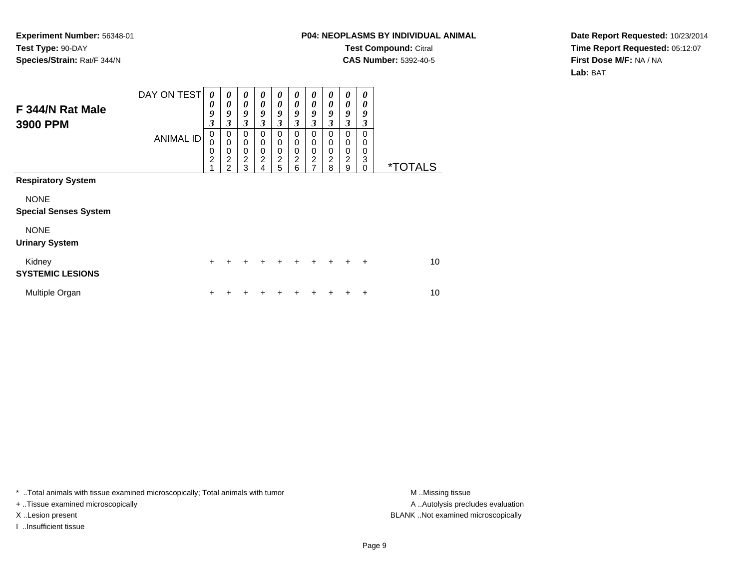## **P04: NEOPLASMS BY INDIVIDUAL ANIMALTest Compound:** Citral **CAS Number:** 5392-40-5

**Date Report Requested:** 10/23/2014**Time Report Requested:** 05:12:07**First Dose M/F:** NA / NA**Lab:** BAT

| F 344/N Rat Male<br>3900 PPM                | DAY ON TEST<br><b>ANIMAL ID</b> | $\boldsymbol{\theta}$<br>0<br>9<br>3<br>0<br>$\mathbf 0$<br>$\mathbf 0$<br>$\overline{2}$ | 0<br>0<br>9<br>3<br>0<br>$\mathbf 0$<br>$\mathbf 0$<br>$\overline{2}$ | 0<br>$\boldsymbol{\theta}$<br>9<br>$\mathfrak{z}$<br>$\mathbf 0$<br>$\pmb{0}$<br>$\mathbf 0$<br>$\overline{c}$ | $\boldsymbol{\theta}$<br>0<br>9<br>3<br>$\mathbf 0$<br>$\mathbf 0$<br>$\mathbf 0$<br>$\overline{c}$ | 0<br>$\boldsymbol{\theta}$<br>9<br>$\mathfrak{z}$<br>$\mathbf 0$<br>$\pmb{0}$<br>$\mathbf 0$<br>$\overline{2}$ | 0<br>0<br>9<br>3<br>$\mathbf 0$<br>0<br>$\mathbf 0$<br>$\overline{c}$ | 0<br>$\theta$<br>9<br>3<br>0<br>$\mathbf 0$<br>0<br>$\overline{2}$ | 0<br>0<br>9<br>3<br>0<br>0<br>0<br>2 | 0<br>0<br>9<br>3<br>0<br>0<br>0<br>$\overline{2}$ | 0<br>0<br>9<br>3<br>0<br>0<br>0<br>$\mathbf{3}$ |                       |
|---------------------------------------------|---------------------------------|-------------------------------------------------------------------------------------------|-----------------------------------------------------------------------|----------------------------------------------------------------------------------------------------------------|-----------------------------------------------------------------------------------------------------|----------------------------------------------------------------------------------------------------------------|-----------------------------------------------------------------------|--------------------------------------------------------------------|--------------------------------------|---------------------------------------------------|-------------------------------------------------|-----------------------|
| <b>Respiratory System</b>                   |                                 | 4                                                                                         | $\mathfrak{p}$                                                        | 3                                                                                                              | 4                                                                                                   | 5                                                                                                              | 6                                                                     | $\overline{7}$                                                     | 8                                    | 9                                                 | $\Omega$                                        | <i><b>*TOTALS</b></i> |
|                                             |                                 |                                                                                           |                                                                       |                                                                                                                |                                                                                                     |                                                                                                                |                                                                       |                                                                    |                                      |                                                   |                                                 |                       |
| <b>NONE</b><br><b>Special Senses System</b> |                                 |                                                                                           |                                                                       |                                                                                                                |                                                                                                     |                                                                                                                |                                                                       |                                                                    |                                      |                                                   |                                                 |                       |
| <b>NONE</b><br><b>Urinary System</b>        |                                 |                                                                                           |                                                                       |                                                                                                                |                                                                                                     |                                                                                                                |                                                                       |                                                                    |                                      |                                                   |                                                 |                       |
| Kidney<br><b>SYSTEMIC LESIONS</b>           |                                 | $\ddot{}$                                                                                 | +                                                                     | ÷                                                                                                              | $\ddot{}$                                                                                           | $\ddot{}$                                                                                                      | $\ddot{}$                                                             | $\ddot{}$                                                          | $\ddot{}$                            | $\div$                                            | $\ddot{}$                                       | 10                    |
| Multiple Organ                              |                                 | $\div$                                                                                    |                                                                       |                                                                                                                |                                                                                                     |                                                                                                                |                                                                       |                                                                    |                                      |                                                   | ÷                                               | 10                    |

\* ..Total animals with tissue examined microscopically; Total animals with tumor **M** . Missing tissue M ..Missing tissue

+ ..Tissue examined microscopically

I ..Insufficient tissue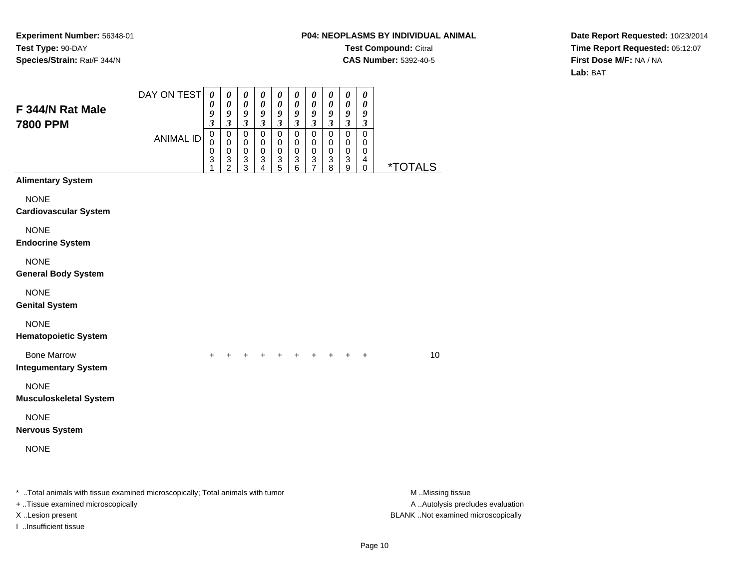## **P04: NEOPLASMS BY INDIVIDUAL ANIMALTest Compound:** Citral **CAS Number:** 5392-40-5

**Date Report Requested:** 10/23/2014**Time Report Requested:** 05:12:07**First Dose M/F:** NA / NA**Lab:** BAT

| F 344/N Rat Male<br><b>7800 PPM</b>                                                                                 | DAY ON TEST<br><b>ANIMAL ID</b> | $\boldsymbol{\theta}$<br>0<br>9<br>$\boldsymbol{\beta}$<br>$\,0\,$<br>0<br>0<br>3<br>1 | $\pmb{\theta}$<br>0<br>9<br>$\mathfrak{z}$<br>0<br>$\pmb{0}$<br>0<br>$\frac{3}{2}$ | $\pmb{\theta}$<br>$\pmb{\theta}$<br>9<br>$\boldsymbol{\beta}$<br>0<br>0<br>0<br>3<br>$\mathbf{3}$ | $\pmb{\theta}$<br>0<br>9<br>$\boldsymbol{\beta}$<br>0<br>$\mathbf 0$<br>0<br>$\ensuremath{\mathsf{3}}$<br>$\overline{4}$ | 0<br>0<br>9<br>3<br>0<br>0<br>0<br>3<br>5 | 0<br>0<br>9<br>3<br>0<br>0<br>0<br>3<br>6 | 0<br>0<br>9<br>$\boldsymbol{\beta}$<br>0<br>0<br>0<br>3<br>7 | 0<br>0<br>9<br>$\boldsymbol{\beta}$<br>0<br>0<br>0<br>3<br>8 | 0<br>0<br>9<br>$\boldsymbol{\beta}$<br>0<br>$\mathbf 0$<br>$\mathbf 0$<br>3<br>9 | $\pmb{\theta}$<br>0<br>9<br>3<br>0<br>0<br>0<br>4<br>$\pmb{0}$ | <i><b>*TOTALS</b></i>                                 |
|---------------------------------------------------------------------------------------------------------------------|---------------------------------|----------------------------------------------------------------------------------------|------------------------------------------------------------------------------------|---------------------------------------------------------------------------------------------------|--------------------------------------------------------------------------------------------------------------------------|-------------------------------------------|-------------------------------------------|--------------------------------------------------------------|--------------------------------------------------------------|----------------------------------------------------------------------------------|----------------------------------------------------------------|-------------------------------------------------------|
| <b>Alimentary System</b>                                                                                            |                                 |                                                                                        |                                                                                    |                                                                                                   |                                                                                                                          |                                           |                                           |                                                              |                                                              |                                                                                  |                                                                |                                                       |
| <b>NONE</b><br><b>Cardiovascular System</b>                                                                         |                                 |                                                                                        |                                                                                    |                                                                                                   |                                                                                                                          |                                           |                                           |                                                              |                                                              |                                                                                  |                                                                |                                                       |
| <b>NONE</b><br><b>Endocrine System</b>                                                                              |                                 |                                                                                        |                                                                                    |                                                                                                   |                                                                                                                          |                                           |                                           |                                                              |                                                              |                                                                                  |                                                                |                                                       |
| <b>NONE</b><br><b>General Body System</b>                                                                           |                                 |                                                                                        |                                                                                    |                                                                                                   |                                                                                                                          |                                           |                                           |                                                              |                                                              |                                                                                  |                                                                |                                                       |
| <b>NONE</b><br><b>Genital System</b>                                                                                |                                 |                                                                                        |                                                                                    |                                                                                                   |                                                                                                                          |                                           |                                           |                                                              |                                                              |                                                                                  |                                                                |                                                       |
| <b>NONE</b><br><b>Hematopoietic System</b>                                                                          |                                 |                                                                                        |                                                                                    |                                                                                                   |                                                                                                                          |                                           |                                           |                                                              |                                                              |                                                                                  |                                                                |                                                       |
| <b>Bone Marrow</b><br><b>Integumentary System</b>                                                                   |                                 | $\ddot{}$                                                                              |                                                                                    |                                                                                                   |                                                                                                                          | $\ddot{}$                                 |                                           |                                                              | $+$ $+$ $+$                                                  | $+$                                                                              | $\ddot{}$                                                      | 10                                                    |
| <b>NONE</b><br><b>Musculoskeletal System</b>                                                                        |                                 |                                                                                        |                                                                                    |                                                                                                   |                                                                                                                          |                                           |                                           |                                                              |                                                              |                                                                                  |                                                                |                                                       |
| <b>NONE</b><br><b>Nervous System</b>                                                                                |                                 |                                                                                        |                                                                                    |                                                                                                   |                                                                                                                          |                                           |                                           |                                                              |                                                              |                                                                                  |                                                                |                                                       |
| <b>NONE</b>                                                                                                         |                                 |                                                                                        |                                                                                    |                                                                                                   |                                                                                                                          |                                           |                                           |                                                              |                                                              |                                                                                  |                                                                |                                                       |
| * Total animals with tissue examined microscopically; Total animals with tumor<br>+ Tissue examined microscopically |                                 |                                                                                        |                                                                                    |                                                                                                   |                                                                                                                          |                                           |                                           |                                                              |                                                              |                                                                                  |                                                                | M Missing tissue<br>A  Autolysis precludes evaluation |

I ..Insufficient tissue

X ..Lesion present BLANK ..Not examined microscopically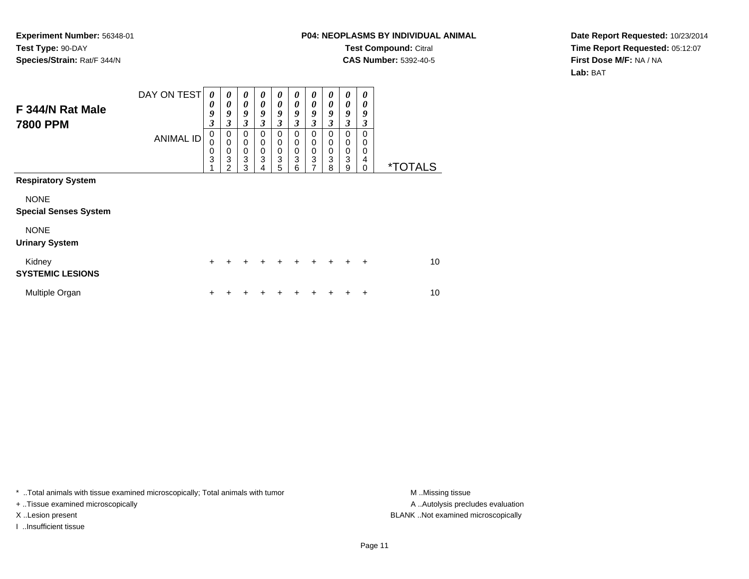## **P04: NEOPLASMS BY INDIVIDUAL ANIMALTest Compound:** Citral **CAS Number:** 5392-40-5

**Date Report Requested:** 10/23/2014**Time Report Requested:** 05:12:07**First Dose M/F:** NA / NA**Lab:** BAT

| F 344/N Rat Male<br><b>7800 PPM</b>         | DAY ON TEST<br><b>ANIMAL ID</b> | 0<br>0<br>9<br>3<br>$\mathbf 0$<br>0<br>$\mathbf 0$<br>3 | 0<br>0<br>9<br>3<br>0<br>$\mathbf 0$<br>$\mathbf 0$<br>3<br>$\mathfrak{p}$ | 0<br>0<br>9<br>3<br>$\mathbf 0$<br>$\pmb{0}$<br>$\mathbf 0$<br>3<br>3 | $\boldsymbol{\theta}$<br>0<br>9<br>3<br>$\mathbf 0$<br>$\mathbf 0$<br>$\mathbf 0$<br>3<br>4 | 0<br>$\boldsymbol{\theta}$<br>9<br>3<br>$\mathbf 0$<br>$\pmb{0}$<br>$\pmb{0}$<br>3<br>5 | 0<br>0<br>9<br>3<br>$\mathbf 0$<br>$\mathbf 0$<br>$\mathbf 0$<br>$\mathbf{3}$<br>6 | 0<br>0<br>9<br>3<br>$\mathbf 0$<br>$\mathbf 0$<br>$\mathbf 0$<br>3<br>7 | 0<br>0<br>9<br>3<br>$\Omega$<br>0<br>0<br>3<br>8 | 0<br>0<br>9<br>3<br>0<br>0<br>0<br>3<br>9 | 0<br>0<br>9<br>3<br>0<br>0<br>0<br>4<br>$\Omega$ | <i><b>*TOTALS</b></i> |
|---------------------------------------------|---------------------------------|----------------------------------------------------------|----------------------------------------------------------------------------|-----------------------------------------------------------------------|---------------------------------------------------------------------------------------------|-----------------------------------------------------------------------------------------|------------------------------------------------------------------------------------|-------------------------------------------------------------------------|--------------------------------------------------|-------------------------------------------|--------------------------------------------------|-----------------------|
| <b>Respiratory System</b>                   |                                 |                                                          |                                                                            |                                                                       |                                                                                             |                                                                                         |                                                                                    |                                                                         |                                                  |                                           |                                                  |                       |
| <b>NONE</b><br><b>Special Senses System</b> |                                 |                                                          |                                                                            |                                                                       |                                                                                             |                                                                                         |                                                                                    |                                                                         |                                                  |                                           |                                                  |                       |
| <b>NONE</b><br><b>Urinary System</b>        |                                 |                                                          |                                                                            |                                                                       |                                                                                             |                                                                                         |                                                                                    |                                                                         |                                                  |                                           |                                                  |                       |
| Kidney<br><b>SYSTEMIC LESIONS</b>           |                                 | $\ddot{}$                                                | +                                                                          | $\div$                                                                | ÷                                                                                           | ÷                                                                                       | $\ddot{}$                                                                          | $\div$                                                                  | $\ddot{}$                                        | $\div$                                    | $\div$                                           | 10                    |
| Multiple Organ                              |                                 | ÷                                                        |                                                                            |                                                                       |                                                                                             |                                                                                         |                                                                                    |                                                                         |                                                  |                                           | ÷                                                | 10                    |

\* ..Total animals with tissue examined microscopically; Total animals with tumor **M** . Missing tissue M ..Missing tissue

+ ..Tissue examined microscopically

I ..Insufficient tissue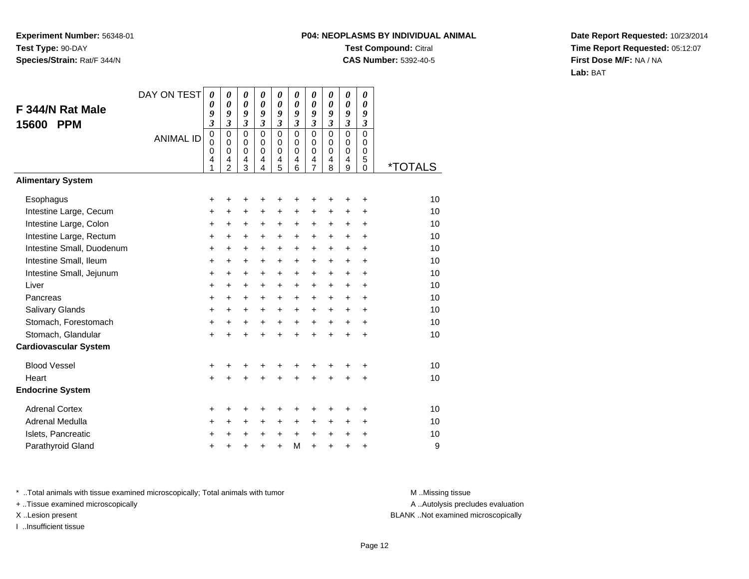## **P04: NEOPLASMS BY INDIVIDUAL ANIMALTest Compound:** Citral **CAS Number:** 5392-40-5

**Date Report Requested:** 10/23/2014**Time Report Requested:** 05:12:07**First Dose M/F:** NA / NA**Lab:** BAT

| F 344/N Rat Male<br><b>PPM</b><br>15600 | DAY ON TEST<br><b>ANIMAL ID</b> | $\boldsymbol{\theta}$<br>0<br>9<br>$\overline{\mathbf{3}}$<br>$\mathbf 0$<br>$\mathbf 0$<br>$\mathbf 0$<br>4<br>1 | 0<br>$\boldsymbol{\theta}$<br>9<br>$\mathfrak{z}$<br>$\mathbf 0$<br>$\mathbf 0$<br>$\mathbf 0$<br>4<br>$\overline{2}$ | 0<br>0<br>9<br>$\mathfrak{z}$<br>$\mathbf 0$<br>$\mathbf 0$<br>$\mathbf 0$<br>4<br>3 | 0<br>0<br>9<br>$\mathfrak{z}$<br>$\Omega$<br>$\Omega$<br>$\mathbf 0$<br>4<br>4 | 0<br>0<br>9<br>$\overline{\mathbf{3}}$<br>$\mathbf 0$<br>$\mathbf 0$<br>$\mathbf 0$<br>4<br>5 | 0<br>$\boldsymbol{\theta}$<br>9<br>$\mathfrak{z}$<br>$\Omega$<br>$\Omega$<br>$\mathbf 0$<br>4<br>6 | 0<br>$\boldsymbol{\theta}$<br>9<br>3<br>$\mathbf 0$<br>$\mathbf 0$<br>$\mathbf 0$<br>4<br>$\overline{7}$ | 0<br>0<br>9<br>$\overline{\mathbf{3}}$<br>$\mathbf 0$<br>$\Omega$<br>$\mathbf 0$<br>4<br>8 | 0<br>0<br>9<br>$\overline{\mathbf{3}}$<br>$\mathbf 0$<br>$\Omega$<br>0<br>4<br>9 | 0<br>0<br>9<br>$\overline{\mathbf{3}}$<br>$\overline{0}$<br>$\Omega$<br>$\mathbf 0$<br>5<br>$\Omega$ | <i><b>*TOTALS</b></i> |
|-----------------------------------------|---------------------------------|-------------------------------------------------------------------------------------------------------------------|-----------------------------------------------------------------------------------------------------------------------|--------------------------------------------------------------------------------------|--------------------------------------------------------------------------------|-----------------------------------------------------------------------------------------------|----------------------------------------------------------------------------------------------------|----------------------------------------------------------------------------------------------------------|--------------------------------------------------------------------------------------------|----------------------------------------------------------------------------------|------------------------------------------------------------------------------------------------------|-----------------------|
| <b>Alimentary System</b>                |                                 |                                                                                                                   |                                                                                                                       |                                                                                      |                                                                                |                                                                                               |                                                                                                    |                                                                                                          |                                                                                            |                                                                                  |                                                                                                      |                       |
| Esophagus                               |                                 | +                                                                                                                 | +                                                                                                                     | +                                                                                    | +                                                                              | +                                                                                             | +                                                                                                  | +                                                                                                        |                                                                                            | +                                                                                | +                                                                                                    | 10                    |
| Intestine Large, Cecum                  |                                 | +                                                                                                                 | +                                                                                                                     | +                                                                                    | +                                                                              | $\ddot{}$                                                                                     | +                                                                                                  | +                                                                                                        | +                                                                                          | +                                                                                | +                                                                                                    | 10                    |
| Intestine Large, Colon                  |                                 | $\ddot{}$                                                                                                         | $\ddot{}$                                                                                                             | $\ddot{}$                                                                            | $\ddot{}$                                                                      | $\ddot{}$                                                                                     | $\ddot{}$                                                                                          | $\ddot{}$                                                                                                | $\ddot{}$                                                                                  | $\ddot{}$                                                                        | $\ddot{}$                                                                                            | 10                    |
| Intestine Large, Rectum                 |                                 | +                                                                                                                 | $\ddot{}$                                                                                                             | $\ddot{}$                                                                            | $\ddot{}$                                                                      | $\ddot{}$                                                                                     | $\ddot{}$                                                                                          | $\ddot{}$                                                                                                | $\ddot{}$                                                                                  | $\ddot{}$                                                                        | $\ddot{}$                                                                                            | 10                    |
| Intestine Small, Duodenum               |                                 | $\ddot{}$                                                                                                         | $\ddot{}$                                                                                                             | $\ddot{}$                                                                            | +                                                                              | $\ddot{}$                                                                                     | $\ddot{}$                                                                                          | $\ddot{}$                                                                                                | $\ddot{}$                                                                                  | $+$                                                                              | $\ddot{}$                                                                                            | 10                    |
| Intestine Small, Ileum                  |                                 | +                                                                                                                 | +                                                                                                                     | $\ddot{}$                                                                            | $\ddot{}$                                                                      | $\ddot{}$                                                                                     | $\ddot{}$                                                                                          | $\ddot{}$                                                                                                | $\ddot{}$                                                                                  | $+$                                                                              | +                                                                                                    | 10                    |
| Intestine Small, Jejunum                |                                 | $\ddot{}$                                                                                                         | $\ddot{}$                                                                                                             | $\ddot{}$                                                                            | +                                                                              | $\ddot{}$                                                                                     | $\ddot{}$                                                                                          | $\ddot{}$                                                                                                | $\ddot{}$                                                                                  | $\ddot{}$                                                                        | $\ddot{}$                                                                                            | 10                    |
| Liver                                   |                                 | +                                                                                                                 | $\ddot{}$                                                                                                             | $\ddot{}$                                                                            | $+$                                                                            | $\ddot{}$                                                                                     | $\ddot{}$                                                                                          | $\ddot{}$                                                                                                | $\ddot{}$                                                                                  | $\ddot{}$                                                                        | $\ddot{}$                                                                                            | 10                    |
| Pancreas                                |                                 | +                                                                                                                 | +                                                                                                                     | +                                                                                    | +                                                                              | +                                                                                             | $\ddot{}$                                                                                          | +                                                                                                        | $\ddot{}$                                                                                  | +                                                                                | +                                                                                                    | 10                    |
| Salivary Glands                         |                                 | $\ddot{}$                                                                                                         | $\ddot{}$                                                                                                             | $\ddot{}$                                                                            | $\ddot{}$                                                                      | $\ddot{}$                                                                                     | $\ddot{}$                                                                                          | $\ddot{}$                                                                                                | $\ddot{}$                                                                                  | $\ddot{}$                                                                        | $\ddot{}$                                                                                            | 10                    |
| Stomach, Forestomach                    |                                 | $\ddot{}$                                                                                                         | +                                                                                                                     | +                                                                                    | +                                                                              | +                                                                                             | $\ddot{}$                                                                                          | $\ddot{}$                                                                                                | $+$                                                                                        | $\ddot{}$                                                                        | $\ddot{}$                                                                                            | 10                    |
| Stomach, Glandular                      |                                 | $\ddot{}$                                                                                                         |                                                                                                                       | $\ddot{}$                                                                            |                                                                                | $\ddot{}$                                                                                     | $\ddot{}$                                                                                          | $\ddot{}$                                                                                                | $\ddot{}$                                                                                  | $\ddot{}$                                                                        | $\ddot{}$                                                                                            | 10                    |
| <b>Cardiovascular System</b>            |                                 |                                                                                                                   |                                                                                                                       |                                                                                      |                                                                                |                                                                                               |                                                                                                    |                                                                                                          |                                                                                            |                                                                                  |                                                                                                      |                       |
| <b>Blood Vessel</b>                     |                                 | +                                                                                                                 | +                                                                                                                     | +                                                                                    | +                                                                              | +                                                                                             | +                                                                                                  | +                                                                                                        | +                                                                                          | +                                                                                | +                                                                                                    | 10                    |
| Heart                                   |                                 | $\ddot{}$                                                                                                         |                                                                                                                       |                                                                                      |                                                                                | ÷                                                                                             | $\ddot{}$                                                                                          | $\ddot{}$                                                                                                | $\ddot{}$                                                                                  | $\ddot{}$                                                                        | $\ddot{}$                                                                                            | 10                    |
| <b>Endocrine System</b>                 |                                 |                                                                                                                   |                                                                                                                       |                                                                                      |                                                                                |                                                                                               |                                                                                                    |                                                                                                          |                                                                                            |                                                                                  |                                                                                                      |                       |
| <b>Adrenal Cortex</b>                   |                                 | +                                                                                                                 | +                                                                                                                     | +                                                                                    | +                                                                              | +                                                                                             | +                                                                                                  | +                                                                                                        | ٠                                                                                          | ٠                                                                                | $\ddot{}$                                                                                            | 10                    |
| Adrenal Medulla                         |                                 | $\ddot{}$                                                                                                         | $\ddot{}$                                                                                                             | $\ddot{}$                                                                            | $\ddot{}$                                                                      | $\ddot{}$                                                                                     | $\ddot{}$                                                                                          | $\ddot{}$                                                                                                | $\pm$                                                                                      | $\pm$                                                                            | $\ddot{}$                                                                                            | 10                    |
| Islets, Pancreatic                      |                                 | +                                                                                                                 | +                                                                                                                     | +                                                                                    | +                                                                              | $\ddot{}$                                                                                     | $\ddot{}$                                                                                          | +                                                                                                        | +                                                                                          | $\ddot{}$                                                                        | $\ddot{}$                                                                                            | 10                    |
| Parathyroid Gland                       |                                 | +                                                                                                                 |                                                                                                                       | +                                                                                    | +                                                                              | $\ddot{}$                                                                                     | M                                                                                                  | $\ddot{}$                                                                                                | $\ddot{}$                                                                                  | +                                                                                | +                                                                                                    | 9                     |

\* ..Total animals with tissue examined microscopically; Total animals with tumor **M** . Missing tissue M ..Missing tissue

+ ..Tissue examined microscopically

I ..Insufficient tissue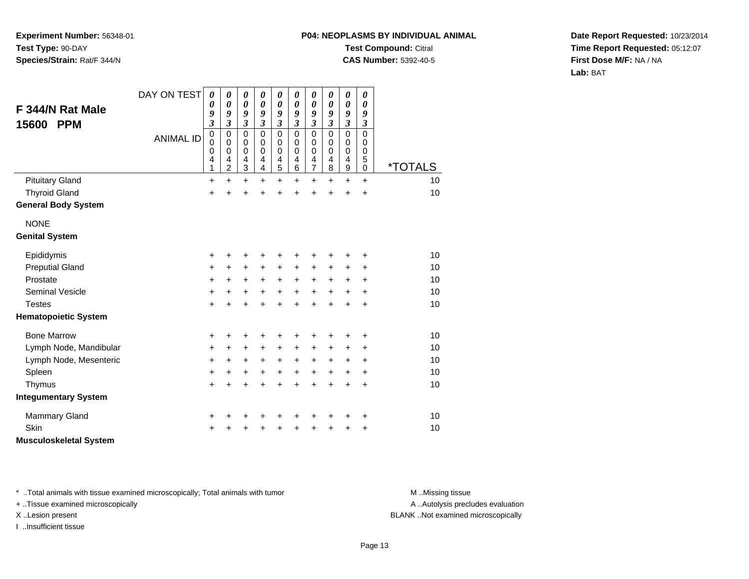# **P04: NEOPLASMS BY INDIVIDUAL ANIMALTest Compound:** Citral

**CAS Number:** 5392-40-5

**Date Report Requested:** 10/23/2014**Time Report Requested:** 05:12:07**First Dose M/F:** NA / NA**Lab:** BAT

| F 344/N Rat Male<br>15600<br><b>PPM</b> | DAY ON TEST<br><b>ANIMAL ID</b> | 0<br>0<br>9<br>$\overline{\mathbf{3}}$<br>$\mathbf 0$<br>0<br>0<br>4 | 0<br>0<br>9<br>$\overline{\mathbf{3}}$<br>$\mathbf 0$<br>0<br>0<br>4 | $\boldsymbol{\theta}$<br>$\boldsymbol{\theta}$<br>9<br>$\mathfrak{z}$<br>$\mathbf 0$<br>0<br>$\mathbf 0$<br>4 | 0<br>$\boldsymbol{\theta}$<br>9<br>$\mathfrak{z}$<br>$\mathbf 0$<br>0<br>0<br>4 | $\boldsymbol{\theta}$<br>$\boldsymbol{\theta}$<br>9<br>$\mathfrak{z}$<br>$\mathbf 0$<br>0<br>$\mathbf 0$<br>$\overline{\mathbf{4}}$ | 0<br>$\boldsymbol{\theta}$<br>9<br>$\mathfrak{z}$<br>$\mathbf 0$<br>0<br>0<br>4 | $\pmb{\theta}$<br>0<br>9<br>$\overline{\mathbf{3}}$<br>$\mathbf 0$<br>0<br>0<br>$\overline{\mathbf{4}}$ | $\boldsymbol{\theta}$<br>0<br>9<br>$\mathfrak{z}$<br>$\mathbf 0$<br>0<br>0<br>4 | $\pmb{\theta}$<br>0<br>9<br>$\mathfrak{z}$<br>$\mathbf 0$<br>0<br>0<br>4 | $\boldsymbol{\theta}$<br>$\boldsymbol{\theta}$<br>9<br>$\boldsymbol{\beta}$<br>$\mathbf 0$<br>0<br>0<br>5 |                       |
|-----------------------------------------|---------------------------------|----------------------------------------------------------------------|----------------------------------------------------------------------|---------------------------------------------------------------------------------------------------------------|---------------------------------------------------------------------------------|-------------------------------------------------------------------------------------------------------------------------------------|---------------------------------------------------------------------------------|---------------------------------------------------------------------------------------------------------|---------------------------------------------------------------------------------|--------------------------------------------------------------------------|-----------------------------------------------------------------------------------------------------------|-----------------------|
|                                         |                                 | 1                                                                    | $\overline{c}$                                                       | $\ensuremath{\mathsf{3}}$                                                                                     | 4                                                                               | $\overline{5}$                                                                                                                      | 6                                                                               | $\overline{7}$                                                                                          | 8                                                                               | 9                                                                        | 0                                                                                                         | <i><b>*TOTALS</b></i> |
| <b>Pituitary Gland</b>                  |                                 | +                                                                    | $\ddot{}$                                                            | $\ddot{}$                                                                                                     | $\ddot{}$                                                                       | $\ddot{}$                                                                                                                           | $\ddot{}$                                                                       | +                                                                                                       | $\ddot{}$                                                                       | $\ddot{}$                                                                | $\ddot{}$                                                                                                 | 10                    |
| <b>Thyroid Gland</b>                    |                                 | +                                                                    |                                                                      | +                                                                                                             |                                                                                 | $\ddot{}$                                                                                                                           |                                                                                 | $\ddot{}$                                                                                               | ÷                                                                               | $\ddot{}$                                                                | $\ddot{}$                                                                                                 | 10                    |
| <b>General Body System</b>              |                                 |                                                                      |                                                                      |                                                                                                               |                                                                                 |                                                                                                                                     |                                                                                 |                                                                                                         |                                                                                 |                                                                          |                                                                                                           |                       |
| <b>NONE</b>                             |                                 |                                                                      |                                                                      |                                                                                                               |                                                                                 |                                                                                                                                     |                                                                                 |                                                                                                         |                                                                                 |                                                                          |                                                                                                           |                       |
| <b>Genital System</b>                   |                                 |                                                                      |                                                                      |                                                                                                               |                                                                                 |                                                                                                                                     |                                                                                 |                                                                                                         |                                                                                 |                                                                          |                                                                                                           |                       |
| Epididymis                              |                                 | +                                                                    | +                                                                    | +                                                                                                             | +                                                                               | +                                                                                                                                   |                                                                                 | +                                                                                                       | +                                                                               | +                                                                        | +                                                                                                         | 10                    |
| <b>Preputial Gland</b>                  |                                 | +                                                                    | +                                                                    | $\ddot{}$                                                                                                     | +                                                                               | $\ddot{}$                                                                                                                           | +                                                                               | +                                                                                                       | +                                                                               | +                                                                        | $\ddot{}$                                                                                                 | 10                    |
| Prostate                                |                                 | +                                                                    | $\ddot{}$                                                            | $\ddot{}$                                                                                                     | $\ddot{}$                                                                       | $\ddot{}$                                                                                                                           | $\ddot{}$                                                                       | $\ddot{}$                                                                                               | +                                                                               | $\ddot{}$                                                                | $\ddot{}$                                                                                                 | 10                    |
| Seminal Vesicle                         |                                 | $\ddot{}$                                                            | $\ddot{}$                                                            | $\ddot{}$                                                                                                     | $\ddot{}$                                                                       | $+$                                                                                                                                 | $\ddot{}$                                                                       | $+$                                                                                                     | $\ddot{}$                                                                       | $\ddot{}$                                                                | $\ddot{}$                                                                                                 | 10                    |
| <b>Testes</b>                           |                                 | +                                                                    | $\ddot{}$                                                            | $\ddot{}$                                                                                                     | $\ddot{}$                                                                       | $\ddot{}$                                                                                                                           | $\ddot{}$                                                                       | +                                                                                                       | $\ddot{}$                                                                       | $\ddot{}$                                                                | $\ddot{}$                                                                                                 | 10                    |
| <b>Hematopoietic System</b>             |                                 |                                                                      |                                                                      |                                                                                                               |                                                                                 |                                                                                                                                     |                                                                                 |                                                                                                         |                                                                                 |                                                                          |                                                                                                           |                       |
| <b>Bone Marrow</b>                      |                                 | +                                                                    | +                                                                    | +                                                                                                             | +                                                                               | +                                                                                                                                   | +                                                                               | +                                                                                                       | +                                                                               | +                                                                        | +                                                                                                         | 10                    |
| Lymph Node, Mandibular                  |                                 | +                                                                    | +                                                                    | $\ddot{}$                                                                                                     | +                                                                               | $\ddot{}$                                                                                                                           | $\ddot{}$                                                                       | +                                                                                                       | $\ddot{}$                                                                       | +                                                                        | $\ddot{}$                                                                                                 | 10                    |
| Lymph Node, Mesenteric                  |                                 | +                                                                    | $\ddot{}$                                                            | $\ddot{}$                                                                                                     | $\ddot{}$                                                                       | $\ddot{}$                                                                                                                           | $\ddot{}$                                                                       | $\ddot{}$                                                                                               | +                                                                               | +                                                                        | +                                                                                                         | 10                    |
| Spleen                                  |                                 | +                                                                    | +                                                                    | +                                                                                                             | $\ddot{}$                                                                       | $\ddot{}$                                                                                                                           | $\ddot{}$                                                                       | $\ddot{}$                                                                                               | +                                                                               | +                                                                        | $\ddot{}$                                                                                                 | 10                    |
| Thymus                                  |                                 | $\ddot{}$                                                            | $\ddot{}$                                                            | $\ddot{}$                                                                                                     | $\ddot{}$                                                                       | $\ddot{}$                                                                                                                           | $\ddot{}$                                                                       | $\ddot{}$                                                                                               | $\ddot{}$                                                                       | $\ddot{}$                                                                | $\ddot{}$                                                                                                 | 10                    |
| <b>Integumentary System</b>             |                                 |                                                                      |                                                                      |                                                                                                               |                                                                                 |                                                                                                                                     |                                                                                 |                                                                                                         |                                                                                 |                                                                          |                                                                                                           |                       |
| <b>Mammary Gland</b>                    |                                 | +                                                                    |                                                                      | +                                                                                                             | +                                                                               |                                                                                                                                     |                                                                                 | +                                                                                                       | +                                                                               | +                                                                        | +                                                                                                         | 10                    |
| Skin                                    |                                 | +                                                                    |                                                                      | +                                                                                                             |                                                                                 |                                                                                                                                     |                                                                                 | +                                                                                                       | 4                                                                               | +                                                                        | +                                                                                                         | 10                    |
| <b>Musculoskeletal System</b>           |                                 |                                                                      |                                                                      |                                                                                                               |                                                                                 |                                                                                                                                     |                                                                                 |                                                                                                         |                                                                                 |                                                                          |                                                                                                           |                       |

\* ..Total animals with tissue examined microscopically; Total animals with tumor **M** . Missing tissue M ..Missing tissue

+ ..Tissue examined microscopically

I ..Insufficient tissue

A ..Autolysis precludes evaluation

X ..Lesion present BLANK ..Not examined microscopically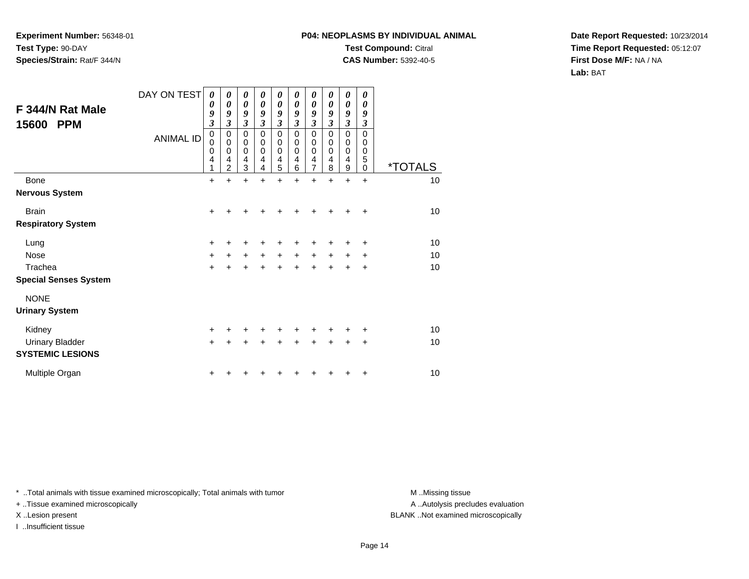## **P04: NEOPLASMS BY INDIVIDUAL ANIMALTest Compound:** Citral

**CAS Number:** 5392-40-5

**Date Report Requested:** 10/23/2014**Time Report Requested:** 05:12:07**First Dose M/F:** NA / NA**Lab:** BAT

| F 344/N Rat Male<br>15600<br><b>PPM</b> | DAY ON TEST<br><b>ANIMAL ID</b> | 0<br>0<br>9<br>$\mathfrak{z}$<br>$\pmb{0}$<br>$\mathbf 0$<br>$\mathbf 0$<br>4<br>1 | 0<br>0<br>9<br>3<br>$\mathbf 0$<br>$\mathbf 0$<br>$\mathbf 0$<br>4<br>$\overline{2}$ | 0<br>$\boldsymbol{\theta}$<br>9<br>$\boldsymbol{\beta}$<br>$\mathbf 0$<br>$\pmb{0}$<br>$\mathbf 0$<br>4<br>3 | 0<br>0<br>9<br>3<br>0<br>0<br>$\Omega$<br>4<br>4 | 0<br>$\boldsymbol{\theta}$<br>9<br>$\boldsymbol{\beta}$<br>$\mathbf 0$<br>0<br>$\mathbf 0$<br>4<br>5 | 0<br>$\theta$<br>9<br>3<br>$\mathbf 0$<br>0<br>$\Omega$<br>4<br>6 | 0<br>$\boldsymbol{\theta}$<br>9<br>$\boldsymbol{\beta}$<br>$\mathbf 0$<br>$\mathbf 0$<br>$\mathbf 0$<br>4<br>$\overline{7}$ | 0<br>0<br>9<br>3<br>0<br>0<br>0<br>4<br>8 | 0<br>$\boldsymbol{\theta}$<br>9<br>$\mathfrak{z}$<br>$\mathsf 0$<br>$\pmb{0}$<br>$\mathbf 0$<br>4<br>9 | 0<br>0<br>9<br>$\mathfrak{z}$<br>0<br>$\mathsf 0$<br>0<br>5<br>$\mathbf 0$ | <i><b>*TOTALS</b></i> |
|-----------------------------------------|---------------------------------|------------------------------------------------------------------------------------|--------------------------------------------------------------------------------------|--------------------------------------------------------------------------------------------------------------|--------------------------------------------------|------------------------------------------------------------------------------------------------------|-------------------------------------------------------------------|-----------------------------------------------------------------------------------------------------------------------------|-------------------------------------------|--------------------------------------------------------------------------------------------------------|----------------------------------------------------------------------------|-----------------------|
| Bone                                    |                                 | $\ddot{}$                                                                          | ÷                                                                                    | $\ddot{}$                                                                                                    | $\ddot{}$                                        | $\ddot{}$                                                                                            | $\ddot{}$                                                         | $\ddot{}$                                                                                                                   | $\ddot{}$                                 | $\ddot{}$                                                                                              | $\ddot{}$                                                                  | 10                    |
| <b>Nervous System</b>                   |                                 |                                                                                    |                                                                                      |                                                                                                              |                                                  |                                                                                                      |                                                                   |                                                                                                                             |                                           |                                                                                                        |                                                                            |                       |
| <b>Brain</b>                            |                                 | $+$                                                                                |                                                                                      |                                                                                                              |                                                  | +                                                                                                    |                                                                   | +                                                                                                                           |                                           |                                                                                                        | $\ddot{}$                                                                  | 10                    |
| <b>Respiratory System</b>               |                                 |                                                                                    |                                                                                      |                                                                                                              |                                                  |                                                                                                      |                                                                   |                                                                                                                             |                                           |                                                                                                        |                                                                            |                       |
| Lung                                    |                                 | $+$                                                                                |                                                                                      | +                                                                                                            | +                                                | +                                                                                                    | +                                                                 | +                                                                                                                           |                                           |                                                                                                        | ٠                                                                          | 10                    |
| <b>Nose</b>                             |                                 | $\ddot{}$                                                                          | +                                                                                    | $\ddot{}$                                                                                                    | $\ddot{}$                                        | $\ddot{}$                                                                                            | +                                                                 | +                                                                                                                           | $\ddot{}$                                 | ÷                                                                                                      | ÷                                                                          | 10                    |
| Trachea                                 |                                 | $\ddot{}$                                                                          |                                                                                      |                                                                                                              | +                                                | $\ddot{}$                                                                                            | +                                                                 | +                                                                                                                           | +                                         | +                                                                                                      | +                                                                          | 10                    |
| <b>Special Senses System</b>            |                                 |                                                                                    |                                                                                      |                                                                                                              |                                                  |                                                                                                      |                                                                   |                                                                                                                             |                                           |                                                                                                        |                                                                            |                       |
| <b>NONE</b>                             |                                 |                                                                                    |                                                                                      |                                                                                                              |                                                  |                                                                                                      |                                                                   |                                                                                                                             |                                           |                                                                                                        |                                                                            |                       |
| <b>Urinary System</b>                   |                                 |                                                                                    |                                                                                      |                                                                                                              |                                                  |                                                                                                      |                                                                   |                                                                                                                             |                                           |                                                                                                        |                                                                            |                       |
| Kidney                                  |                                 | +                                                                                  |                                                                                      |                                                                                                              |                                                  |                                                                                                      |                                                                   |                                                                                                                             |                                           |                                                                                                        |                                                                            | 10                    |
| <b>Urinary Bladder</b>                  |                                 | $\ddot{}$                                                                          |                                                                                      |                                                                                                              |                                                  | +                                                                                                    |                                                                   | +                                                                                                                           |                                           |                                                                                                        | +                                                                          | 10                    |
| <b>SYSTEMIC LESIONS</b>                 |                                 |                                                                                    |                                                                                      |                                                                                                              |                                                  |                                                                                                      |                                                                   |                                                                                                                             |                                           |                                                                                                        |                                                                            |                       |
| Multiple Organ                          |                                 | +                                                                                  |                                                                                      |                                                                                                              |                                                  |                                                                                                      |                                                                   |                                                                                                                             |                                           |                                                                                                        | ÷                                                                          | 10                    |

\* ..Total animals with tissue examined microscopically; Total animals with tumor **M** . Missing tissue M ..Missing tissue

+ ..Tissue examined microscopically

I ..Insufficient tissue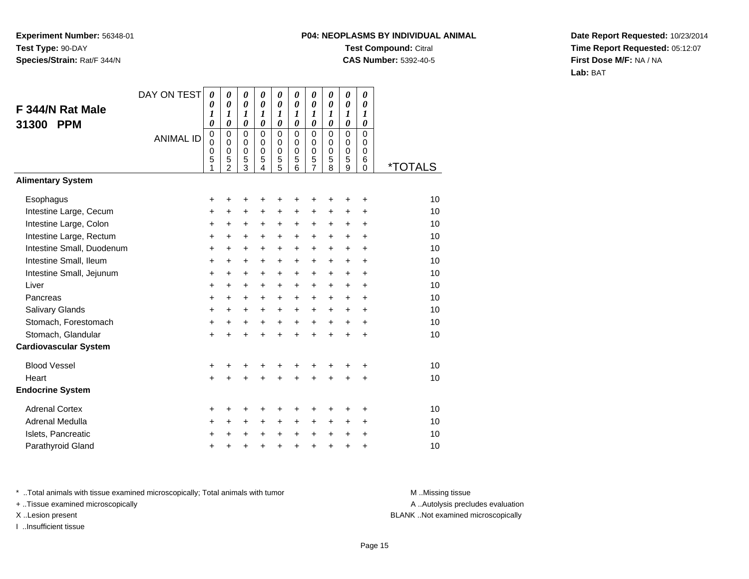## **P04: NEOPLASMS BY INDIVIDUAL ANIMALTest Compound:** Citral **CAS Number:** 5392-40-5

**Date Report Requested:** 10/23/2014**Time Report Requested:** 05:12:07**First Dose M/F:** NA / NA**Lab:** BAT

| F 344/N Rat Male             | DAY ON TEST      | $\boldsymbol{\theta}$<br>0<br>1                | $\boldsymbol{\theta}$<br>$\boldsymbol{\theta}$<br>1                | 0<br>$\boldsymbol{\theta}$<br>1                                    | 0<br>$\theta$<br>1                          | 0<br>0<br>1                                              | 0<br>$\boldsymbol{\theta}$<br>1             | $\boldsymbol{\theta}$<br>0<br>1                           | 0<br>$\boldsymbol{\theta}$<br>1   | $\pmb{\theta}$<br>0<br>1             | 0<br>0<br>1                              |                       |
|------------------------------|------------------|------------------------------------------------|--------------------------------------------------------------------|--------------------------------------------------------------------|---------------------------------------------|----------------------------------------------------------|---------------------------------------------|-----------------------------------------------------------|-----------------------------------|--------------------------------------|------------------------------------------|-----------------------|
| <b>PPM</b><br>31300          | <b>ANIMAL ID</b> | 0<br>$\mathbf 0$<br>$\mathbf 0$<br>$\mathbf 0$ | $\boldsymbol{\theta}$<br>$\mathbf 0$<br>$\mathbf 0$<br>$\mathbf 0$ | $\boldsymbol{\theta}$<br>$\mathbf 0$<br>$\mathbf 0$<br>$\mathbf 0$ | 0<br>$\mathbf 0$<br>$\Omega$<br>$\mathbf 0$ | $\boldsymbol{\theta}$<br>$\mathbf 0$<br>0<br>$\mathbf 0$ | 0<br>$\mathbf 0$<br>$\Omega$<br>$\mathbf 0$ | $\pmb{\theta}$<br>$\mathbf 0$<br>$\mathbf 0$<br>$\pmb{0}$ | 0<br>0<br>$\Omega$<br>$\mathbf 0$ | 0<br>$\mathbf 0$<br>$\mathbf 0$<br>0 | 0<br>$\Omega$<br>$\Omega$<br>$\mathbf 0$ |                       |
|                              |                  | 5<br>1                                         | 5<br>$\overline{2}$                                                | 5<br>$\overline{3}$                                                | 5<br>$\overline{4}$                         | 5<br>5                                                   | 5<br>6                                      | 5<br>7                                                    | 5<br>8                            | 5<br>9                               | 6<br>0                                   | <i><b>*TOTALS</b></i> |
| <b>Alimentary System</b>     |                  |                                                |                                                                    |                                                                    |                                             |                                                          |                                             |                                                           |                                   |                                      |                                          |                       |
| Esophagus                    |                  | +                                              | +                                                                  | +                                                                  | +                                           | +                                                        | +                                           | +                                                         |                                   | +                                    | ٠                                        | 10                    |
| Intestine Large, Cecum       |                  | $\ddot{}$                                      | $\ddot{}$                                                          | $\ddot{}$                                                          | $\ddot{}$                                   | $\ddot{}$                                                | $\ddot{}$                                   | +                                                         | +                                 | $\ddot{}$                            | $\ddot{}$                                | 10                    |
| Intestine Large, Colon       |                  | $\ddot{}$                                      | $\ddot{}$                                                          | $\ddot{}$                                                          | +                                           | +                                                        | +                                           | $\ddot{}$                                                 | $\ddot{}$                         | $\ddot{}$                            | $\ddot{}$                                | 10                    |
| Intestine Large, Rectum      |                  | +                                              | $\ddot{}$                                                          | $\ddot{}$                                                          | $\ddot{}$                                   | +                                                        | $\ddot{}$                                   | +                                                         | +                                 | $\ddot{}$                            | $\ddot{}$                                | 10                    |
| Intestine Small, Duodenum    |                  | $\ddot{}$                                      | $\ddot{}$                                                          | $\ddot{}$                                                          | $\ddot{}$                                   | $\ddot{}$                                                | $\ddot{}$                                   | $\ddot{}$                                                 | $\ddot{}$                         | $+$                                  | $\ddot{}$                                | 10                    |
| Intestine Small, Ileum       |                  | +                                              | $\ddot{}$                                                          | +                                                                  | +                                           | +                                                        | +                                           | +                                                         | +                                 | $\ddot{}$                            | +                                        | 10                    |
| Intestine Small, Jejunum     |                  | $\ddot{}$                                      | $\ddot{}$                                                          | $\ddot{}$                                                          | $\ddot{}$                                   | $\ddot{}$                                                | $\ddot{}$                                   | $\ddot{}$                                                 | $\ddot{}$                         | $\ddot{}$                            | $\ddot{}$                                | 10                    |
| Liver                        |                  | $\ddot{}$                                      | $\ddot{}$                                                          | $\ddot{}$                                                          | $\ddot{}$                                   | +                                                        | +                                           | $\ddot{}$                                                 | +                                 | $\ddot{}$                            | +                                        | 10                    |
| Pancreas                     |                  | $\ddot{}$                                      | $+$                                                                | $\ddot{}$                                                          | $\ddot{}$                                   | $\ddot{}$                                                | $\ddot{}$                                   | +                                                         | $\ddot{}$                         | $+$                                  | $\ddot{}$                                | 10                    |
| Salivary Glands              |                  | $\ddot{}$                                      | +                                                                  | $\ddot{}$                                                          | +                                           | +                                                        | $\ddot{}$                                   | $\pm$                                                     | $\pm$                             | $\ddot{}$                            | $\ddot{}$                                | 10                    |
| Stomach, Forestomach         |                  | $\ddot{}$                                      | $\ddot{}$                                                          | $\ddot{}$                                                          | $\ddot{}$                                   | $\ddot{}$                                                | $\ddot{}$                                   | $\ddot{}$                                                 | $\ddot{}$                         | $\ddot{}$                            | $\ddot{}$                                | 10                    |
| Stomach, Glandular           |                  | $\ddot{}$                                      | $\ddot{}$                                                          | $\ddot{}$                                                          | $\ddot{}$                                   | $\ddot{}$                                                | $\ddot{}$                                   | $\ddot{}$                                                 | $\ddot{}$                         | $\ddot{}$                            | $\ddot{}$                                | 10                    |
| <b>Cardiovascular System</b> |                  |                                                |                                                                    |                                                                    |                                             |                                                          |                                             |                                                           |                                   |                                      |                                          |                       |
| <b>Blood Vessel</b>          |                  | $\ddot{}$                                      |                                                                    | +                                                                  | +                                           | +                                                        | +                                           |                                                           |                                   | +                                    | +                                        | 10                    |
| Heart                        |                  | $\ddot{}$                                      |                                                                    | $\ddot{}$                                                          | $\ddot{}$                                   | $\ddot{}$                                                | $\ddot{}$                                   | $\ddot{}$                                                 | $\ddot{}$                         | +                                    | +                                        | 10                    |
| <b>Endocrine System</b>      |                  |                                                |                                                                    |                                                                    |                                             |                                                          |                                             |                                                           |                                   |                                      |                                          |                       |
| <b>Adrenal Cortex</b>        |                  | +                                              |                                                                    | ٠                                                                  | ٠                                           | +                                                        | +                                           | +                                                         |                                   | +                                    | ٠                                        | 10                    |
| Adrenal Medulla              |                  | +                                              | $\ddot{}$                                                          | $\ddot{}$                                                          | $\ddot{}$                                   | $\ddot{}$                                                | $\ddot{}$                                   | $\ddot{}$                                                 | $\pm$                             | $\ddot{}$                            | $\ddot{}$                                | 10                    |
| Islets, Pancreatic           |                  | +                                              |                                                                    | $\pm$                                                              | +                                           | +                                                        | $\ddot{}$                                   | $\pm$                                                     | $\pm$                             | $\ddot{}$                            | $\ddot{}$                                | 10                    |
| Parathyroid Gland            |                  | $\ddot{}$                                      |                                                                    | +                                                                  | $\ddot{}$                                   | +                                                        | $\ddot{}$                                   | +                                                         | $\ddot{}$                         | $\ddot{}$                            | $\ddot{}$                                | 10                    |

\* ..Total animals with tissue examined microscopically; Total animals with tumor **M** . Missing tissue M ..Missing tissue

+ ..Tissue examined microscopically

I ..Insufficient tissue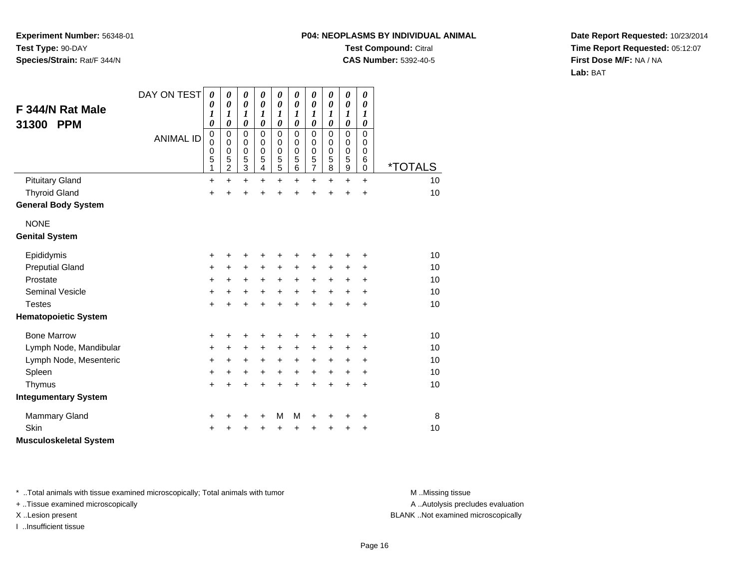# **P04: NEOPLASMS BY INDIVIDUAL ANIMALTest Compound:** Citral

**CAS Number:** 5392-40-5

**Date Report Requested:** 10/23/2014**Time Report Requested:** 05:12:07**First Dose M/F:** NA / NA**Lab:** BAT

| F 344/N Rat Male<br>31300<br><b>PPM</b> | DAY ON TEST<br><b>ANIMAL ID</b> | 0<br>0<br>$\boldsymbol{l}$<br>0<br>$\boldsymbol{0}$<br>0<br>0<br>5<br>1 | 0<br>0<br>1<br>$\boldsymbol{\theta}$<br>0<br>0<br>0<br>5<br>$\overline{c}$ | $\boldsymbol{\theta}$<br>$\boldsymbol{\theta}$<br>$\boldsymbol{l}$<br>$\boldsymbol{\theta}$<br>$\mathbf 0$<br>0<br>$\mathbf 0$<br>5<br>3 | 0<br>$\boldsymbol{\theta}$<br>1<br>$\boldsymbol{\theta}$<br>$\Omega$<br>0<br>$\mathbf 0$<br>5<br>4 | 0<br>$\boldsymbol{\theta}$<br>1<br>$\pmb{\theta}$<br>$\mathbf 0$<br>0<br>$\mathbf 0$<br>$\mathbf 5$<br>5 | 0<br>0<br>$\boldsymbol{l}$<br>$\boldsymbol{\theta}$<br>$\Omega$<br>0<br>$\pmb{0}$<br>5<br>6 | 0<br>$\boldsymbol{\theta}$<br>1<br>$\pmb{\theta}$<br>$\mathbf 0$<br>0<br>$\mathbf 0$<br>5<br>$\overline{7}$ | 0<br>0<br>1<br>0<br>$\Omega$<br>0<br>$\mathbf 0$<br>5<br>8 | 0<br>$\boldsymbol{\theta}$<br>$\boldsymbol{l}$<br>$\boldsymbol{\theta}$<br>$\mathbf 0$<br>0<br>$\pmb{0}$<br>$\sqrt{5}$<br>$\boldsymbol{9}$ | $\boldsymbol{\theta}$<br>$\boldsymbol{\theta}$<br>1<br>0<br>$\Omega$<br>0<br>$\mathbf 0$<br>6<br>$\mathbf 0$ | <i><b>*TOTALS</b></i> |
|-----------------------------------------|---------------------------------|-------------------------------------------------------------------------|----------------------------------------------------------------------------|------------------------------------------------------------------------------------------------------------------------------------------|----------------------------------------------------------------------------------------------------|----------------------------------------------------------------------------------------------------------|---------------------------------------------------------------------------------------------|-------------------------------------------------------------------------------------------------------------|------------------------------------------------------------|--------------------------------------------------------------------------------------------------------------------------------------------|--------------------------------------------------------------------------------------------------------------|-----------------------|
| <b>Pituitary Gland</b>                  |                                 | +                                                                       | $\ddot{}$                                                                  | $\ddot{}$                                                                                                                                | $\ddot{}$                                                                                          | $\ddot{}$                                                                                                | $\ddot{}$                                                                                   | $\ddot{}$                                                                                                   | $\ddot{}$                                                  | $\ddot{}$                                                                                                                                  | $\ddot{}$                                                                                                    | 10                    |
| <b>Thyroid Gland</b>                    |                                 | $\ddot{}$                                                               | $\ddot{}$                                                                  | $\ddot{}$                                                                                                                                | $\ddot{}$                                                                                          | $\ddot{}$                                                                                                | $\ddot{}$                                                                                   | $\ddot{}$                                                                                                   | $\ddot{}$                                                  | $\ddot{}$                                                                                                                                  | $\ddot{}$                                                                                                    | 10                    |
| <b>General Body System</b>              |                                 |                                                                         |                                                                            |                                                                                                                                          |                                                                                                    |                                                                                                          |                                                                                             |                                                                                                             |                                                            |                                                                                                                                            |                                                                                                              |                       |
| <b>NONE</b>                             |                                 |                                                                         |                                                                            |                                                                                                                                          |                                                                                                    |                                                                                                          |                                                                                             |                                                                                                             |                                                            |                                                                                                                                            |                                                                                                              |                       |
| <b>Genital System</b>                   |                                 |                                                                         |                                                                            |                                                                                                                                          |                                                                                                    |                                                                                                          |                                                                                             |                                                                                                             |                                                            |                                                                                                                                            |                                                                                                              |                       |
| Epididymis                              |                                 | +                                                                       | +                                                                          | +                                                                                                                                        | +                                                                                                  | +                                                                                                        | +                                                                                           | +                                                                                                           | +                                                          | +                                                                                                                                          | +                                                                                                            | 10                    |
| <b>Preputial Gland</b>                  |                                 | +                                                                       | +                                                                          | +                                                                                                                                        | +                                                                                                  | +                                                                                                        | +                                                                                           | +                                                                                                           | +                                                          | +                                                                                                                                          | +                                                                                                            | 10                    |
| Prostate                                |                                 | +                                                                       | $\ddot{}$                                                                  | +                                                                                                                                        | $\ddot{}$                                                                                          | $\ddot{}$                                                                                                | $+$                                                                                         | $\ddot{}$                                                                                                   | $\ddot{}$                                                  | $\ddot{}$                                                                                                                                  | $\ddot{}$                                                                                                    | 10                    |
| <b>Seminal Vesicle</b>                  |                                 | +                                                                       | +                                                                          | $\ddot{}$                                                                                                                                | $\ddot{}$                                                                                          | $\ddot{}$                                                                                                | $\ddot{}$                                                                                   | $\ddot{}$                                                                                                   | $\ddot{}$                                                  | $\ddot{}$                                                                                                                                  | $\ddot{}$                                                                                                    | 10                    |
| <b>Testes</b>                           |                                 | +                                                                       | +                                                                          | $\ddot{}$                                                                                                                                | +                                                                                                  | $\ddot{}$                                                                                                | $\ddot{}$                                                                                   | $\ddot{}$                                                                                                   | $\ddot{}$                                                  | $\ddot{}$                                                                                                                                  | +                                                                                                            | 10                    |
| <b>Hematopoietic System</b>             |                                 |                                                                         |                                                                            |                                                                                                                                          |                                                                                                    |                                                                                                          |                                                                                             |                                                                                                             |                                                            |                                                                                                                                            |                                                                                                              |                       |
| <b>Bone Marrow</b>                      |                                 | +                                                                       | +                                                                          | +                                                                                                                                        | +                                                                                                  | +                                                                                                        | +                                                                                           | +                                                                                                           | +                                                          | +                                                                                                                                          | +                                                                                                            | 10                    |
| Lymph Node, Mandibular                  |                                 | +                                                                       | $\ddot{}$                                                                  | $\ddot{}$                                                                                                                                | $\ddot{}$                                                                                          | $\ddot{}$                                                                                                | $\ddot{}$                                                                                   | $\ddot{}$                                                                                                   | +                                                          | +                                                                                                                                          | +                                                                                                            | 10                    |
| Lymph Node, Mesenteric                  |                                 | +                                                                       | +                                                                          | $\ddot{}$                                                                                                                                | $\ddot{}$                                                                                          | $\ddot{}$                                                                                                | $\ddot{}$                                                                                   | $\ddot{}$                                                                                                   | +                                                          | $\ddot{}$                                                                                                                                  | $\ddot{}$                                                                                                    | 10                    |
| Spleen                                  |                                 | +                                                                       | +                                                                          | +                                                                                                                                        | $\ddot{}$                                                                                          | $\ddot{}$                                                                                                | $\ddot{}$                                                                                   | $\ddot{}$                                                                                                   | +                                                          | $\ddot{}$                                                                                                                                  | $\ddot{}$                                                                                                    | 10                    |
| Thymus                                  |                                 | +                                                                       | $\ddot{}$                                                                  | $\ddot{}$                                                                                                                                |                                                                                                    | $\ddot{}$                                                                                                | $\ddot{}$                                                                                   | $\ddot{}$                                                                                                   | $\ddot{}$                                                  | $\ddot{}$                                                                                                                                  | $\ddot{}$                                                                                                    | 10                    |
| <b>Integumentary System</b>             |                                 |                                                                         |                                                                            |                                                                                                                                          |                                                                                                    |                                                                                                          |                                                                                             |                                                                                                             |                                                            |                                                                                                                                            |                                                                                                              |                       |
| Mammary Gland                           |                                 | +                                                                       | +                                                                          | +                                                                                                                                        | +                                                                                                  | M                                                                                                        | M                                                                                           | +                                                                                                           | +                                                          | +                                                                                                                                          | +                                                                                                            | 8                     |
| Skin                                    |                                 | +                                                                       |                                                                            | +                                                                                                                                        |                                                                                                    | $\ddot{}$                                                                                                | ٠                                                                                           | ٠                                                                                                           | +                                                          | +                                                                                                                                          | +                                                                                                            | 10                    |
| <b>Musculoskeletal System</b>           |                                 |                                                                         |                                                                            |                                                                                                                                          |                                                                                                    |                                                                                                          |                                                                                             |                                                                                                             |                                                            |                                                                                                                                            |                                                                                                              |                       |

\* ..Total animals with tissue examined microscopically; Total animals with tumor **M** . Missing tissue M ..Missing tissue

+ ..Tissue examined microscopically

I ..Insufficient tissue

A ..Autolysis precludes evaluation

X ..Lesion present BLANK ..Not examined microscopically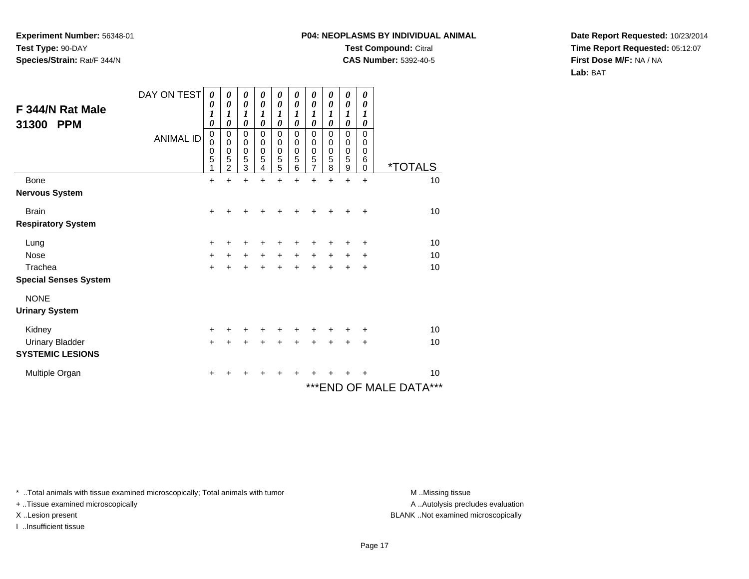# **P04: NEOPLASMS BY INDIVIDUAL ANIMALTest Compound:** Citral

**CAS Number:** 5392-40-5

**Date Report Requested:** 10/23/2014**Time Report Requested:** 05:12:07**First Dose M/F:** NA / NA**Lab:** BAT

| F 344/N Rat Male<br>31300<br><b>PPM</b> | DAY ON TEST<br><b>ANIMAL ID</b> | 0<br>0<br>1<br>$\boldsymbol{\theta}$<br>$\mathbf 0$<br>$\mathbf 0$<br>$\mathbf 0$<br>5<br>1 | 0<br>0<br>1<br>0<br>0<br>0<br>0<br>5<br>$\mathfrak{p}$ | 0<br>0<br>1<br>$\boldsymbol{\theta}$<br>$\mathbf 0$<br>$\mathbf 0$<br>$\pmb{0}$<br>$\sqrt{5}$<br>3 | 0<br>0<br>1<br>0<br>$\mathbf 0$<br>0<br>0<br>5<br>4 | 0<br>$\boldsymbol{\theta}$<br>1<br>$\boldsymbol{\theta}$<br>0<br>0<br>$\pmb{0}$<br>$\frac{5}{5}$ | 0<br>0<br>1<br>0<br>$\mathbf 0$<br>0<br>$\mathbf 0$<br>5<br>6 | 0<br>$\boldsymbol{\theta}$<br>1<br>$\boldsymbol{\theta}$<br>$\mathbf 0$<br>0<br>$\begin{array}{c} 0 \\ 5 \\ 7 \end{array}$ | 0<br>0<br>1<br>0<br>$\mathbf 0$<br>0<br>0<br>5<br>8 | 0<br>0<br>1<br>$\boldsymbol{\theta}$<br>$\mathbf 0$<br>$\pmb{0}$<br>$\pmb{0}$<br>5<br>9 | 0<br>0<br>1<br>0<br>$\mathbf 0$<br>0<br>0<br>6<br>$\Omega$ | <i><b>*TOTALS</b></i>   |
|-----------------------------------------|---------------------------------|---------------------------------------------------------------------------------------------|--------------------------------------------------------|----------------------------------------------------------------------------------------------------|-----------------------------------------------------|--------------------------------------------------------------------------------------------------|---------------------------------------------------------------|----------------------------------------------------------------------------------------------------------------------------|-----------------------------------------------------|-----------------------------------------------------------------------------------------|------------------------------------------------------------|-------------------------|
| Bone                                    |                                 | $\ddot{}$                                                                                   | ÷                                                      | $\ddot{}$                                                                                          | $\ddot{}$                                           | ÷                                                                                                | $\ddot{}$                                                     | +                                                                                                                          | +                                                   | +                                                                                       | $\ddot{}$                                                  | 10                      |
| <b>Nervous System</b>                   |                                 |                                                                                             |                                                        |                                                                                                    |                                                     |                                                                                                  |                                                               |                                                                                                                            |                                                     |                                                                                         |                                                            |                         |
| <b>Brain</b>                            |                                 | $\ddot{}$                                                                                   | ٠                                                      | +                                                                                                  | ٠                                                   | +                                                                                                |                                                               | +                                                                                                                          |                                                     |                                                                                         | ÷                                                          | 10                      |
| <b>Respiratory System</b>               |                                 |                                                                                             |                                                        |                                                                                                    |                                                     |                                                                                                  |                                                               |                                                                                                                            |                                                     |                                                                                         |                                                            |                         |
| Lung                                    |                                 | +                                                                                           |                                                        |                                                                                                    |                                                     |                                                                                                  |                                                               |                                                                                                                            |                                                     |                                                                                         | ٠                                                          | 10                      |
| <b>Nose</b>                             |                                 | $\ddot{}$                                                                                   | $\ddot{}$                                              | $\ddot{}$                                                                                          | $\ddot{}$                                           | $\ddot{}$                                                                                        | $\ddot{}$                                                     | $\ddot{}$                                                                                                                  | +                                                   | +                                                                                       | +                                                          | 10                      |
| Trachea                                 |                                 | $\ddot{}$                                                                                   |                                                        | $\ddot{}$                                                                                          | +                                                   | $\ddot{}$                                                                                        | +                                                             | $\ddot{}$                                                                                                                  | +                                                   | +                                                                                       | $\ddot{}$                                                  | 10                      |
| <b>Special Senses System</b>            |                                 |                                                                                             |                                                        |                                                                                                    |                                                     |                                                                                                  |                                                               |                                                                                                                            |                                                     |                                                                                         |                                                            |                         |
| <b>NONE</b>                             |                                 |                                                                                             |                                                        |                                                                                                    |                                                     |                                                                                                  |                                                               |                                                                                                                            |                                                     |                                                                                         |                                                            |                         |
| <b>Urinary System</b>                   |                                 |                                                                                             |                                                        |                                                                                                    |                                                     |                                                                                                  |                                                               |                                                                                                                            |                                                     |                                                                                         |                                                            |                         |
| Kidney                                  |                                 | $\ddot{}$                                                                                   | ٠                                                      | +                                                                                                  | +                                                   | +                                                                                                | +                                                             | ٠                                                                                                                          |                                                     |                                                                                         | ÷                                                          | 10                      |
| <b>Urinary Bladder</b>                  |                                 | $\ddot{}$                                                                                   |                                                        | +                                                                                                  | +                                                   | $\ddot{}$                                                                                        | $\ddot{}$                                                     | $\ddot{}$                                                                                                                  | $\ddot{}$                                           | $\ddot{}$                                                                               | $\ddot{}$                                                  | 10                      |
| <b>SYSTEMIC LESIONS</b>                 |                                 |                                                                                             |                                                        |                                                                                                    |                                                     |                                                                                                  |                                                               |                                                                                                                            |                                                     |                                                                                         |                                                            |                         |
| Multiple Organ                          |                                 | +                                                                                           |                                                        |                                                                                                    |                                                     |                                                                                                  |                                                               |                                                                                                                            |                                                     |                                                                                         |                                                            | 10                      |
|                                         |                                 |                                                                                             |                                                        |                                                                                                    |                                                     |                                                                                                  |                                                               |                                                                                                                            |                                                     |                                                                                         |                                                            | *** END OF MALE DATA*** |

\* ..Total animals with tissue examined microscopically; Total animals with tumor **M** . Missing tissue M ..Missing tissue

+ ..Tissue examined microscopically

I ..Insufficient tissue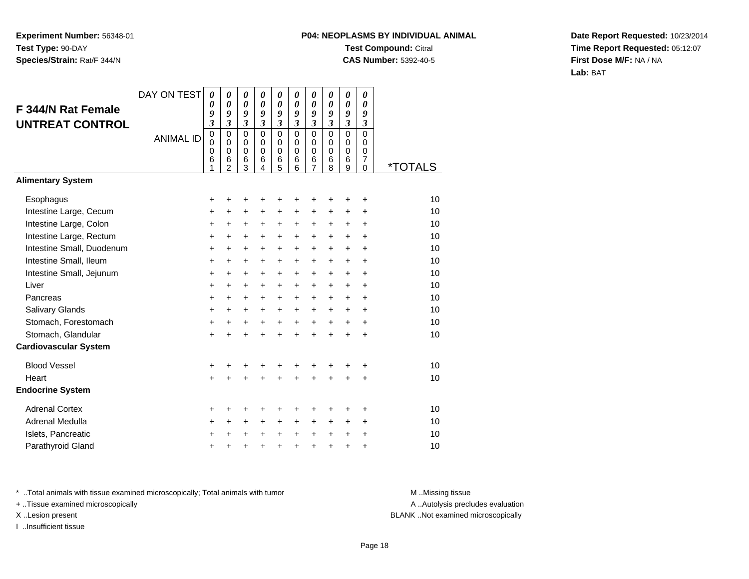## **P04: NEOPLASMS BY INDIVIDUAL ANIMALTest Compound:** Citral **CAS Number:** 5392-40-5

**Date Report Requested:** 10/23/2014**Time Report Requested:** 05:12:07**First Dose M/F:** NA / NA**Lab:** BAT

| <b>F 344/N Rat Female</b><br><b>UNTREAT CONTROL</b> | DAY ON TEST<br><b>ANIMAL ID</b> | 0<br>0<br>9<br>$\overline{\mathbf{3}}$<br>$\mathbf 0$<br>0<br>0<br>6<br>1 | 0<br>$\boldsymbol{\theta}$<br>9<br>$\overline{\mathbf{3}}$<br>$\mathbf 0$<br>$\Omega$<br>$\mathbf 0$<br>6<br>$\overline{2}$ | $\boldsymbol{\theta}$<br>$\boldsymbol{\theta}$<br>9<br>3<br>$\mathbf 0$<br>0<br>$\mathbf 0$<br>6<br>3 | 0<br>$\boldsymbol{\theta}$<br>9<br>$\mathfrak{z}$<br>$\Omega$<br>$\Omega$<br>$\mathbf 0$<br>6<br>4 | 0<br>0<br>9<br>$\overline{\mathbf{3}}$<br>$\mathbf 0$<br>0<br>$\mathbf 0$<br>6<br>5 | 0<br>0<br>9<br>$\mathfrak{z}$<br>$\Omega$<br>$\Omega$<br>$\Omega$<br>6<br>6 | 0<br>0<br>9<br>$\boldsymbol{\beta}$<br>$\mathbf 0$<br>0<br>$\mathbf 0$<br>6<br>$\overline{7}$ | 0<br>0<br>9<br>$\overline{\mathbf{3}}$<br>$\mathbf 0$<br>0<br>$\mathbf 0$<br>6<br>8 | 0<br>$\boldsymbol{\theta}$<br>9<br>$\overline{\mathbf{3}}$<br>0<br>0<br>0<br>6<br>9 | 0<br>0<br>9<br>3<br>$\mathbf 0$<br>$\Omega$<br>$\mathbf 0$<br>$\overline{7}$<br>0 | <i><b>*TOTALS</b></i> |
|-----------------------------------------------------|---------------------------------|---------------------------------------------------------------------------|-----------------------------------------------------------------------------------------------------------------------------|-------------------------------------------------------------------------------------------------------|----------------------------------------------------------------------------------------------------|-------------------------------------------------------------------------------------|-----------------------------------------------------------------------------|-----------------------------------------------------------------------------------------------|-------------------------------------------------------------------------------------|-------------------------------------------------------------------------------------|-----------------------------------------------------------------------------------|-----------------------|
| <b>Alimentary System</b>                            |                                 |                                                                           |                                                                                                                             |                                                                                                       |                                                                                                    |                                                                                     |                                                                             |                                                                                               |                                                                                     |                                                                                     |                                                                                   |                       |
| Esophagus                                           |                                 | +                                                                         | +                                                                                                                           | +                                                                                                     | +                                                                                                  | +                                                                                   | +                                                                           | +                                                                                             | +                                                                                   | +                                                                                   | +                                                                                 | 10                    |
| Intestine Large, Cecum                              |                                 | +                                                                         | +                                                                                                                           | +                                                                                                     | +                                                                                                  | +                                                                                   | +                                                                           | +                                                                                             | +                                                                                   | +                                                                                   | +                                                                                 | 10                    |
| Intestine Large, Colon                              |                                 | $\ddot{}$                                                                 | $\ddot{}$                                                                                                                   | $\ddot{}$                                                                                             | +                                                                                                  | +                                                                                   | +                                                                           | +                                                                                             | $\pm$                                                                               | +                                                                                   | $\ddot{}$                                                                         | 10                    |
| Intestine Large, Rectum                             |                                 | +                                                                         | +                                                                                                                           | $\ddot{}$                                                                                             | +                                                                                                  | +                                                                                   | $\ddot{}$                                                                   | $\ddot{}$                                                                                     | $\ddot{}$                                                                           | $\pm$                                                                               | +                                                                                 | 10                    |
| Intestine Small, Duodenum                           |                                 | $\ddot{}$                                                                 | $\ddot{}$                                                                                                                   | $\ddot{}$                                                                                             | $\ddot{}$                                                                                          | $\ddot{}$                                                                           | $\ddot{}$                                                                   | $\ddot{}$                                                                                     | $\ddot{}$                                                                           | $\ddot{}$                                                                           | $\ddot{}$                                                                         | 10                    |
| Intestine Small, Ileum                              |                                 | +                                                                         | +                                                                                                                           | $\ddot{}$                                                                                             | +                                                                                                  | +                                                                                   | +                                                                           | +                                                                                             | +                                                                                   | +                                                                                   | +                                                                                 | 10                    |
| Intestine Small, Jejunum                            |                                 | +                                                                         | $\ddot{}$                                                                                                                   | $\ddot{}$                                                                                             | $\ddot{}$                                                                                          | $\ddot{}$                                                                           | $\ddot{}$                                                                   | $\ddot{}$                                                                                     | $\ddot{}$                                                                           | $\ddot{}$                                                                           | $\ddot{}$                                                                         | 10                    |
| Liver                                               |                                 | +                                                                         | +                                                                                                                           | $\ddot{}$                                                                                             | +                                                                                                  | +                                                                                   | +                                                                           | +                                                                                             | +                                                                                   | +                                                                                   | +                                                                                 | 10                    |
| Pancreas                                            |                                 | $\ddot{}$                                                                 | $\ddot{}$                                                                                                                   | $\ddot{}$                                                                                             | $\ddot{}$                                                                                          | $\ddot{}$                                                                           | $\ddot{}$                                                                   | $\ddot{}$                                                                                     | $\ddot{}$                                                                           | $\ddot{}$                                                                           | $\ddot{}$                                                                         | 10                    |
| Salivary Glands                                     |                                 | +                                                                         | +                                                                                                                           | +                                                                                                     | +                                                                                                  | +                                                                                   | +                                                                           | +                                                                                             | $\pm$                                                                               | +                                                                                   | +                                                                                 | 10                    |
| Stomach, Forestomach                                |                                 | $\ddot{}$                                                                 | $\ddot{}$                                                                                                                   | $\ddot{}$                                                                                             | $\ddot{}$                                                                                          | $\ddot{}$                                                                           | $\ddot{}$                                                                   | $\ddot{}$                                                                                     | $+$                                                                                 | $+$                                                                                 | $\ddot{}$                                                                         | 10                    |
| Stomach, Glandular                                  |                                 | $\ddot{}$                                                                 | $\ddot{}$                                                                                                                   | $\ddot{}$                                                                                             | $\ddot{}$                                                                                          | $\ddot{}$                                                                           | $\ddot{}$                                                                   | $\ddot{}$                                                                                     | $\ddot{}$                                                                           | $\ddot{}$                                                                           | $\ddot{}$                                                                         | 10                    |
| <b>Cardiovascular System</b>                        |                                 |                                                                           |                                                                                                                             |                                                                                                       |                                                                                                    |                                                                                     |                                                                             |                                                                                               |                                                                                     |                                                                                     |                                                                                   |                       |
| <b>Blood Vessel</b>                                 |                                 | +                                                                         | +                                                                                                                           | +                                                                                                     | +                                                                                                  | +                                                                                   | +                                                                           | +                                                                                             |                                                                                     | +                                                                                   | +                                                                                 | 10                    |
| Heart                                               |                                 | $\ddot{}$                                                                 | $\ddot{}$                                                                                                                   | $\ddot{}$                                                                                             | ÷                                                                                                  | $\ddot{}$                                                                           | $\ddot{}$                                                                   | $\ddot{}$                                                                                     | ÷                                                                                   | $\ddot{}$                                                                           | $\ddot{}$                                                                         | 10                    |
| <b>Endocrine System</b>                             |                                 |                                                                           |                                                                                                                             |                                                                                                       |                                                                                                    |                                                                                     |                                                                             |                                                                                               |                                                                                     |                                                                                     |                                                                                   |                       |
| <b>Adrenal Cortex</b>                               |                                 | +                                                                         | +                                                                                                                           | +                                                                                                     |                                                                                                    | +                                                                                   | +                                                                           | +                                                                                             |                                                                                     | +                                                                                   | +                                                                                 | 10                    |
| Adrenal Medulla                                     |                                 | +                                                                         | $\ddot{}$                                                                                                                   | $\ddot{}$                                                                                             | $\ddot{}$                                                                                          | +                                                                                   | $\ddot{}$                                                                   | +                                                                                             | $\pm$                                                                               | +                                                                                   | +                                                                                 | 10                    |
| Islets, Pancreatic                                  |                                 | +                                                                         | +                                                                                                                           | $\ddot{}$                                                                                             | $\ddot{}$                                                                                          | +                                                                                   | $\ddot{}$                                                                   | $\ddot{}$                                                                                     | $\ddot{}$                                                                           | $\ddot{}$                                                                           | $\ddot{}$                                                                         | 10                    |
| Parathyroid Gland                                   |                                 | +                                                                         | +                                                                                                                           | +                                                                                                     | +                                                                                                  | +                                                                                   | $\ddot{}$                                                                   | +                                                                                             | $\ddot{}$                                                                           | +                                                                                   | +                                                                                 | 10                    |

\* ..Total animals with tissue examined microscopically; Total animals with tumor **M** . Missing tissue M ..Missing tissue

+ ..Tissue examined microscopically

I ..Insufficient tissue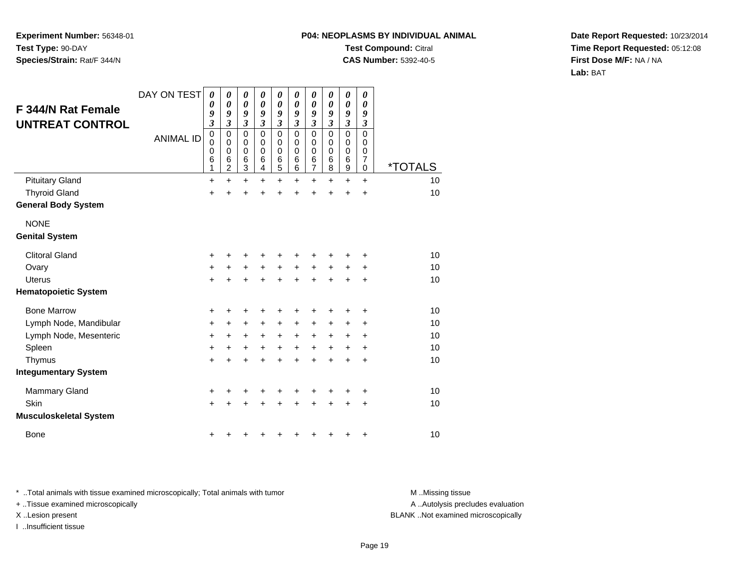## **P04: NEOPLASMS BY INDIVIDUAL ANIMALTest Compound:** Citral

**CAS Number:** 5392-40-5

**Date Report Requested:** 10/23/2014**Time Report Requested:** 05:12:08**First Dose M/F:** NA / NA**Lab:** BAT

|                               | DAY ON TEST      | 0<br>0                      | 0<br>0           | 0<br>$\boldsymbol{\theta}$    | 0<br>$\boldsymbol{\theta}$  | 0<br>0                        | 0<br>0        | 0<br>0                                | 0<br>$\boldsymbol{\theta}$          | 0<br>0                              | 0<br>0                        |                       |
|-------------------------------|------------------|-----------------------------|------------------|-------------------------------|-----------------------------|-------------------------------|---------------|---------------------------------------|-------------------------------------|-------------------------------------|-------------------------------|-----------------------|
| <b>F 344/N Rat Female</b>     |                  | 9                           | 9                | 9                             | 9                           | 9                             | 9             | 9                                     | 9                                   | 9                                   | 9                             |                       |
| <b>UNTREAT CONTROL</b>        |                  | $\mathfrak{z}$<br>$\pmb{0}$ | 3<br>$\pmb{0}$   | $\mathfrak{z}$<br>$\mathbf 0$ | $\mathfrak{z}$<br>$\pmb{0}$ | $\mathfrak{z}$<br>$\mathsf 0$ | 3<br>0        | $\mathfrak{z}$<br>$\pmb{0}$           | $\boldsymbol{\beta}$<br>$\mathbf 0$ | $\boldsymbol{\beta}$<br>$\mathbf 0$ | $\mathfrak{z}$<br>$\mathbf 0$ |                       |
|                               | <b>ANIMAL ID</b> | $\mathbf 0$                 | 0                | 0                             | 0                           | 0                             | 0             | 0                                     | 0                                   | 0                                   | 0                             |                       |
|                               |                  | $\mathbf 0$<br>6            | $\mathbf 0$<br>6 | $\mathbf 0$<br>$\,6$          | 0<br>6                      | 0                             | $\Omega$<br>6 | $\mathbf 0$                           | $\mathbf 0$<br>$\,6$                | $\mathbf 0$<br>$\,6$                | $\mathbf 0$<br>7              |                       |
|                               |                  | $\mathbf{1}$                | $\overline{2}$   | 3                             | $\overline{4}$              | 6<br>5                        | 6             | $\begin{array}{c} 6 \\ 7 \end{array}$ | 8                                   | $\boldsymbol{9}$                    | $\mathbf 0$                   | <i><b>*TOTALS</b></i> |
| <b>Pituitary Gland</b>        |                  | $\ddot{}$                   | $\ddot{}$        | $\ddot{}$                     | $+$                         | $\ddot{}$                     | $\ddot{}$     | $\ddot{}$                             | $\ddot{}$                           | $+$                                 | $\ddot{}$                     | 10                    |
| <b>Thyroid Gland</b>          |                  | $\ddot{}$                   | $\ddot{}$        | $\ddot{}$                     | $\ddot{}$                   | +                             | $\ddot{}$     | $\ddot{}$                             | $\ddot{}$                           | $\ddot{}$                           | $\ddot{}$                     | 10                    |
| <b>General Body System</b>    |                  |                             |                  |                               |                             |                               |               |                                       |                                     |                                     |                               |                       |
| <b>NONE</b>                   |                  |                             |                  |                               |                             |                               |               |                                       |                                     |                                     |                               |                       |
| <b>Genital System</b>         |                  |                             |                  |                               |                             |                               |               |                                       |                                     |                                     |                               |                       |
| <b>Clitoral Gland</b>         |                  | $\ddot{}$                   | +                | +                             | +                           | +                             | +             |                                       |                                     |                                     | +                             | 10                    |
| Ovary                         |                  | +                           | +                | $\ddot{}$                     | $\ddot{}$                   | $\ddot{}$                     | $\ddot{}$     | $\ddot{}$                             | $\ddot{}$                           | $\ddot{}$                           | $\ddot{}$                     | 10                    |
| <b>Uterus</b>                 |                  | $+$                         | $\ddot{}$        | $\ddot{}$                     | $+$                         | $+$                           | $\ddot{}$     | $+$                                   | $+$                                 | $\ddot{}$                           | $\ddot{}$                     | 10                    |
| <b>Hematopoietic System</b>   |                  |                             |                  |                               |                             |                               |               |                                       |                                     |                                     |                               |                       |
| <b>Bone Marrow</b>            |                  | +                           | +                | +                             | +                           | +                             | ٠             | +                                     |                                     | ٠                                   | +                             | 10                    |
| Lymph Node, Mandibular        |                  | $\ddot{}$                   | +                | $\ddot{}$                     | $\ddot{}$                   | $\pm$                         | +             | $\ddot{}$                             | $\ddot{}$                           | $\ddot{}$                           | $\ddot{}$                     | 10                    |
| Lymph Node, Mesenteric        |                  | $\ddot{}$                   | $\ddot{}$        | +                             | $\ddot{}$                   | $\ddot{}$                     | $\ddot{}$     | $\ddot{}$                             | $\ddot{}$                           | $\ddot{}$                           | +                             | 10                    |
| Spleen                        |                  | $\ddot{}$                   | +                | +                             | $\ddot{}$                   | $+$                           | $\ddot{}$     | $\ddot{}$                             | $+$                                 | $\ddot{}$                           | +                             | 10                    |
| Thymus                        |                  | $+$                         | ÷                | $\ddot{}$                     | $\ddot{}$                   | $\ddot{}$                     | $\ddot{}$     | $\ddot{}$                             | $\ddot{}$                           | $\ddot{}$                           | $\ddot{}$                     | 10                    |
| <b>Integumentary System</b>   |                  |                             |                  |                               |                             |                               |               |                                       |                                     |                                     |                               |                       |
| Mammary Gland                 |                  | +                           |                  | +                             |                             | +                             |               |                                       |                                     |                                     | +                             | 10                    |
| Skin                          |                  | $+$                         | $\ddot{}$        | $\ddot{}$                     | +                           | $\ddot{}$                     | ÷             | +                                     |                                     | $\div$                              | $\ddot{}$                     | 10                    |
| <b>Musculoskeletal System</b> |                  |                             |                  |                               |                             |                               |               |                                       |                                     |                                     |                               |                       |
| <b>Bone</b>                   |                  | +                           | ٠                | +                             |                             | +                             | +             | +                                     |                                     | ٠                                   | +                             | 10                    |

\* ..Total animals with tissue examined microscopically; Total animals with tumor **M** . Missing tissue M ..Missing tissue

+ ..Tissue examined microscopically

I ..Insufficient tissue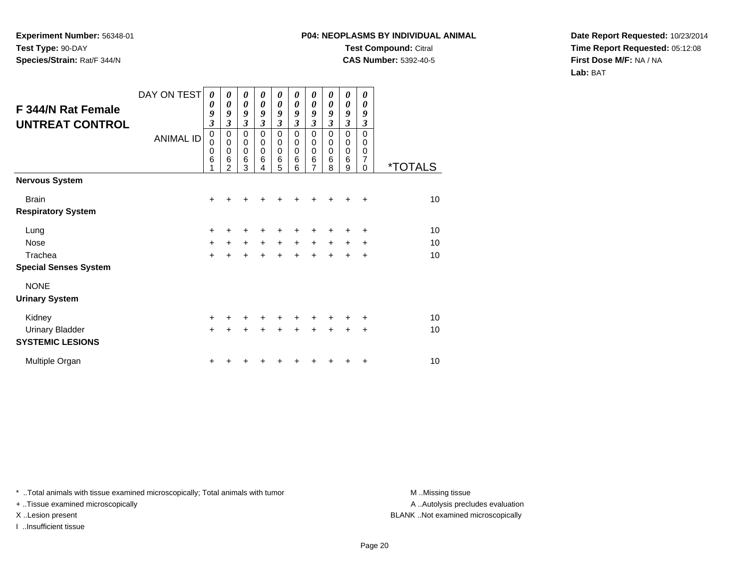## **P04: NEOPLASMS BY INDIVIDUAL ANIMALTest Compound:** Citral **CAS Number:** 5392-40-5

**Date Report Requested:** 10/23/2014**Time Report Requested:** 05:12:08**First Dose M/F:** NA / NA**Lab:** BAT

| <b>F 344/N Rat Female</b><br><b>UNTREAT CONTROL</b> | DAY ON TEST<br><b>ANIMAL ID</b> | $\boldsymbol{\theta}$<br>0<br>9<br>$\overline{\mathbf{3}}$<br>0<br>0<br>0<br>6 | 0<br>$\boldsymbol{\theta}$<br>9<br>3<br>$\mathbf 0$<br>0<br>$\mathbf 0$<br>6<br>2 | $\boldsymbol{\theta}$<br>$\boldsymbol{\theta}$<br>9<br>$\overline{\mathbf{3}}$<br>$\mathbf 0$<br>0<br>$\mathbf 0$<br>6<br>3 | 0<br>$\boldsymbol{\theta}$<br>9<br>$\overline{\mathbf{3}}$<br>$\mathbf 0$<br>0<br>$\mathbf 0$<br>6<br>4 | 0<br>0<br>9<br>$\mathfrak{z}$<br>$\mathbf 0$<br>0<br>$\pmb{0}$<br>6<br>$\sqrt{5}$ | 0<br>0<br>9<br>$\mathfrak{z}$<br>$\mathbf 0$<br>0<br>$\mathbf 0$<br>6<br>6 | 0<br>0<br>9<br>$\mathfrak{z}$<br>$\mathbf 0$<br>0<br>$\pmb{0}$<br>6<br>$\overline{7}$ | 0<br>0<br>9<br>$\overline{\mathbf{3}}$<br>0<br>0<br>0<br>6<br>8 | 0<br>$\boldsymbol{\theta}$<br>9<br>$\overline{\mathbf{3}}$<br>$\mathbf 0$<br>0<br>$\mathbf 0$<br>6<br>9 | 0<br>0<br>9<br>$\overline{\mathbf{3}}$<br>$\Omega$<br>0<br>0<br>7<br>0 | <i><b>*TOTALS</b></i> |
|-----------------------------------------------------|---------------------------------|--------------------------------------------------------------------------------|-----------------------------------------------------------------------------------|-----------------------------------------------------------------------------------------------------------------------------|---------------------------------------------------------------------------------------------------------|-----------------------------------------------------------------------------------|----------------------------------------------------------------------------|---------------------------------------------------------------------------------------|-----------------------------------------------------------------|---------------------------------------------------------------------------------------------------------|------------------------------------------------------------------------|-----------------------|
| <b>Nervous System</b>                               |                                 |                                                                                |                                                                                   |                                                                                                                             |                                                                                                         |                                                                                   |                                                                            |                                                                                       |                                                                 |                                                                                                         |                                                                        |                       |
| <b>Brain</b>                                        |                                 | $\ddot{}$                                                                      |                                                                                   |                                                                                                                             |                                                                                                         |                                                                                   |                                                                            |                                                                                       |                                                                 | +                                                                                                       | $\ddot{}$                                                              | 10                    |
| <b>Respiratory System</b>                           |                                 |                                                                                |                                                                                   |                                                                                                                             |                                                                                                         |                                                                                   |                                                                            |                                                                                       |                                                                 |                                                                                                         |                                                                        |                       |
| Lung                                                |                                 | +                                                                              | ٠                                                                                 | +                                                                                                                           | +                                                                                                       | +                                                                                 |                                                                            | +                                                                                     | +                                                               | ٠                                                                                                       | +                                                                      | 10                    |
| <b>Nose</b>                                         |                                 | $\ddot{}$                                                                      | $\ddot{}$                                                                         | $\ddot{}$                                                                                                                   | $\ddot{}$                                                                                               | $+$                                                                               | $\ddot{}$                                                                  | $\ddot{}$                                                                             | $\ddot{}$                                                       | $\ddot{}$                                                                                               | $\ddot{}$                                                              | 10                    |
| Trachea                                             |                                 | $\ddot{}$                                                                      | $\ddot{}$                                                                         | $\ddot{}$                                                                                                                   | $\ddot{}$                                                                                               | $+$                                                                               | $\ddot{}$                                                                  | $\ddot{}$                                                                             | $\ddot{}$                                                       | $\ddot{}$                                                                                               | $\ddot{}$                                                              | 10                    |
| <b>Special Senses System</b>                        |                                 |                                                                                |                                                                                   |                                                                                                                             |                                                                                                         |                                                                                   |                                                                            |                                                                                       |                                                                 |                                                                                                         |                                                                        |                       |
| <b>NONE</b>                                         |                                 |                                                                                |                                                                                   |                                                                                                                             |                                                                                                         |                                                                                   |                                                                            |                                                                                       |                                                                 |                                                                                                         |                                                                        |                       |
| <b>Urinary System</b>                               |                                 |                                                                                |                                                                                   |                                                                                                                             |                                                                                                         |                                                                                   |                                                                            |                                                                                       |                                                                 |                                                                                                         |                                                                        |                       |
| Kidney                                              |                                 | +                                                                              | +                                                                                 | +                                                                                                                           | +                                                                                                       | +                                                                                 |                                                                            | +                                                                                     | +                                                               | +                                                                                                       | ÷                                                                      | 10                    |
| <b>Urinary Bladder</b><br><b>SYSTEMIC LESIONS</b>   |                                 | $+$                                                                            | $\pm$                                                                             | $\ddot{}$                                                                                                                   | $\ddot{}$                                                                                               | $+$                                                                               | $+$                                                                        | $\ddot{}$                                                                             | $+$                                                             | $\pm$                                                                                                   | $\ddot{}$                                                              | 10                    |
| Multiple Organ                                      |                                 | +                                                                              |                                                                                   |                                                                                                                             |                                                                                                         |                                                                                   |                                                                            |                                                                                       |                                                                 |                                                                                                         | $\ddot{}$                                                              | 10                    |

\* ..Total animals with tissue examined microscopically; Total animals with tumor **M** . Missing tissue M ..Missing tissue

+ ..Tissue examined microscopically

I ..Insufficient tissue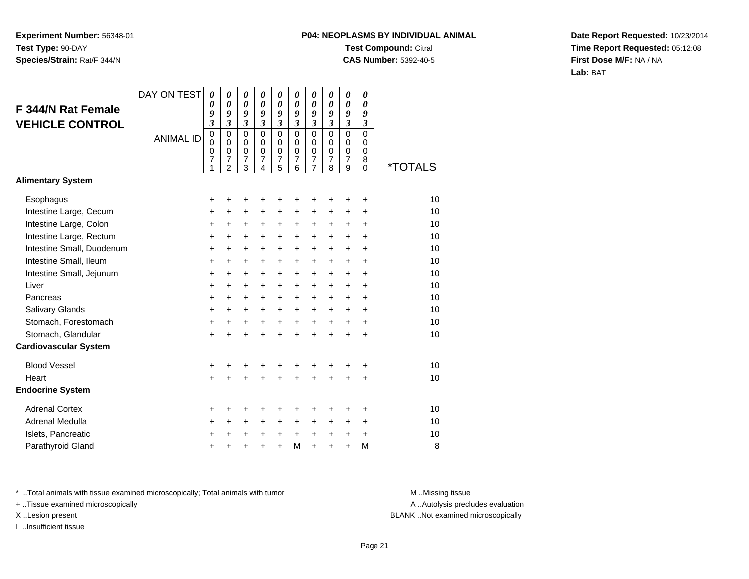## **P04: NEOPLASMS BY INDIVIDUAL ANIMALTest Compound:** Citral **CAS Number:** 5392-40-5

**Date Report Requested:** 10/23/2014**Time Report Requested:** 05:12:08**First Dose M/F:** NA / NA**Lab:** BAT

| F 344/N Rat Female<br><b>VEHICLE CONTROL</b> | DAY ON TEST<br><b>ANIMAL ID</b> | $\boldsymbol{\theta}$<br>$\boldsymbol{\theta}$<br>9<br>3<br>$\mathbf 0$<br>$\mathbf 0$<br>$\mathbf 0$<br>7<br>1 | $\boldsymbol{\theta}$<br>$\boldsymbol{\theta}$<br>9<br>$\mathfrak{z}$<br>$\mathbf 0$<br>$\mathbf 0$<br>$\mathbf 0$<br>$\overline{7}$<br>$\overline{2}$ | 0<br>$\boldsymbol{\theta}$<br>9<br>$\mathfrak{z}$<br>$\mathbf 0$<br>$\mathbf 0$<br>$\mathbf 0$<br>$\overline{7}$<br>3 | 0<br>0<br>9<br>$\mathfrak{z}$<br>$\mathbf 0$<br>$\Omega$<br>$\mathbf 0$<br>7<br>$\overline{4}$ | 0<br>0<br>9<br>$\mathfrak{z}$<br>$\mathbf 0$<br>$\mathbf 0$<br>$\pmb{0}$<br>$\overline{7}$<br>5 | 0<br>$\boldsymbol{\theta}$<br>9<br>$\mathfrak{z}$<br>$\mathbf 0$<br>$\mathbf 0$<br>$\mathbf 0$<br>$\overline{7}$<br>6 | 0<br>0<br>9<br>$\overline{\mathbf{3}}$<br>$\mathbf 0$<br>$\mathbf 0$<br>0<br>$\overline{\mathbf{7}}$<br>$\overline{7}$ | 0<br>0<br>9<br>$\overline{\mathbf{3}}$<br>$\mathbf 0$<br>0<br>$\mathbf 0$<br>7<br>8 | 0<br>0<br>9<br>$\overline{\mathbf{3}}$<br>$\mathbf 0$<br>$\mathbf 0$<br>0<br>7<br>9 | 0<br>$\boldsymbol{\theta}$<br>9<br>3<br>$\mathbf 0$<br>$\Omega$<br>$\mathbf 0$<br>8<br>$\Omega$ | <i><b>*TOTALS</b></i> |
|----------------------------------------------|---------------------------------|-----------------------------------------------------------------------------------------------------------------|--------------------------------------------------------------------------------------------------------------------------------------------------------|-----------------------------------------------------------------------------------------------------------------------|------------------------------------------------------------------------------------------------|-------------------------------------------------------------------------------------------------|-----------------------------------------------------------------------------------------------------------------------|------------------------------------------------------------------------------------------------------------------------|-------------------------------------------------------------------------------------|-------------------------------------------------------------------------------------|-------------------------------------------------------------------------------------------------|-----------------------|
| <b>Alimentary System</b>                     |                                 |                                                                                                                 |                                                                                                                                                        |                                                                                                                       |                                                                                                |                                                                                                 |                                                                                                                       |                                                                                                                        |                                                                                     |                                                                                     |                                                                                                 |                       |
| Esophagus                                    |                                 | +                                                                                                               |                                                                                                                                                        | +                                                                                                                     | +                                                                                              | +                                                                                               | +                                                                                                                     | +                                                                                                                      | +                                                                                   | +                                                                                   | +                                                                                               | 10                    |
| Intestine Large, Cecum                       |                                 | +                                                                                                               | +                                                                                                                                                      | $\ddot{}$                                                                                                             | $\ddot{}$                                                                                      | $\pm$                                                                                           | +                                                                                                                     | +                                                                                                                      | +                                                                                   | +                                                                                   | +                                                                                               | 10                    |
| Intestine Large, Colon                       |                                 | $\ddot{}$                                                                                                       | +                                                                                                                                                      | +                                                                                                                     | +                                                                                              | +                                                                                               | $\ddot{}$                                                                                                             | +                                                                                                                      | +                                                                                   | +                                                                                   | $\ddot{}$                                                                                       | 10                    |
| Intestine Large, Rectum                      |                                 | +                                                                                                               | $\ddot{}$                                                                                                                                              | +                                                                                                                     | +                                                                                              | +                                                                                               | $\ddot{}$                                                                                                             | +                                                                                                                      | +                                                                                   | +                                                                                   | $\ddot{}$                                                                                       | 10                    |
| Intestine Small, Duodenum                    |                                 | $\ddot{}$                                                                                                       | $\ddot{}$                                                                                                                                              | $\ddot{}$                                                                                                             | $\ddot{}$                                                                                      | $\ddot{}$                                                                                       | $\ddot{}$                                                                                                             | $\ddot{}$                                                                                                              | $\pm$                                                                               | $\pm$                                                                               | +                                                                                               | 10                    |
| Intestine Small, Ileum                       |                                 | +                                                                                                               | $\ddot{}$                                                                                                                                              | $\ddot{}$                                                                                                             | $\ddot{}$                                                                                      | $\ddot{}$                                                                                       | $\ddot{}$                                                                                                             | $\ddot{}$                                                                                                              | $\pm$                                                                               | +                                                                                   | $\ddot{}$                                                                                       | 10                    |
| Intestine Small, Jejunum                     |                                 | +                                                                                                               | +                                                                                                                                                      | +                                                                                                                     | +                                                                                              | +                                                                                               | $\ddot{}$                                                                                                             | +                                                                                                                      | +                                                                                   | +                                                                                   | +                                                                                               | 10                    |
| Liver                                        |                                 | +                                                                                                               | $\ddot{}$                                                                                                                                              | $+$                                                                                                                   | $\ddot{}$                                                                                      | $\ddot{}$                                                                                       | $\ddot{}$                                                                                                             | $\ddot{}$                                                                                                              | $\ddot{}$                                                                           | $\ddot{}$                                                                           | $\ddot{}$                                                                                       | 10                    |
| Pancreas                                     |                                 | $\ddot{}$                                                                                                       | $\ddot{}$                                                                                                                                              | $\ddot{}$                                                                                                             | $\ddot{}$                                                                                      | $\ddot{}$                                                                                       | $\ddot{}$                                                                                                             | $\ddot{}$                                                                                                              | $\ddot{}$                                                                           | $\ddot{}$                                                                           | +                                                                                               | 10                    |
| Salivary Glands                              |                                 | +                                                                                                               | +                                                                                                                                                      | $\ddot{}$                                                                                                             | +                                                                                              | +                                                                                               | $\ddot{}$                                                                                                             | +                                                                                                                      | +                                                                                   | +                                                                                   | $\ddot{}$                                                                                       | 10                    |
| Stomach, Forestomach                         |                                 | +                                                                                                               | +                                                                                                                                                      | +                                                                                                                     | $\ddot{}$                                                                                      | +                                                                                               | $\ddot{}$                                                                                                             | $\ddot{}$                                                                                                              | $\ddot{}$                                                                           | $\ddot{}$                                                                           | $\ddot{}$                                                                                       | 10                    |
| Stomach, Glandular                           |                                 | $\ddot{}$                                                                                                       |                                                                                                                                                        | ÷                                                                                                                     | $\ddot{}$                                                                                      | $\ddot{}$                                                                                       | $\ddot{}$                                                                                                             | $\ddot{}$                                                                                                              | $\ddot{}$                                                                           | $\ddot{}$                                                                           | $\ddot{}$                                                                                       | 10                    |
| <b>Cardiovascular System</b>                 |                                 |                                                                                                                 |                                                                                                                                                        |                                                                                                                       |                                                                                                |                                                                                                 |                                                                                                                       |                                                                                                                        |                                                                                     |                                                                                     |                                                                                                 |                       |
| <b>Blood Vessel</b>                          |                                 | +                                                                                                               | +                                                                                                                                                      | +                                                                                                                     | +                                                                                              | +                                                                                               | +                                                                                                                     | +                                                                                                                      | +                                                                                   | +                                                                                   | +                                                                                               | 10                    |
| Heart                                        |                                 | $\ddot{}$                                                                                                       |                                                                                                                                                        |                                                                                                                       |                                                                                                | $\ddot{}$                                                                                       |                                                                                                                       | $\ddot{}$                                                                                                              | ÷                                                                                   | $\ddot{}$                                                                           | $\ddot{}$                                                                                       | 10                    |
| <b>Endocrine System</b>                      |                                 |                                                                                                                 |                                                                                                                                                        |                                                                                                                       |                                                                                                |                                                                                                 |                                                                                                                       |                                                                                                                        |                                                                                     |                                                                                     |                                                                                                 |                       |
| <b>Adrenal Cortex</b>                        |                                 | +                                                                                                               | +                                                                                                                                                      | +                                                                                                                     | +                                                                                              | +                                                                                               | +                                                                                                                     | +                                                                                                                      | +                                                                                   | +                                                                                   | +                                                                                               | 10                    |
| Adrenal Medulla                              |                                 | +                                                                                                               | $\ddot{}$                                                                                                                                              | $\ddot{}$                                                                                                             | $\ddot{}$                                                                                      | $\ddot{}$                                                                                       | $\ddot{}$                                                                                                             | $\ddot{}$                                                                                                              | +                                                                                   | $\ddot{}$                                                                           | $\ddot{}$                                                                                       | 10                    |
| Islets, Pancreatic                           |                                 | +                                                                                                               | +                                                                                                                                                      | $\ddot{}$                                                                                                             | +                                                                                              | +                                                                                               | $\ddot{}$                                                                                                             | +                                                                                                                      | +                                                                                   | +                                                                                   | +                                                                                               | 10                    |
| Parathyroid Gland                            |                                 | +                                                                                                               |                                                                                                                                                        |                                                                                                                       | +                                                                                              | $\ddot{}$                                                                                       | M                                                                                                                     | $\ddot{}$                                                                                                              | +                                                                                   | $\ddot{}$                                                                           | M                                                                                               | 8                     |

\* ..Total animals with tissue examined microscopically; Total animals with tumor **M** . Missing tissue M ..Missing tissue

+ ..Tissue examined microscopically

I ..Insufficient tissue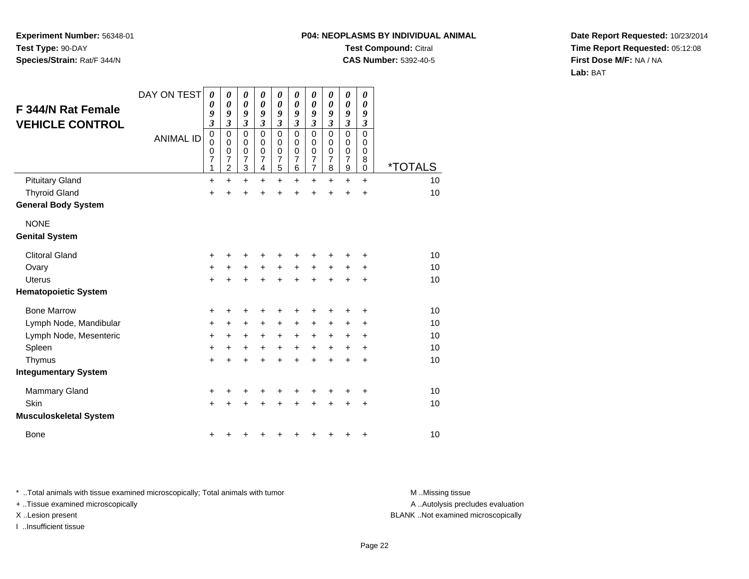# **P04: NEOPLASMS BY INDIVIDUAL ANIMALTest Compound:** Citral

**CAS Number:** 5392-40-5

**Date Report Requested:** 10/23/2014**Time Report Requested:** 05:12:08**First Dose M/F:** NA / NA**Lab:** BAT

| F 344/N Rat Female<br><b>VEHICLE CONTROL</b> | DAY ON TEST      | 0<br>0<br>9<br>$\overline{\mathbf{3}}$ | 0<br>$\boldsymbol{\theta}$<br>9<br>$\overline{\mathbf{3}}$ | 0<br>$\boldsymbol{\theta}$<br>9<br>$\overline{\mathbf{3}}$ | 0<br>0<br>9<br>$\mathfrak{z}$             | 0<br>$\boldsymbol{\theta}$<br>9<br>$\mathfrak{z}$           | 0<br>0<br>9<br>3                                 | $\boldsymbol{\theta}$<br>0<br>9<br>$\boldsymbol{\beta}$   | 0<br>0<br>9<br>3                             | 0<br>$\boldsymbol{\theta}$<br>9<br>$\overline{\mathbf{3}}$ | 0<br>0<br>9<br>3                |                       |
|----------------------------------------------|------------------|----------------------------------------|------------------------------------------------------------|------------------------------------------------------------|-------------------------------------------|-------------------------------------------------------------|--------------------------------------------------|-----------------------------------------------------------|----------------------------------------------|------------------------------------------------------------|---------------------------------|-----------------------|
|                                              | <b>ANIMAL ID</b> | $\mathbf 0$<br>0<br>0<br>7<br>1        | $\mathbf 0$<br>0<br>0<br>7<br>$\overline{c}$               | $\mathbf 0$<br>0<br>0<br>$\overline{7}$<br>3               | $\Omega$<br>0<br>0<br>$\overline{7}$<br>4 | $\mathbf 0$<br>0<br>$\boldsymbol{0}$<br>$\overline{7}$<br>5 | $\Omega$<br>$\Omega$<br>0<br>$\overline{7}$<br>6 | $\mathbf 0$<br>0<br>0<br>$\overline{7}$<br>$\overline{7}$ | $\mathbf 0$<br>0<br>0<br>$\overline{7}$<br>8 | $\mathbf 0$<br>0<br>0<br>$\overline{7}$<br>9               | $\mathbf 0$<br>0<br>0<br>8<br>0 | <i><b>*TOTALS</b></i> |
| <b>Pituitary Gland</b>                       |                  | $\ddot{}$                              | $\ddot{}$                                                  | $\ddot{}$                                                  | $\ddot{}$                                 | $\ddot{}$                                                   | +                                                | $\ddot{}$                                                 | $\ddot{}$                                    | $\ddot{}$                                                  | $\ddot{}$                       | 10                    |
| <b>Thyroid Gland</b>                         |                  | $\ddot{}$                              | $\ddot{}$                                                  | $\ddot{}$                                                  | $\ddot{}$                                 | $\ddot{}$                                                   | $\ddot{}$                                        | $\ddot{}$                                                 | $\ddot{}$                                    | $\ddot{}$                                                  | $\ddot{}$                       | 10                    |
| <b>General Body System</b>                   |                  |                                        |                                                            |                                                            |                                           |                                                             |                                                  |                                                           |                                              |                                                            |                                 |                       |
| <b>NONE</b>                                  |                  |                                        |                                                            |                                                            |                                           |                                                             |                                                  |                                                           |                                              |                                                            |                                 |                       |
| <b>Genital System</b>                        |                  |                                        |                                                            |                                                            |                                           |                                                             |                                                  |                                                           |                                              |                                                            |                                 |                       |
| <b>Clitoral Gland</b>                        |                  | +                                      | +                                                          | +                                                          | +                                         | +                                                           | +                                                | +                                                         | ٠                                            | +                                                          | ٠                               | 10                    |
| Ovary                                        |                  | +                                      | $\ddot{}$                                                  | $\ddot{}$                                                  | $\ddot{}$                                 | $\ddot{}$                                                   | $\ddot{}$                                        | $\ddot{}$                                                 | $\ddot{}$                                    | $\ddot{}$                                                  | +                               | 10                    |
| <b>Uterus</b>                                |                  | $\ddot{}$                              | $\ddot{}$                                                  | $\ddot{}$                                                  | $\ddot{}$                                 | $\ddot{}$                                                   | $\ddot{}$                                        | $\ddot{}$                                                 | $\ddot{}$                                    | $\ddot{}$                                                  | $\ddot{}$                       | 10                    |
| <b>Hematopoietic System</b>                  |                  |                                        |                                                            |                                                            |                                           |                                                             |                                                  |                                                           |                                              |                                                            |                                 |                       |
| <b>Bone Marrow</b>                           |                  | +                                      | +                                                          | +                                                          | +                                         | +                                                           | +                                                | +                                                         | +                                            | +                                                          | +                               | 10                    |
| Lymph Node, Mandibular                       |                  | +                                      | +                                                          | +                                                          | +                                         | +                                                           | +                                                | +                                                         | $\pm$                                        | +                                                          | +                               | 10                    |
| Lymph Node, Mesenteric                       |                  | +                                      | +                                                          | $\ddot{}$                                                  | $\ddot{}$                                 | $\ddot{}$                                                   | $\ddot{}$                                        | $\ddot{}$                                                 | $\ddot{}$                                    | +                                                          | ÷                               | 10                    |
| Spleen                                       |                  | $\ddot{}$                              | $\ddot{}$                                                  | $\ddot{}$                                                  | $\ddot{}$                                 | $\ddot{}$                                                   | $\ddot{}$                                        | $\ddot{}$                                                 | $+$                                          | $\ddot{}$                                                  | $\ddot{}$                       | 10                    |
| Thymus                                       |                  | $\ddot{}$                              | $\ddot{}$                                                  | $\ddot{}$                                                  | ÷                                         | $\ddot{}$                                                   | $\ddot{}$                                        | $\ddot{}$                                                 | $\ddot{}$                                    | $\ddot{}$                                                  | +                               | 10                    |
| <b>Integumentary System</b>                  |                  |                                        |                                                            |                                                            |                                           |                                                             |                                                  |                                                           |                                              |                                                            |                                 |                       |
| <b>Mammary Gland</b>                         |                  | +                                      | +                                                          | +                                                          | +                                         | +                                                           | +                                                | +                                                         | +                                            | +                                                          | +                               | 10 <sup>1</sup>       |
| Skin                                         |                  | $\ddot{}$                              | +                                                          | $\ddot{}$                                                  | ÷                                         | $\ddot{}$                                                   | $\ddot{}$                                        | $\ddot{}$                                                 | $\ddot{}$                                    | +                                                          | +                               | 10                    |
| <b>Musculoskeletal System</b>                |                  |                                        |                                                            |                                                            |                                           |                                                             |                                                  |                                                           |                                              |                                                            |                                 |                       |
| <b>Bone</b>                                  |                  | +                                      |                                                            |                                                            |                                           | +                                                           | +                                                | +                                                         | ٠                                            | +                                                          | +                               | 10                    |

\* ..Total animals with tissue examined microscopically; Total animals with tumor **M** . Missing tissue M ..Missing tissue

+ ..Tissue examined microscopically

I ..Insufficient tissue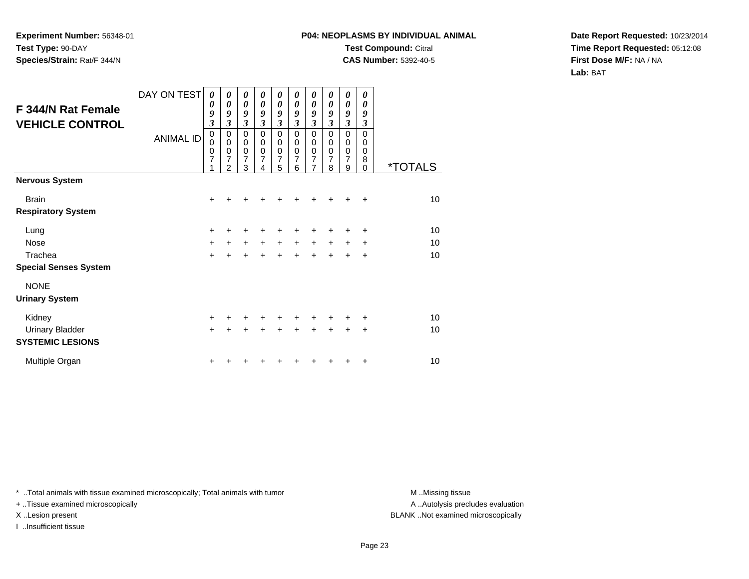## **P04: NEOPLASMS BY INDIVIDUAL ANIMALTest Compound:** Citral **CAS Number:** 5392-40-5

**Date Report Requested:** 10/23/2014**Time Report Requested:** 05:12:08**First Dose M/F:** NA / NA**Lab:** BAT

| <b>F 344/N Rat Female</b><br><b>VEHICLE CONTROL</b> | DAY ON TEST<br><b>ANIMAL ID</b> | 0<br>0<br>9<br>3<br>0<br>0<br>0<br>7 | 0<br>$\boldsymbol{\theta}$<br>9<br>3<br>$\pmb{0}$<br>$\mathbf 0$<br>$\mathbf 0$<br>7<br>$\overline{2}$ | $\boldsymbol{\theta}$<br>$\boldsymbol{\theta}$<br>9<br>$\overline{\mathbf{3}}$<br>$\mathbf 0$<br>$\mathbf 0$<br>$\mathbf 0$<br>7<br>3 | 0<br>$\boldsymbol{\theta}$<br>9<br>$\overline{\mathbf{3}}$<br>$\mathbf 0$<br>$\mathbf 0$<br>$\mathbf 0$<br>7 | 0<br>$\boldsymbol{\theta}$<br>9<br>$\mathfrak{z}$<br>0<br>0<br>$\pmb{0}$<br>$\overline{7}$<br>5 | 0<br>0<br>9<br>$\boldsymbol{\beta}$<br>$\Omega$<br>$\mathbf 0$<br>$\pmb{0}$<br>$\overline{7}$<br>6 | 0<br>0<br>9<br>$\boldsymbol{\beta}$<br>$\mathbf 0$<br>0<br>$\pmb{0}$<br>$\overline{7}$<br>$\overline{7}$ | 0<br>0<br>9<br>$\mathfrak{z}$<br>$\Omega$<br>0<br>$\mathbf 0$<br>$\overline{7}$<br>8 | 0<br>$\boldsymbol{\theta}$<br>9<br>$\boldsymbol{\mathfrak{z}}$<br>$\mathbf 0$<br>$\pmb{0}$<br>$\pmb{0}$<br>$\overline{7}$<br>9 | 0<br>0<br>9<br>3<br>$\Omega$<br>0<br>$\mathbf 0$<br>8<br>$\Omega$ | <i><b>*TOTALS</b></i> |
|-----------------------------------------------------|---------------------------------|--------------------------------------|--------------------------------------------------------------------------------------------------------|---------------------------------------------------------------------------------------------------------------------------------------|--------------------------------------------------------------------------------------------------------------|-------------------------------------------------------------------------------------------------|----------------------------------------------------------------------------------------------------|----------------------------------------------------------------------------------------------------------|--------------------------------------------------------------------------------------|--------------------------------------------------------------------------------------------------------------------------------|-------------------------------------------------------------------|-----------------------|
| <b>Nervous System</b>                               |                                 |                                      |                                                                                                        |                                                                                                                                       |                                                                                                              |                                                                                                 |                                                                                                    |                                                                                                          |                                                                                      |                                                                                                                                |                                                                   |                       |
| <b>Brain</b>                                        |                                 | $\ddot{}$                            |                                                                                                        |                                                                                                                                       |                                                                                                              |                                                                                                 |                                                                                                    |                                                                                                          |                                                                                      |                                                                                                                                | $\ddot{}$                                                         | 10                    |
| <b>Respiratory System</b>                           |                                 |                                      |                                                                                                        |                                                                                                                                       |                                                                                                              |                                                                                                 |                                                                                                    |                                                                                                          |                                                                                      |                                                                                                                                |                                                                   |                       |
| Lung                                                |                                 | +                                    | ٠                                                                                                      | +                                                                                                                                     | +                                                                                                            | ٠                                                                                               |                                                                                                    | ٠                                                                                                        | +                                                                                    | ٠                                                                                                                              | ÷                                                                 | 10                    |
| Nose                                                |                                 | $\ddot{}$                            | $\ddot{}$                                                                                              | $\ddot{}$                                                                                                                             | $\ddot{}$                                                                                                    | $\ddot{}$                                                                                       | $\ddot{}$                                                                                          | $\ddot{}$                                                                                                | $\ddot{}$                                                                            | $\ddot{}$                                                                                                                      | $\ddot{}$                                                         | 10                    |
| Trachea                                             |                                 | $+$                                  | $\ddot{}$                                                                                              | $\ddot{}$                                                                                                                             | $\ddot{}$                                                                                                    | $+$                                                                                             | $+$                                                                                                | $+$                                                                                                      | $+$                                                                                  | $\ddot{}$                                                                                                                      | +                                                                 | 10                    |
| <b>Special Senses System</b>                        |                                 |                                      |                                                                                                        |                                                                                                                                       |                                                                                                              |                                                                                                 |                                                                                                    |                                                                                                          |                                                                                      |                                                                                                                                |                                                                   |                       |
| <b>NONE</b>                                         |                                 |                                      |                                                                                                        |                                                                                                                                       |                                                                                                              |                                                                                                 |                                                                                                    |                                                                                                          |                                                                                      |                                                                                                                                |                                                                   |                       |
| <b>Urinary System</b>                               |                                 |                                      |                                                                                                        |                                                                                                                                       |                                                                                                              |                                                                                                 |                                                                                                    |                                                                                                          |                                                                                      |                                                                                                                                |                                                                   |                       |
| Kidney                                              |                                 | +                                    | +                                                                                                      | +                                                                                                                                     | +                                                                                                            | +                                                                                               |                                                                                                    | +                                                                                                        | +                                                                                    | +                                                                                                                              | +                                                                 | 10                    |
| <b>Urinary Bladder</b><br><b>SYSTEMIC LESIONS</b>   |                                 | $+$                                  | $\pm$                                                                                                  | $\ddot{}$                                                                                                                             | $\ddot{}$                                                                                                    | $+$                                                                                             | $+$                                                                                                | $+$                                                                                                      | $+$                                                                                  | $\ddot{}$                                                                                                                      | $\ddot{}$                                                         | 10                    |
| Multiple Organ                                      |                                 | +                                    |                                                                                                        |                                                                                                                                       |                                                                                                              |                                                                                                 |                                                                                                    |                                                                                                          |                                                                                      |                                                                                                                                | ÷                                                                 | 10                    |

\* ..Total animals with tissue examined microscopically; Total animals with tumor **M** . Missing tissue M ..Missing tissue

+ ..Tissue examined microscopically

I ..Insufficient tissue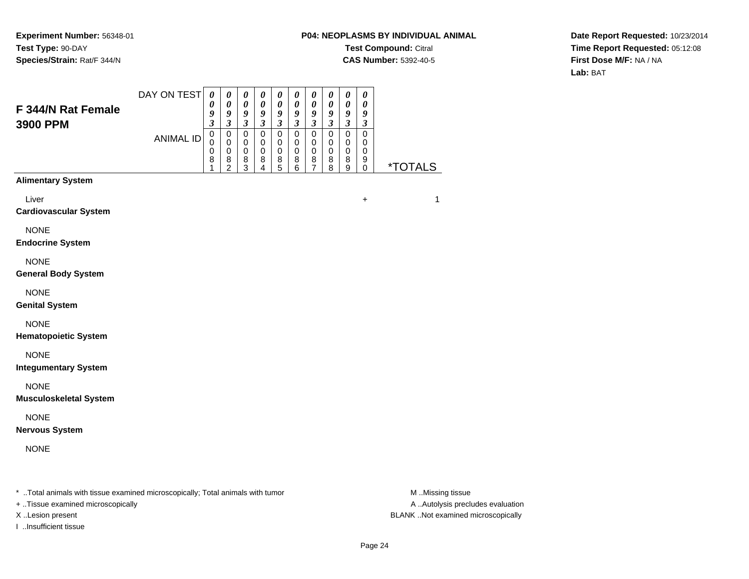## **P04: NEOPLASMS BY INDIVIDUAL ANIMALTest Compound:** Citral **CAS Number:** 5392-40-5

**Date Report Requested:** 10/23/2014**Time Report Requested:** 05:12:08**First Dose M/F:** NA / NA**Lab:** BAT

| F 344/N Rat Female<br>3900 PPM                                                 | DAY ON TEST      | $\boldsymbol{\theta}$<br>0<br>9<br>$\boldsymbol{\mathfrak{z}}$ | 0<br>0<br>9<br>$\boldsymbol{\mathfrak{z}}$             | 0<br>$\pmb{\theta}$<br>$\boldsymbol{9}$<br>$\mathfrak{z}$    | 0<br>$\boldsymbol{\theta}$<br>9<br>$\mathfrak{z}$ | 0<br>$\pmb{\theta}$<br>9<br>$\mathfrak{z}$ | 0<br>$\pmb{\theta}$<br>9<br>$\boldsymbol{\mathfrak{z}}$ | 0<br>$\boldsymbol{\theta}$<br>9<br>$\mathfrak{z}$                   | $\boldsymbol{\theta}$<br>$\boldsymbol{\theta}$<br>9<br>$\mathfrak{z}$ | $\boldsymbol{\theta}$<br>$\boldsymbol{\theta}$<br>$\boldsymbol{g}$<br>$\mathfrak{z}$ | 0<br>0<br>9<br>3                          |                       |
|--------------------------------------------------------------------------------|------------------|----------------------------------------------------------------|--------------------------------------------------------|--------------------------------------------------------------|---------------------------------------------------|--------------------------------------------|---------------------------------------------------------|---------------------------------------------------------------------|-----------------------------------------------------------------------|--------------------------------------------------------------------------------------|-------------------------------------------|-----------------------|
|                                                                                | <b>ANIMAL ID</b> | $\mathbf 0$<br>$\Omega$<br>0<br>8<br>1                         | 0<br>$\mathbf 0$<br>$\mathbf 0$<br>8<br>$\overline{2}$ | $\pmb{0}$<br>$\mathbf 0$<br>$\mathbf 0$<br>8<br>$\mathbf{3}$ | $\mathbf 0$<br>$\mathbf 0$<br>$\pmb{0}$<br>8<br>4 | $\mathsf 0$<br>0<br>$\mathbf 0$<br>8<br>5  | $\mathbf 0$<br>$\mathbf 0$<br>0<br>8<br>6               | $\overline{0}$<br>$\mathbf 0$<br>$\mathbf 0$<br>8<br>$\overline{7}$ | $\mathbf 0$<br>$\mathbf 0$<br>$\mathbf 0$<br>8<br>8                   | $\mathsf 0$<br>$\mathbf 0$<br>$\pmb{0}$<br>8<br>9                                    | $\mathsf 0$<br>$\mathbf 0$<br>0<br>9<br>0 | <i><b>*TOTALS</b></i> |
| <b>Alimentary System</b>                                                       |                  |                                                                |                                                        |                                                              |                                                   |                                            |                                                         |                                                                     |                                                                       |                                                                                      |                                           |                       |
| Liver<br><b>Cardiovascular System</b>                                          |                  |                                                                |                                                        |                                                              |                                                   |                                            |                                                         |                                                                     |                                                                       |                                                                                      | $\ddot{}$                                 | $\mathbf{1}$          |
| <b>NONE</b><br><b>Endocrine System</b>                                         |                  |                                                                |                                                        |                                                              |                                                   |                                            |                                                         |                                                                     |                                                                       |                                                                                      |                                           |                       |
| <b>NONE</b><br><b>General Body System</b>                                      |                  |                                                                |                                                        |                                                              |                                                   |                                            |                                                         |                                                                     |                                                                       |                                                                                      |                                           |                       |
| <b>NONE</b><br><b>Genital System</b>                                           |                  |                                                                |                                                        |                                                              |                                                   |                                            |                                                         |                                                                     |                                                                       |                                                                                      |                                           |                       |
| <b>NONE</b><br><b>Hematopoietic System</b>                                     |                  |                                                                |                                                        |                                                              |                                                   |                                            |                                                         |                                                                     |                                                                       |                                                                                      |                                           |                       |
| <b>NONE</b><br><b>Integumentary System</b>                                     |                  |                                                                |                                                        |                                                              |                                                   |                                            |                                                         |                                                                     |                                                                       |                                                                                      |                                           |                       |
| <b>NONE</b><br><b>Musculoskeletal System</b>                                   |                  |                                                                |                                                        |                                                              |                                                   |                                            |                                                         |                                                                     |                                                                       |                                                                                      |                                           |                       |
| <b>NONE</b><br><b>Nervous System</b>                                           |                  |                                                                |                                                        |                                                              |                                                   |                                            |                                                         |                                                                     |                                                                       |                                                                                      |                                           |                       |
| <b>NONE</b>                                                                    |                  |                                                                |                                                        |                                                              |                                                   |                                            |                                                         |                                                                     |                                                                       |                                                                                      |                                           |                       |
| * Total animals with tissue examined microscopically; Total animals with tumor |                  |                                                                |                                                        |                                                              |                                                   |                                            |                                                         |                                                                     |                                                                       |                                                                                      |                                           | M Missing tissue      |

+ ..Tissue examined microscopically

I ..Insufficient tissue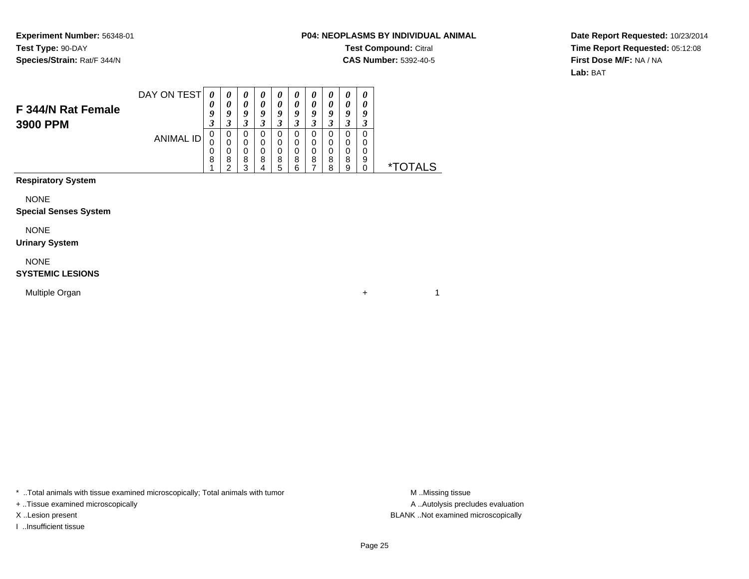## **P04: NEOPLASMS BY INDIVIDUAL ANIMALTest Compound:** Citral **CAS Number:** 5392-40-5

 $+$  1

**Date Report Requested:** 10/23/2014**Time Report Requested:** 05:12:08**First Dose M/F:** NA / NA**Lab:** BAT

|                                | DAY ON TEST |             | U | $\boldsymbol{\theta}$      | U           | $\boldsymbol{\theta}$ | 0           | 0                | $\boldsymbol{\theta}$ | $\boldsymbol{\theta}$ | U                |                 |
|--------------------------------|-------------|-------------|---|----------------------------|-------------|-----------------------|-------------|------------------|-----------------------|-----------------------|------------------|-----------------|
| F 344/N Rat Female<br>3900 PPM |             | U<br>J      | " | $\boldsymbol{\theta}$<br>9 | о           | 0<br>Q                | 0<br>ч      | 0<br>Q<br>J      | 0                     | 0<br>9                | Y                |                 |
|                                | ANIMAL ID   | O<br>0<br>8 | 8 | 0<br>0<br>0<br>8<br>ົ      | 0<br>0<br>8 | 0<br>0<br>0<br>8<br>5 | 0<br>8<br>ี | 0<br>0<br>0<br>8 | 0<br>0<br>8<br>8      | 0<br>0<br>0<br>8<br>9 | 0<br>O<br>O<br>9 | <i>*</i> TOTALS |
| <b>Provident Communication</b> |             |             |   |                            |             |                       |             |                  |                       |                       |                  |                 |

**Respiratory System**

NONE

#### **Special Senses System**

NONE

#### **Urinary System**

NONE

#### **SYSTEMIC LESIONS**

Multiple Organn  $+$ 

\* ..Total animals with tissue examined microscopically; Total animals with tumor **M** . Missing tissue M ..Missing tissue

+ ..Tissue examined microscopically

I ..Insufficient tissue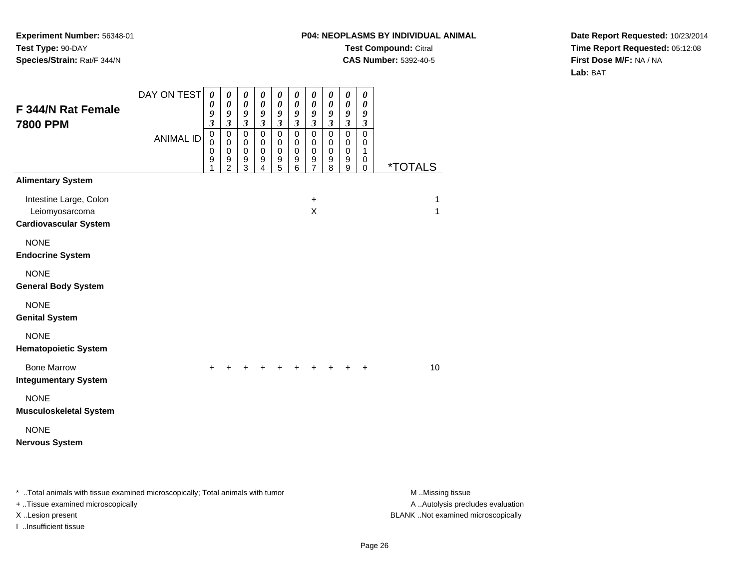## **P04: NEOPLASMS BY INDIVIDUAL ANIMALTest Compound:** Citral **CAS Number:** 5392-40-5

**Date Report Requested:** 10/23/2014**Time Report Requested:** 05:12:08**First Dose M/F:** NA / NA**Lab:** BAT

| F 344/N Rat Female                                                             | DAY ON TEST      | 0<br>0<br>9                          | 0<br>0<br>9                                                                        | $\pmb{\theta}$<br>$\boldsymbol{\theta}$<br>9                                   | 0<br>0<br>9                                                            | 0<br>0<br>9                                                                               | $\boldsymbol{\theta}$<br>0<br>9                                          | $\boldsymbol{\theta}$<br>0<br>$\boldsymbol{g}$           | 0<br>0<br>9                                                         | $\pmb{\theta}$<br>0<br>9                                             | $\pmb{\theta}$<br>0<br>9                                          |                       |
|--------------------------------------------------------------------------------|------------------|--------------------------------------|------------------------------------------------------------------------------------|--------------------------------------------------------------------------------|------------------------------------------------------------------------|-------------------------------------------------------------------------------------------|--------------------------------------------------------------------------|----------------------------------------------------------|---------------------------------------------------------------------|----------------------------------------------------------------------|-------------------------------------------------------------------|-----------------------|
| <b>7800 PPM</b>                                                                | <b>ANIMAL ID</b> | 3<br>0<br>$\mathbf 0$<br>0<br>9<br>1 | $\mathfrak{z}$<br>$\mathsf 0$<br>$\mathbf 0$<br>$\mathbf 0$<br>9<br>$\overline{2}$ | $\boldsymbol{\mathfrak{z}}$<br>$\mathbf 0$<br>$\pmb{0}$<br>$\pmb{0}$<br>9<br>3 | $\mathfrak{z}$<br>$\mathbf 0$<br>0<br>$\pmb{0}$<br>9<br>$\overline{4}$ | $\overline{\mathbf{3}}$<br>$\mathbf 0$<br>0<br>0<br>$\begin{array}{c} 9 \\ 5 \end{array}$ | $\mathfrak{z}$<br>$\mathbf 0$<br>0<br>$\mathbf 0$<br>9<br>$6\phantom{a}$ | $\mathfrak{z}$<br>$\mathbf 0$<br>0<br>0<br>$\frac{9}{7}$ | $\mathfrak{z}$<br>$\mathbf 0$<br>$\mathbf 0$<br>$\pmb{0}$<br>9<br>8 | $\overline{\mathbf{3}}$<br>$\mathbf 0$<br>0<br>$\mathbf 0$<br>9<br>9 | $\boldsymbol{\beta}$<br>$\mathbf 0$<br>0<br>1<br>0<br>$\mathbf 0$ | <i><b>*TOTALS</b></i> |
| <b>Alimentary System</b>                                                       |                  |                                      |                                                                                    |                                                                                |                                                                        |                                                                                           |                                                                          |                                                          |                                                                     |                                                                      |                                                                   |                       |
| Intestine Large, Colon<br>Leiomyosarcoma<br><b>Cardiovascular System</b>       |                  |                                      |                                                                                    |                                                                                |                                                                        |                                                                                           |                                                                          | $\ddot{}$<br>X                                           |                                                                     |                                                                      |                                                                   | 1<br>1                |
| <b>NONE</b><br><b>Endocrine System</b>                                         |                  |                                      |                                                                                    |                                                                                |                                                                        |                                                                                           |                                                                          |                                                          |                                                                     |                                                                      |                                                                   |                       |
| <b>NONE</b><br><b>General Body System</b>                                      |                  |                                      |                                                                                    |                                                                                |                                                                        |                                                                                           |                                                                          |                                                          |                                                                     |                                                                      |                                                                   |                       |
| <b>NONE</b><br><b>Genital System</b>                                           |                  |                                      |                                                                                    |                                                                                |                                                                        |                                                                                           |                                                                          |                                                          |                                                                     |                                                                      |                                                                   |                       |
| <b>NONE</b><br><b>Hematopoietic System</b>                                     |                  |                                      |                                                                                    |                                                                                |                                                                        |                                                                                           |                                                                          |                                                          |                                                                     |                                                                      |                                                                   |                       |
| <b>Bone Marrow</b><br><b>Integumentary System</b>                              |                  | $\div$                               |                                                                                    |                                                                                |                                                                        |                                                                                           |                                                                          |                                                          |                                                                     |                                                                      | $\ddot{}$                                                         | 10                    |
| <b>NONE</b><br><b>Musculoskeletal System</b>                                   |                  |                                      |                                                                                    |                                                                                |                                                                        |                                                                                           |                                                                          |                                                          |                                                                     |                                                                      |                                                                   |                       |
| <b>NONE</b><br><b>Nervous System</b>                                           |                  |                                      |                                                                                    |                                                                                |                                                                        |                                                                                           |                                                                          |                                                          |                                                                     |                                                                      |                                                                   |                       |
| * Total animals with tissue examined microscopically; Total animals with tumor |                  |                                      |                                                                                    |                                                                                |                                                                        |                                                                                           |                                                                          |                                                          |                                                                     |                                                                      |                                                                   | M Missing tissue      |

+ ..Tissue examined microscopically

I ..Insufficient tissue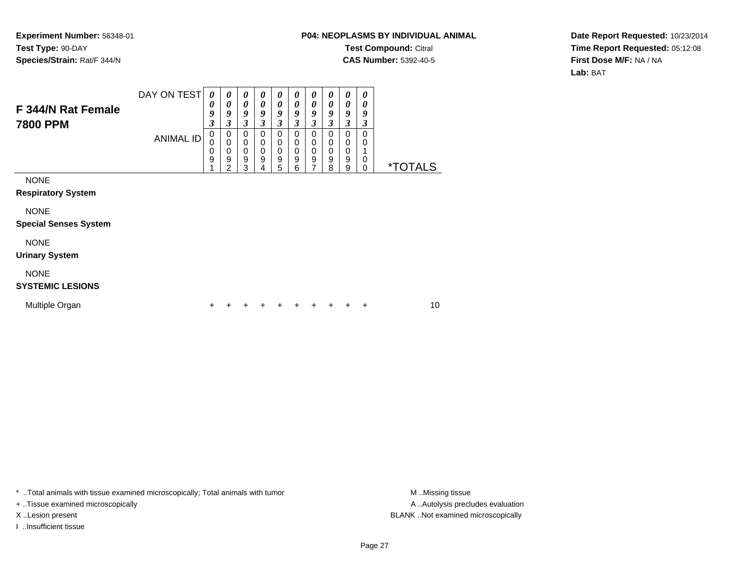## **P04: NEOPLASMS BY INDIVIDUAL ANIMALTest Compound:** Citral **CAS Number:** 5392-40-5

**Date Report Requested:** 10/23/2014**Time Report Requested:** 05:12:08**First Dose M/F:** NA / NA**Lab:** BAT

| F 344/N Rat Female<br><b>7800 PPM</b>                    | DAY ON TEST<br><b>ANIMAL ID</b> | 0<br>0<br>9<br>3<br>0<br>0<br>0<br>9 | 0<br>0<br>9<br>$\mathfrak{z}$<br>0<br>$\mathbf 0$<br>$\mathbf 0$<br>$\boldsymbol{9}$ | 0<br>0<br>9<br>3<br>0<br>0<br>$\mathbf 0$<br>9 | 0<br>0<br>9<br>3<br>0<br>0<br>$\mathbf 0$<br>9 | 0<br>$\boldsymbol{\theta}$<br>9<br>3<br>$\mathbf 0$<br>$\mathbf 0$<br>$\Omega$<br>9 | 0<br>0<br>9<br>3<br>0<br>0<br>$\mathbf 0$<br>9 | 0<br>0<br>9<br>3<br>0<br>0<br>$\mathbf 0$<br>9 | 0<br>0<br>9<br>3<br>0<br>$\mathbf 0$<br>$\mathbf 0$<br>$\boldsymbol{9}$ | 0<br>0<br>9<br>$\mathfrak{z}$<br>0<br>$\mathbf 0$<br>0<br>$\boldsymbol{9}$ | 0<br>0<br>9<br>3<br>0<br>0<br>0 |                       |
|----------------------------------------------------------|---------------------------------|--------------------------------------|--------------------------------------------------------------------------------------|------------------------------------------------|------------------------------------------------|-------------------------------------------------------------------------------------|------------------------------------------------|------------------------------------------------|-------------------------------------------------------------------------|----------------------------------------------------------------------------|---------------------------------|-----------------------|
| <b>NONE</b><br><b>Respiratory System</b>                 |                                 |                                      | 2                                                                                    | 3                                              | 4                                              | 5                                                                                   | 6                                              | 7                                              | 8                                                                       | 9                                                                          | $\Omega$                        | <i><b>*TOTALS</b></i> |
| <b>NONE</b><br><b>Special Senses System</b>              |                                 |                                      |                                                                                      |                                                |                                                |                                                                                     |                                                |                                                |                                                                         |                                                                            |                                 |                       |
| <b>NONE</b><br><b>Urinary System</b>                     |                                 |                                      |                                                                                      |                                                |                                                |                                                                                     |                                                |                                                |                                                                         |                                                                            |                                 |                       |
| <b>NONE</b><br><b>SYSTEMIC LESIONS</b><br>Multiple Organ |                                 |                                      |                                                                                      |                                                |                                                |                                                                                     |                                                |                                                |                                                                         |                                                                            | ٠                               | 10                    |
|                                                          |                                 |                                      |                                                                                      |                                                |                                                |                                                                                     |                                                |                                                |                                                                         |                                                                            |                                 |                       |

\* ..Total animals with tissue examined microscopically; Total animals with tumor **M** . Missing tissue M ..Missing tissue

+ ..Tissue examined microscopically

I ..Insufficient tissue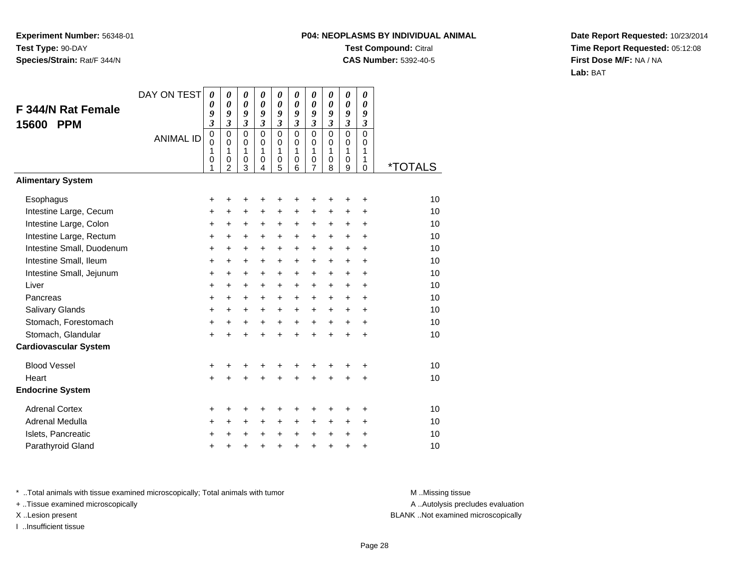## **P04: NEOPLASMS BY INDIVIDUAL ANIMALTest Compound:** Citral **CAS Number:** 5392-40-5

**Date Report Requested:** 10/23/2014**Time Report Requested:** 05:12:08**First Dose M/F:** NA / NA**Lab:** BAT

| F 344/N Rat Female           | DAY ON TEST      | $\boldsymbol{\theta}$<br>0<br>9<br>$\boldsymbol{\mathfrak{z}}$ | $\boldsymbol{\theta}$<br>0<br>9<br>$\mathfrak{z}$      | 0<br>0<br>9<br>$\overline{\mathbf{3}}$    | 0<br>0<br>9<br>$\mathfrak{z}$                       | 0<br>0<br>9<br>3                | 0<br>0<br>9<br>$\overline{\mathbf{3}}$           | 0<br>$\boldsymbol{\theta}$<br>9<br>3                           | 0<br>0<br>9<br>$\overline{\mathbf{3}}$           | 0<br>0<br>9<br>$\overline{\mathbf{3}}$                 | 0<br>0<br>9<br>$\boldsymbol{\beta}$    |                       |
|------------------------------|------------------|----------------------------------------------------------------|--------------------------------------------------------|-------------------------------------------|-----------------------------------------------------|---------------------------------|--------------------------------------------------|----------------------------------------------------------------|--------------------------------------------------|--------------------------------------------------------|----------------------------------------|-----------------------|
| <b>PPM</b><br>15600          | <b>ANIMAL ID</b> | $\mathbf 0$<br>$\mathbf 0$<br>1<br>0<br>1                      | $\mathbf 0$<br>$\mathbf 0$<br>1<br>0<br>$\overline{2}$ | $\mathbf 0$<br>$\mathbf 0$<br>1<br>0<br>3 | $\mathbf 0$<br>$\mathbf 0$<br>1<br>$\mathbf 0$<br>4 | $\mathbf 0$<br>0<br>1<br>0<br>5 | $\mathbf 0$<br>$\Omega$<br>1<br>$\mathbf 0$<br>6 | $\mathbf 0$<br>$\mathbf 0$<br>$\mathbf{1}$<br>$\mathbf 0$<br>7 | $\mathbf 0$<br>$\Omega$<br>1<br>$\mathbf 0$<br>8 | $\overline{0}$<br>$\mathbf 0$<br>1<br>$\mathbf 0$<br>9 | $\mathbf 0$<br>$\Omega$<br>1<br>1<br>0 | <i><b>*TOTALS</b></i> |
| <b>Alimentary System</b>     |                  |                                                                |                                                        |                                           |                                                     |                                 |                                                  |                                                                |                                                  |                                                        |                                        |                       |
| Esophagus                    |                  | +                                                              | +                                                      | +                                         | +                                                   | +                               | +                                                | +                                                              |                                                  | +                                                      | +                                      | 10                    |
| Intestine Large, Cecum       |                  | +                                                              | +                                                      | +                                         | +                                                   | +                               | +                                                | +                                                              | $\ddot{}$                                        | +                                                      | +                                      | 10                    |
| Intestine Large, Colon       |                  | +                                                              | +                                                      | +                                         | +                                                   | +                               | +                                                | +                                                              | +                                                | +                                                      | +                                      | 10                    |
| Intestine Large, Rectum      |                  | +                                                              | $\ddot{}$                                              | $\ddot{}$                                 | $\ddot{}$                                           | +                               | $\ddot{}$                                        | $\ddot{}$                                                      | $+$                                              | $\ddot{}$                                              | $\ddot{}$                              | 10                    |
| Intestine Small, Duodenum    |                  | +                                                              | $\ddot{}$                                              | $\ddot{}$                                 | +                                                   | $\ddot{}$                       | +                                                | $\ddot{}$                                                      | $+$                                              | $\ddot{}$                                              | +                                      | 10                    |
| Intestine Small, Ileum       |                  | +                                                              | $\ddot{}$                                              | $\ddot{}$                                 | +                                                   | +                               | +                                                | $\ddot{}$                                                      | $\ddot{}$                                        | $\ddot{}$                                              | $\ddot{}$                              | 10                    |
| Intestine Small, Jejunum     |                  | $\ddot{}$                                                      | $\ddot{}$                                              | $\ddot{}$                                 | +                                                   | +                               | +                                                | +                                                              | +                                                | $\ddot{}$                                              | $\ddot{}$                              | 10                    |
| Liver                        |                  | $\ddot{}$                                                      | $\ddot{}$                                              | $\ddot{}$                                 | $\ddot{}$                                           | +                               | $\ddot{}$                                        | $\ddot{}$                                                      | $+$                                              | $\ddot{}$                                              | $\ddot{}$                              | 10                    |
| Pancreas                     |                  | $\ddot{}$                                                      | $\ddot{}$                                              | $\ddot{}$                                 | +                                                   | +                               | +                                                | +                                                              | $\ddot{}$                                        | $\ddot{}$                                              | +                                      | 10                    |
| Salivary Glands              |                  | +                                                              | $\ddot{}$                                              | $\ddot{}$                                 | +                                                   | +                               | $\ddot{}$                                        | $\ddot{}$                                                      | $+$                                              | $+$                                                    | $\ddot{}$                              | 10                    |
| Stomach, Forestomach         |                  | +                                                              | +                                                      | +                                         | +                                                   | +                               | $\ddot{}$                                        | $\ddot{}$                                                      | $\ddot{}$                                        | $\ddot{}$                                              | $\ddot{}$                              | 10                    |
| Stomach, Glandular           |                  | $\ddot{}$                                                      | $\ddot{}$                                              | $\ddot{}$                                 | $\ddot{}$                                           | $\ddot{}$                       | $\ddot{}$                                        | $\ddot{}$                                                      | $\ddot{}$                                        | $\ddot{}$                                              | $\ddot{}$                              | 10                    |
| <b>Cardiovascular System</b> |                  |                                                                |                                                        |                                           |                                                     |                                 |                                                  |                                                                |                                                  |                                                        |                                        |                       |
| <b>Blood Vessel</b>          |                  | +                                                              | +                                                      | +                                         | +                                                   | +                               | +                                                |                                                                |                                                  | +                                                      | +                                      | 10                    |
| Heart                        |                  | $\ddot{}$                                                      | +                                                      | $\ddot{}$                                 | $\ddot{}$                                           | $\ddot{}$                       | $\ddot{}$                                        | $\ddot{}$                                                      | +                                                | +                                                      | +                                      | 10                    |
| <b>Endocrine System</b>      |                  |                                                                |                                                        |                                           |                                                     |                                 |                                                  |                                                                |                                                  |                                                        |                                        |                       |
| <b>Adrenal Cortex</b>        |                  | +                                                              |                                                        |                                           |                                                     | +                               | ٠                                                | +                                                              |                                                  | +                                                      | +                                      | 10                    |
| Adrenal Medulla              |                  | +                                                              | $\ddot{}$                                              | $\ddot{}$                                 | +                                                   | +                               | $\ddot{}$                                        | $\ddot{}$                                                      | $\ddot{}$                                        | +                                                      | $\ddot{}$                              | 10                    |
| Islets, Pancreatic           |                  | +                                                              | +                                                      | +                                         | +                                                   | +                               | $\ddot{}$                                        | $\ddot{}$                                                      | $\ddot{}$                                        | +                                                      | +                                      | 10                    |
| Parathyroid Gland            |                  | +                                                              | +                                                      | +                                         | +                                                   | $\pmb{+}$                       | $\ddot{}$                                        | +                                                              | $\ddot{}$                                        | $\ddot{}$                                              | +                                      | 10                    |

\* ..Total animals with tissue examined microscopically; Total animals with tumor **M** . Missing tissue M ..Missing tissue

+ ..Tissue examined microscopically

I ..Insufficient tissue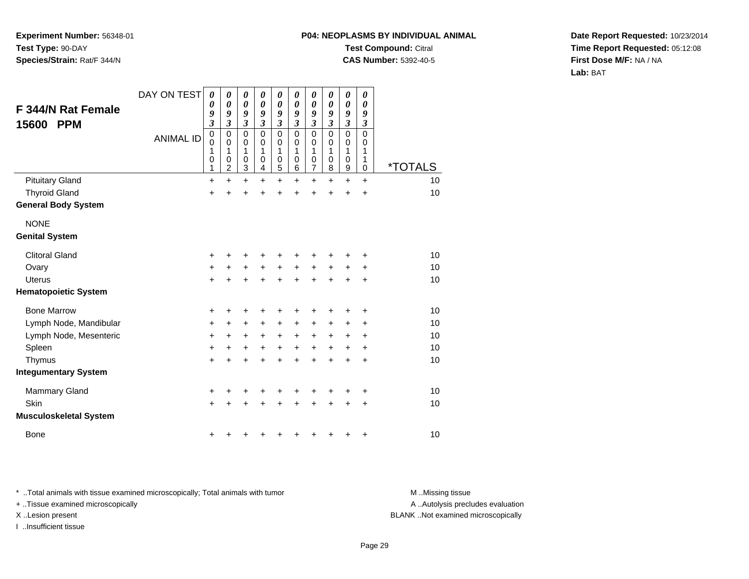# **P04: NEOPLASMS BY INDIVIDUAL ANIMALTest Compound:** Citral

**CAS Number:** 5392-40-5

**Date Report Requested:** 10/23/2014**Time Report Requested:** 05:12:08**First Dose M/F:** NA / NA**Lab:** BAT

| <b>F 344/N Rat Female</b>     | DAY ON TEST      | $\boldsymbol{\theta}$<br>0                | 0<br>$\boldsymbol{\theta}$                 | 0<br>0                                | 0<br>0                                 | 0<br>0                          | 0<br>$\boldsymbol{\theta}$   | 0<br>0                                       | 0<br>0                                    | 0<br>0                                                      | 0<br>$\boldsymbol{\theta}$      |                       |
|-------------------------------|------------------|-------------------------------------------|--------------------------------------------|---------------------------------------|----------------------------------------|---------------------------------|------------------------------|----------------------------------------------|-------------------------------------------|-------------------------------------------------------------|---------------------------------|-----------------------|
| <b>PPM</b><br>15600           |                  | 9<br>$\mathfrak{z}$                       | 9<br>3                                     | 9<br>$\boldsymbol{\mathfrak{z}}$      | 9<br>3                                 | 9<br>3                          | 9<br>$\overline{\mathbf{3}}$ | 9<br>$\boldsymbol{\beta}$                    | 9<br>$\boldsymbol{\beta}$                 | 9<br>$\boldsymbol{\beta}$                                   | 9<br>$\mathfrak{z}$             |                       |
|                               | <b>ANIMAL ID</b> | $\mathbf 0$<br>$\mathbf 0$<br>1<br>0<br>1 | $\pmb{0}$<br>0<br>1<br>0<br>$\overline{2}$ | $\pmb{0}$<br>0<br>1<br>$\pmb{0}$<br>3 | $\mathbf 0$<br>$\Omega$<br>1<br>0<br>4 | $\mathbf 0$<br>0<br>1<br>0<br>5 | 0<br>0<br>1<br>0<br>6        | $\mathbf 0$<br>0<br>1<br>0<br>$\overline{7}$ | $\mathbf 0$<br>0<br>1<br>$\mathbf 0$<br>8 | $\overline{0}$<br>$\boldsymbol{0}$<br>1<br>0<br>$\mathsf g$ | $\mathsf 0$<br>0<br>1<br>1<br>0 | <i><b>*TOTALS</b></i> |
| <b>Pituitary Gland</b>        |                  | $\ddot{}$                                 | $\ddot{}$                                  | $\ddot{}$                             | $\ddot{}$                              | $\ddot{}$                       | $\ddot{}$                    | $\ddot{}$                                    | $\ddot{}$                                 | $\ddot{}$                                                   | $\ddot{}$                       | 10                    |
| <b>Thyroid Gland</b>          |                  | +                                         | $\ddot{}$                                  | +                                     | $\ddot{}$                              | $\ddot{}$                       | $\ddot{}$                    | $\ddot{}$                                    | $\ddot{}$                                 | $\ddot{}$                                                   | $\ddot{}$                       | 10                    |
| <b>General Body System</b>    |                  |                                           |                                            |                                       |                                        |                                 |                              |                                              |                                           |                                                             |                                 |                       |
| <b>NONE</b>                   |                  |                                           |                                            |                                       |                                        |                                 |                              |                                              |                                           |                                                             |                                 |                       |
| <b>Genital System</b>         |                  |                                           |                                            |                                       |                                        |                                 |                              |                                              |                                           |                                                             |                                 |                       |
| <b>Clitoral Gland</b>         |                  | +                                         | +                                          | +                                     | +                                      | +                               | +                            |                                              |                                           |                                                             | +                               | 10                    |
| Ovary                         |                  | $\ddot{}$                                 | +                                          | $\ddot{}$                             | $\ddot{}$                              | $\ddot{}$                       | $+$                          | $+$                                          | $\ddot{}$                                 | $\ddot{}$                                                   | $\ddot{}$                       | 10                    |
| <b>Uterus</b>                 |                  | $+$                                       | $\ddot{}$                                  | $\ddot{}$                             | $+$                                    | $+$                             | $\ddot{}$                    | $\ddot{}$                                    | $\ddot{}$                                 | $\ddot{}$                                                   | $\ddot{}$                       | 10                    |
| <b>Hematopoietic System</b>   |                  |                                           |                                            |                                       |                                        |                                 |                              |                                              |                                           |                                                             |                                 |                       |
| <b>Bone Marrow</b>            |                  | +                                         | +                                          | +                                     | +                                      | +                               | +                            |                                              |                                           | ٠                                                           | +                               | 10                    |
| Lymph Node, Mandibular        |                  | $\ddot{}$                                 | $\ddot{}$                                  | $\ddot{}$                             | $\pm$                                  | $\pm$                           | +                            | +                                            | +                                         | +                                                           | +                               | 10                    |
| Lymph Node, Mesenteric        |                  | $\ddot{}$                                 | +                                          | $\ddot{}$                             | $\ddot{}$                              | $\ddot{}$                       | $\ddot{}$                    | $\ddot{}$                                    | $\ddot{}$                                 | +                                                           | +                               | 10                    |
| Spleen                        |                  | $\ddot{}$                                 | +                                          | $\ddot{}$                             | $\ddot{}$                              | $\ddot{}$                       | $\ddot{}$                    | $\ddot{}$                                    | $\ddot{}$                                 | +                                                           | +                               | 10                    |
| Thymus                        |                  | $+$                                       | $\ddot{}$                                  | $\ddot{}$                             | $\ddot{}$                              | $\ddot{}$                       | $\ddot{}$                    | $\ddot{}$                                    | $\ddot{}$                                 | $\ddot{}$                                                   | +                               | 10                    |
| <b>Integumentary System</b>   |                  |                                           |                                            |                                       |                                        |                                 |                              |                                              |                                           |                                                             |                                 |                       |
| <b>Mammary Gland</b>          |                  | +                                         | +                                          | +                                     |                                        | +                               | +                            |                                              |                                           | ٠                                                           | +                               | 10                    |
| Skin                          |                  | $+$                                       | $\ddot{}$                                  | $\ddot{}$                             | ÷                                      | $\ddot{}$                       | $\ddot{}$                    | $\ddot{}$                                    | $\ddot{}$                                 | $\ddot{}$                                                   | +                               | 10                    |
| <b>Musculoskeletal System</b> |                  |                                           |                                            |                                       |                                        |                                 |                              |                                              |                                           |                                                             |                                 |                       |
| <b>Bone</b>                   |                  | +                                         | +                                          | +                                     |                                        | ٠                               | +                            | +                                            | +                                         | +                                                           | +                               | 10                    |

\* ..Total animals with tissue examined microscopically; Total animals with tumor **M** . Missing tissue M ..Missing tissue

+ ..Tissue examined microscopically

I ..Insufficient tissue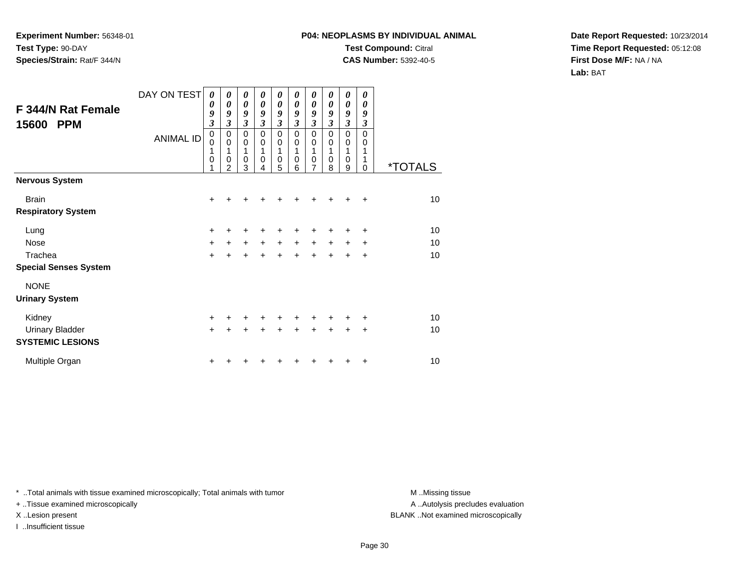## **P04: NEOPLASMS BY INDIVIDUAL ANIMALTest Compound:** Citral **CAS Number:** 5392-40-5

**Date Report Requested:** 10/23/2014**Time Report Requested:** 05:12:08**First Dose M/F:** NA / NA**Lab:** BAT

| F 344/N Rat Female<br>15600<br><b>PPM</b>         | DAY ON TEST<br><b>ANIMAL ID</b> | $\boldsymbol{\theta}$<br>$\boldsymbol{\theta}$<br>9<br>$\mathfrak{z}$<br>$\mathbf 0$<br>$\mathbf 0$<br>1<br>$\mathbf 0$<br>1 | 0<br>0<br>9<br>3<br>$\mathbf 0$<br>$\mathbf 0$<br>1<br>$\mathbf 0$<br>$\overline{2}$ | 0<br>$\boldsymbol{\theta}$<br>9<br>$\boldsymbol{\beta}$<br>$\pmb{0}$<br>$\mathbf 0$<br>1<br>$\mathbf 0$<br>3 | 0<br>0<br>9<br>$\boldsymbol{\beta}$<br>$\mathbf 0$<br>$\mathbf 0$<br>1<br>$\mathbf 0$<br>4 | 0<br>0<br>9<br>$\boldsymbol{\mathfrak{z}}$<br>0<br>0<br>1<br>0<br>5 | 0<br>0<br>9<br>3<br>$\mathbf 0$<br>0<br>1<br>$\mathbf 0$<br>6 | 0<br>0<br>9<br>$\boldsymbol{\beta}$<br>$\mathbf 0$<br>0<br>1<br>0<br>7 | 0<br>0<br>9<br>3<br>$\Omega$<br>$\mathbf 0$<br>1<br>$\mathbf 0$<br>8 | 0<br>0<br>9<br>$\boldsymbol{\beta}$<br>0<br>0<br>1<br>$\mathbf 0$<br>9 | 0<br>0<br>9<br>3<br>$\mathbf 0$<br>0<br>1<br>1<br>$\Omega$ | <i><b>*TOTALS</b></i> |
|---------------------------------------------------|---------------------------------|------------------------------------------------------------------------------------------------------------------------------|--------------------------------------------------------------------------------------|--------------------------------------------------------------------------------------------------------------|--------------------------------------------------------------------------------------------|---------------------------------------------------------------------|---------------------------------------------------------------|------------------------------------------------------------------------|----------------------------------------------------------------------|------------------------------------------------------------------------|------------------------------------------------------------|-----------------------|
| <b>Nervous System</b>                             |                                 |                                                                                                                              |                                                                                      |                                                                                                              |                                                                                            |                                                                     |                                                               |                                                                        |                                                                      |                                                                        |                                                            |                       |
| <b>Brain</b>                                      |                                 | $\ddot{}$                                                                                                                    |                                                                                      |                                                                                                              |                                                                                            |                                                                     |                                                               | +                                                                      |                                                                      |                                                                        | $\ddot{}$                                                  | 10                    |
| <b>Respiratory System</b>                         |                                 |                                                                                                                              |                                                                                      |                                                                                                              |                                                                                            |                                                                     |                                                               |                                                                        |                                                                      |                                                                        |                                                            |                       |
| Lung                                              |                                 | +                                                                                                                            |                                                                                      | +                                                                                                            |                                                                                            |                                                                     |                                                               | +                                                                      | +                                                                    | ٠                                                                      | ٠                                                          | 10                    |
| Nose                                              |                                 | +                                                                                                                            | $\ddot{}$                                                                            | $\ddot{}$                                                                                                    | $\ddot{}$                                                                                  | $\ddot{}$                                                           | $\ddot{}$                                                     | $\ddot{}$                                                              | $\ddot{}$                                                            | $\ddot{}$                                                              | $\ddot{}$                                                  | 10                    |
| Trachea                                           |                                 | $\ddot{}$                                                                                                                    | $\ddot{}$                                                                            | $+$                                                                                                          | $\ddot{}$                                                                                  | $+$                                                                 | $\ddot{}$                                                     | $\ddot{}$                                                              | $+$                                                                  | $\ddot{}$                                                              | $\ddot{}$                                                  | 10                    |
| <b>Special Senses System</b>                      |                                 |                                                                                                                              |                                                                                      |                                                                                                              |                                                                                            |                                                                     |                                                               |                                                                        |                                                                      |                                                                        |                                                            |                       |
| <b>NONE</b>                                       |                                 |                                                                                                                              |                                                                                      |                                                                                                              |                                                                                            |                                                                     |                                                               |                                                                        |                                                                      |                                                                        |                                                            |                       |
| <b>Urinary System</b>                             |                                 |                                                                                                                              |                                                                                      |                                                                                                              |                                                                                            |                                                                     |                                                               |                                                                        |                                                                      |                                                                        |                                                            |                       |
| Kidney                                            |                                 | +                                                                                                                            | +                                                                                    | +                                                                                                            |                                                                                            | +                                                                   | +                                                             | +                                                                      | +                                                                    | +                                                                      | +                                                          | 10                    |
| <b>Urinary Bladder</b><br><b>SYSTEMIC LESIONS</b> |                                 | $\ddot{}$                                                                                                                    | +                                                                                    | +                                                                                                            | +                                                                                          | $+$                                                                 | $\ddot{}$                                                     | $\ddot{}$                                                              | $\ddot{}$                                                            | $\ddot{}$                                                              | $\ddot{}$                                                  | 10                    |
| Multiple Organ                                    |                                 | +                                                                                                                            |                                                                                      |                                                                                                              |                                                                                            |                                                                     |                                                               |                                                                        |                                                                      |                                                                        | ٠                                                          | 10                    |

\* ..Total animals with tissue examined microscopically; Total animals with tumor **M** . Missing tissue M ..Missing tissue

+ ..Tissue examined microscopically

I ..Insufficient tissue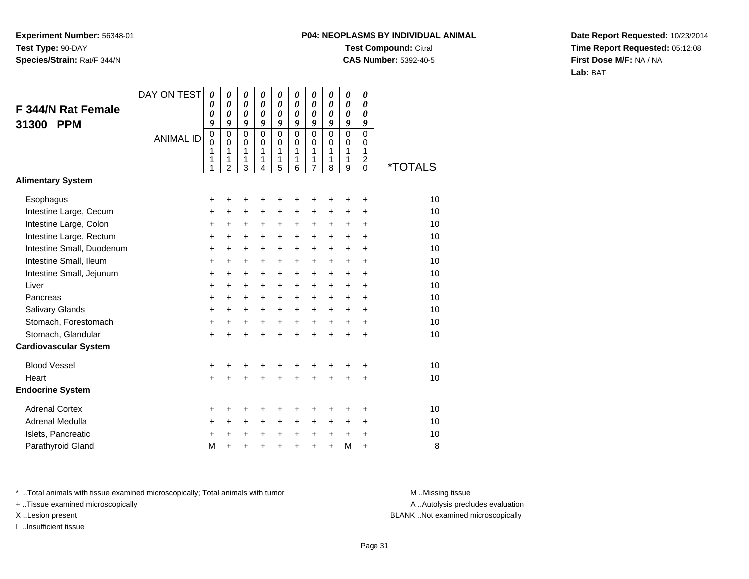## **P04: NEOPLASMS BY INDIVIDUAL ANIMALTest Compound:** Citral **CAS Number:** 5392-40-5

**Date Report Requested:** 10/23/2014**Time Report Requested:** 05:12:08**First Dose M/F:** NA / NA**Lab:** BAT

| F 344/N Rat Female<br>31300<br><b>PPM</b> | DAY ON TEST<br><b>ANIMAL ID</b> | $\boldsymbol{\theta}$<br>0<br>0<br>9<br>$\,0\,$<br>$\mathbf 0$<br>1<br>1<br>1 | $\boldsymbol{\theta}$<br>$\boldsymbol{\theta}$<br>$\boldsymbol{\theta}$<br>9<br>$\mathbf 0$<br>$\mathbf 0$<br>1<br>1<br>$\overline{2}$ | 0<br>0<br>0<br>9<br>$\mathbf 0$<br>$\mathbf 0$<br>1<br>1<br>3 | 0<br>0<br>0<br>9<br>$\mathbf 0$<br>$\Omega$<br>$\mathbf{1}$<br>1<br>4 | 0<br>0<br>0<br>9<br>$\mathbf 0$<br>0<br>1<br>1<br>5 | 0<br>0<br>0<br>9<br>$\mathbf 0$<br>$\Omega$<br>1<br>1<br>6 | 0<br>$\boldsymbol{\theta}$<br>$\boldsymbol{\theta}$<br>9<br>$\pmb{0}$<br>0<br>1<br>1<br>$\overline{7}$ | 0<br>0<br>0<br>9<br>$\mathbf 0$<br>$\Omega$<br>1<br>1<br>8 | 0<br>0<br>0<br>9<br>$\mathsf 0$<br>$\mathbf 0$<br>1<br>1<br>9 | 0<br>$\boldsymbol{\theta}$<br>0<br>9<br>0<br>0<br>1<br>$\overline{\mathbf{c}}$<br>$\Omega$ | <i><b>*TOTALS</b></i> |
|-------------------------------------------|---------------------------------|-------------------------------------------------------------------------------|----------------------------------------------------------------------------------------------------------------------------------------|---------------------------------------------------------------|-----------------------------------------------------------------------|-----------------------------------------------------|------------------------------------------------------------|--------------------------------------------------------------------------------------------------------|------------------------------------------------------------|---------------------------------------------------------------|--------------------------------------------------------------------------------------------|-----------------------|
| <b>Alimentary System</b>                  |                                 |                                                                               |                                                                                                                                        |                                                               |                                                                       |                                                     |                                                            |                                                                                                        |                                                            |                                                               |                                                                                            |                       |
| Esophagus                                 |                                 | +                                                                             | +                                                                                                                                      | +                                                             | +                                                                     | +                                                   | +                                                          | ٠                                                                                                      | +                                                          | ٠                                                             | +                                                                                          | 10                    |
| Intestine Large, Cecum                    |                                 | +                                                                             | $\ddot{}$                                                                                                                              | $\ddot{}$                                                     | $\ddot{}$                                                             | $\ddot{}$                                           | $\ddot{}$                                                  | $\ddot{}$                                                                                              | $\ddot{}$                                                  | +                                                             | +                                                                                          | 10                    |
| Intestine Large, Colon                    |                                 | +                                                                             | +                                                                                                                                      | +                                                             | +                                                                     | +                                                   | $\ddot{}$                                                  | +                                                                                                      | +                                                          | $\pm$                                                         | $\ddot{}$                                                                                  | 10                    |
| Intestine Large, Rectum                   |                                 | $\ddot{}$                                                                     | $\ddot{}$                                                                                                                              | $\ddot{}$                                                     | $\ddot{}$                                                             | $\ddot{}$                                           | $\ddot{}$                                                  | $\ddot{}$                                                                                              | $+$                                                        | $+$                                                           | $\ddot{}$                                                                                  | 10                    |
| Intestine Small, Duodenum                 |                                 | $\ddot{}$                                                                     | $\ddot{}$                                                                                                                              | $\ddot{}$                                                     | $\ddot{}$                                                             | $\ddot{}$                                           | $\ddot{}$                                                  | $\ddot{}$                                                                                              | $\ddot{}$                                                  | $+$                                                           | ÷                                                                                          | 10                    |
| Intestine Small, Ileum                    |                                 | +                                                                             | $\ddot{}$                                                                                                                              | $\ddot{}$                                                     | +                                                                     | +                                                   | $\ddot{}$                                                  | $\ddot{}$                                                                                              | $\ddot{}$                                                  | $\pm$                                                         | $\ddot{}$                                                                                  | 10                    |
| Intestine Small, Jejunum                  |                                 | +                                                                             | +                                                                                                                                      | +                                                             | +                                                                     | +                                                   | $\ddot{}$                                                  | $\ddot{}$                                                                                              | $\ddot{}$                                                  | $\pm$                                                         | $\ddot{}$                                                                                  | 10                    |
| Liver                                     |                                 | $\ddot{}$                                                                     | $\ddot{}$                                                                                                                              | $\ddot{}$                                                     | $\ddot{}$                                                             | $\ddot{}$                                           | $\ddot{}$                                                  | $+$                                                                                                    | $+$                                                        | $+$                                                           | $\ddot{}$                                                                                  | 10                    |
| Pancreas                                  |                                 | $\ddot{}$                                                                     | $\ddot{}$                                                                                                                              | $\ddot{}$                                                     | $\ddot{}$                                                             | $\ddot{}$                                           | $\ddot{}$                                                  | $\ddot{}$                                                                                              | $+$                                                        | $+$                                                           | $\ddot{}$                                                                                  | 10                    |
| Salivary Glands                           |                                 | +                                                                             | $\ddot{}$                                                                                                                              | $\ddot{}$                                                     | +                                                                     | $\ddot{}$                                           | $\ddot{}$                                                  | $\ddot{}$                                                                                              | $\ddot{}$                                                  | $\pm$                                                         | $\ddot{}$                                                                                  | 10                    |
| Stomach, Forestomach                      |                                 | $\ddot{}$                                                                     | +                                                                                                                                      | +                                                             | +                                                                     | +                                                   | $\ddot{}$                                                  | $\ddot{}$                                                                                              | $\ddot{}$                                                  | $\ddot{}$                                                     | $\ddot{}$                                                                                  | 10                    |
| Stomach, Glandular                        |                                 | $\ddot{}$                                                                     |                                                                                                                                        | $\ddot{}$                                                     | $\ddot{}$                                                             | $\ddot{}$                                           | $\ddot{}$                                                  | $\ddot{}$                                                                                              | $\ddot{}$                                                  | $\ddot{}$                                                     | $\ddot{}$                                                                                  | 10                    |
| <b>Cardiovascular System</b>              |                                 |                                                                               |                                                                                                                                        |                                                               |                                                                       |                                                     |                                                            |                                                                                                        |                                                            |                                                               |                                                                                            |                       |
| <b>Blood Vessel</b>                       |                                 | +                                                                             | +                                                                                                                                      | +                                                             | +                                                                     | +                                                   | +                                                          | +                                                                                                      | ٠                                                          | +                                                             | +                                                                                          | 10                    |
| Heart                                     |                                 | $\ddot{}$                                                                     |                                                                                                                                        |                                                               |                                                                       | $\ddot{}$                                           | ÷                                                          | $\ddot{}$                                                                                              | $\ddot{}$                                                  | $\ddot{}$                                                     | $\ddot{}$                                                                                  | 10                    |
| <b>Endocrine System</b>                   |                                 |                                                                               |                                                                                                                                        |                                                               |                                                                       |                                                     |                                                            |                                                                                                        |                                                            |                                                               |                                                                                            |                       |
| <b>Adrenal Cortex</b>                     |                                 | +                                                                             | +                                                                                                                                      | +                                                             | +                                                                     | +                                                   | +                                                          | +                                                                                                      | ٠                                                          | ٠                                                             | +                                                                                          | 10                    |
| Adrenal Medulla                           |                                 | +                                                                             | $\ddot{}$                                                                                                                              | $\ddot{}$                                                     | $\ddot{}$                                                             | +                                                   | $\ddot{}$                                                  | $\ddot{}$                                                                                              | $\pm$                                                      | $\ddot{}$                                                     | $\ddot{}$                                                                                  | 10                    |
| Islets, Pancreatic                        |                                 | +                                                                             | $\ddot{}$                                                                                                                              | +                                                             | $\ddot{}$                                                             | +                                                   | $\ddot{}$                                                  | $\ddot{}$                                                                                              | $\ddot{}$                                                  | $\ddot{}$                                                     | +                                                                                          | 10                    |
| Parathyroid Gland                         |                                 | M                                                                             | $\ddot{}$                                                                                                                              | $\ddot{}$                                                     | +                                                                     | $\ddot{}$                                           | +                                                          | $\ddot{}$                                                                                              | $\ddot{}$                                                  | M                                                             | $\ddot{}$                                                                                  | 8                     |

\* ..Total animals with tissue examined microscopically; Total animals with tumor **M** . Missing tissue M ..Missing tissue

+ ..Tissue examined microscopically

I ..Insufficient tissue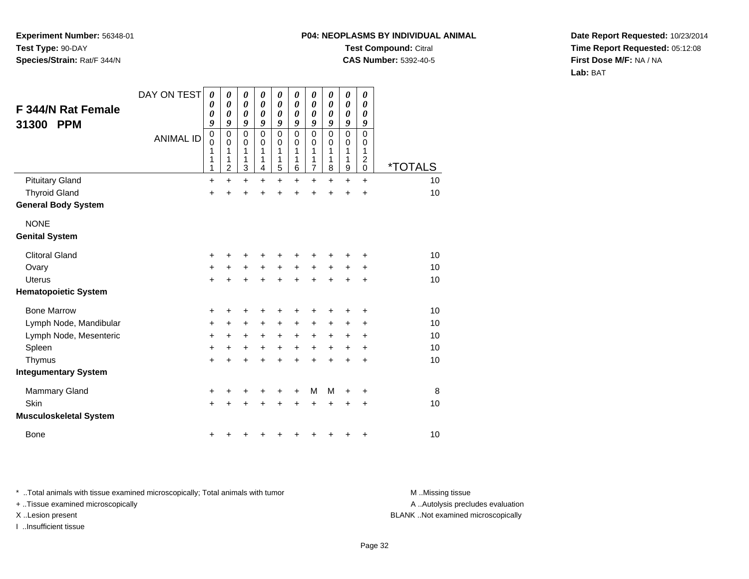# **P04: NEOPLASMS BY INDIVIDUAL ANIMALTest Compound:** Citral

**CAS Number:** 5392-40-5

**Date Report Requested:** 10/23/2014**Time Report Requested:** 05:12:08**First Dose M/F:** NA / NA**Lab:** BAT

| <b>F 344/N Rat Female</b><br>31300<br><b>PPM</b> | DAY ON TEST<br><b>ANIMAL ID</b> | 0<br>0<br>0<br>9<br>$\,0\,$<br>$\mathbf 0$<br>1<br>1<br>1 | 0<br>$\boldsymbol{\theta}$<br>0<br>9<br>0<br>0<br>1<br>1<br>2 | 0<br>$\boldsymbol{\theta}$<br>$\boldsymbol{\theta}$<br>9<br>$\mathbf 0$<br>$\mathbf 0$<br>1<br>1<br>3 | 0<br>0<br>0<br>9<br>$\mathbf 0$<br>0<br>1<br>1<br>4 | 0<br>0<br>0<br>9<br>0<br>0<br>1<br>1<br>5 | 0<br>$\boldsymbol{\theta}$<br>0<br>9<br>$\Omega$<br>0<br>1<br>1<br>6 | 0<br>$\boldsymbol{\theta}$<br>$\boldsymbol{\theta}$<br>9<br>$\mathbf 0$<br>0<br>1<br>1<br>$\overline{7}$ | 0<br>0<br>0<br>9<br>$\mathbf 0$<br>0<br>1<br>1<br>8 | 0<br>0<br>$\pmb{\theta}$<br>9<br>$\mathsf 0$<br>0<br>1<br>1<br>9 | 0<br>$\boldsymbol{\theta}$<br>0<br>9<br>0<br>0<br>1<br>$\overline{2}$<br>$\mathbf 0$ | <i><b>*TOTALS</b></i> |
|--------------------------------------------------|---------------------------------|-----------------------------------------------------------|---------------------------------------------------------------|-------------------------------------------------------------------------------------------------------|-----------------------------------------------------|-------------------------------------------|----------------------------------------------------------------------|----------------------------------------------------------------------------------------------------------|-----------------------------------------------------|------------------------------------------------------------------|--------------------------------------------------------------------------------------|-----------------------|
| <b>Pituitary Gland</b>                           |                                 | +                                                         | $\ddot{}$                                                     | $\ddot{}$                                                                                             | +                                                   | $\ddot{}$                                 | +                                                                    | $\ddot{}$                                                                                                | +                                                   | $\ddot{}$                                                        | $\ddot{}$                                                                            | 10                    |
| <b>Thyroid Gland</b>                             |                                 | +                                                         | +                                                             | +                                                                                                     | +                                                   | +                                         | +                                                                    | +                                                                                                        | ÷                                                   | +                                                                | $\ddot{}$                                                                            | 10                    |
| <b>General Body System</b>                       |                                 |                                                           |                                                               |                                                                                                       |                                                     |                                           |                                                                      |                                                                                                          |                                                     |                                                                  |                                                                                      |                       |
| <b>NONE</b>                                      |                                 |                                                           |                                                               |                                                                                                       |                                                     |                                           |                                                                      |                                                                                                          |                                                     |                                                                  |                                                                                      |                       |
| <b>Genital System</b>                            |                                 |                                                           |                                                               |                                                                                                       |                                                     |                                           |                                                                      |                                                                                                          |                                                     |                                                                  |                                                                                      |                       |
| <b>Clitoral Gland</b>                            |                                 | +                                                         | +                                                             | +                                                                                                     | +                                                   | +                                         | ٠                                                                    | ٠                                                                                                        |                                                     | +                                                                | ٠                                                                                    | 10                    |
| Ovary                                            |                                 | +                                                         | +                                                             | $\ddot{}$                                                                                             | $\ddot{}$                                           | $\ddot{}$                                 | $\ddot{}$                                                            | $\ddot{}$                                                                                                | $+$                                                 | $\pm$                                                            | $\ddot{}$                                                                            | 10                    |
| <b>Uterus</b>                                    |                                 | $\ddot{}$                                                 | $\ddot{}$                                                     | $\ddot{}$                                                                                             | $\ddot{}$                                           | $\ddot{}$                                 | $\ddot{}$                                                            | $+$                                                                                                      | $+$                                                 | $\ddot{}$                                                        | $\ddot{}$                                                                            | 10                    |
| <b>Hematopoietic System</b>                      |                                 |                                                           |                                                               |                                                                                                       |                                                     |                                           |                                                                      |                                                                                                          |                                                     |                                                                  |                                                                                      |                       |
| <b>Bone Marrow</b>                               |                                 | +                                                         | +                                                             | +                                                                                                     | +                                                   | +                                         | +                                                                    | +                                                                                                        | +                                                   | +                                                                | +                                                                                    | 10                    |
| Lymph Node, Mandibular                           |                                 | +                                                         | +                                                             | $\ddot{}$                                                                                             | +                                                   | +                                         | +                                                                    | $\ddot{}$                                                                                                | +                                                   | +                                                                | +                                                                                    | 10                    |
| Lymph Node, Mesenteric                           |                                 | $\ddot{}$                                                 | $\ddot{}$                                                     | +                                                                                                     | $\ddot{}$                                           | $\ddot{}$                                 | $\ddot{}$                                                            | $\ddot{}$                                                                                                | $\ddot{}$                                           | $\ddot{}$                                                        | $\ddot{}$                                                                            | 10                    |
| Spleen                                           |                                 | +                                                         | $\ddot{}$                                                     | $\ddot{}$                                                                                             | $\ddot{}$                                           | $\ddot{}$                                 | $\ddot{}$                                                            | $\ddot{}$                                                                                                | $+$                                                 | $\pm$                                                            | +                                                                                    | 10                    |
| Thymus                                           |                                 | $\ddot{}$                                                 | +                                                             | $\ddot{}$                                                                                             | $\ddot{}$                                           | $\ddot{}$                                 | $\ddot{}$                                                            | $\ddot{}$                                                                                                | $\ddot{}$                                           | +                                                                | +                                                                                    | 10                    |
| <b>Integumentary System</b>                      |                                 |                                                           |                                                               |                                                                                                       |                                                     |                                           |                                                                      |                                                                                                          |                                                     |                                                                  |                                                                                      |                       |
| <b>Mammary Gland</b>                             |                                 | +                                                         | +                                                             | +                                                                                                     | +                                                   | +                                         | +                                                                    | M                                                                                                        | M                                                   | +                                                                | +                                                                                    | 8                     |
| Skin                                             |                                 | $\ddot{}$                                                 | +                                                             | $\ddot{}$                                                                                             | $\ddot{}$                                           | $\ddot{}$                                 | $\ddot{}$                                                            | $\ddot{}$                                                                                                | $\ddot{}$                                           | +                                                                | +                                                                                    | 10                    |
| <b>Musculoskeletal System</b>                    |                                 |                                                           |                                                               |                                                                                                       |                                                     |                                           |                                                                      |                                                                                                          |                                                     |                                                                  |                                                                                      |                       |
| <b>Bone</b>                                      |                                 | +                                                         |                                                               |                                                                                                       |                                                     | +                                         | +                                                                    | +                                                                                                        | +                                                   | +                                                                | +                                                                                    | 10                    |

\* ..Total animals with tissue examined microscopically; Total animals with tumor **M** . Missing tissue M ..Missing tissue

+ ..Tissue examined microscopically

I ..Insufficient tissue